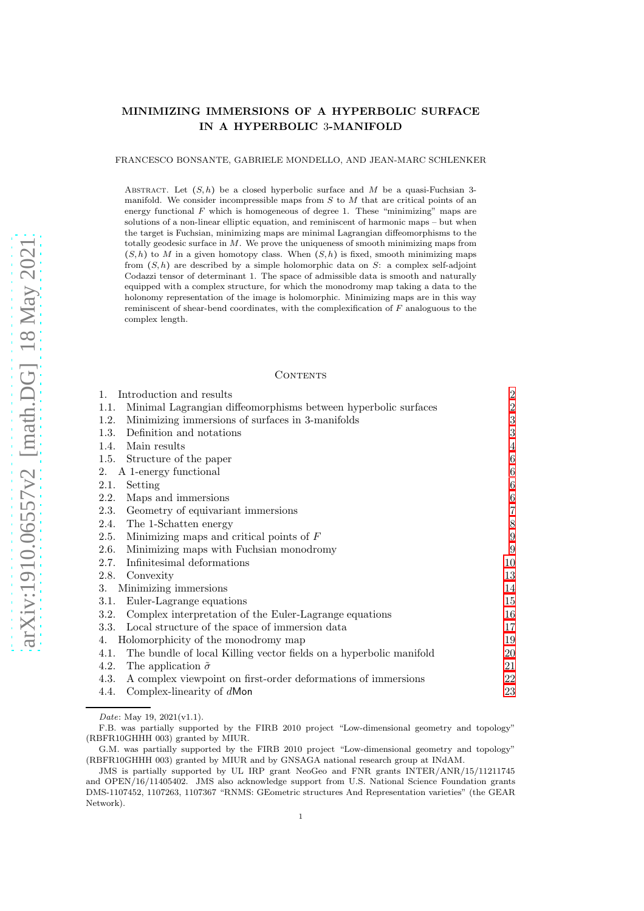# MINIMIZING IMMERSIONS OF A HYPERBOLIC SURFACE IN A HYPERBOLIC 3-MANIFOLD

FRANCESCO BONSANTE, GABRIELE MONDELLO, AND JEAN-MARC SCHLENKER

ABSTRACT. Let  $(S, h)$  be a closed hyperbolic surface and M be a quasi-Fuchsian 3manifold. We consider incompressible maps from  $S$  to  $M$  that are critical points of an energy functional  $F$  which is homogeneous of degree 1. These "minimizing" maps are solutions of a non-linear elliptic equation, and reminiscent of harmonic maps – but when the target is Fuchsian, minimizing maps are minimal Lagrangian diffeomorphisms to the totally geodesic surface in  $M$ . We prove the uniqueness of smooth minimizing maps from  $(S, h)$  to M in a given homotopy class. When  $(S, h)$  is fixed, smooth minimizing maps from  $(S, h)$  are described by a simple holomorphic data on S: a complex self-adjoint Codazzi tensor of determinant 1. The space of admissible data is smooth and naturally equipped with a complex structure, for which the monodromy map taking a data to the holonomy representation of the image is holomorphic. Minimizing maps are in this way reminiscent of shear-bend coordinates, with the complexification of F analoguous to the complex length.

#### CONTENTS

| Introduction and results<br>$1_{-}$                                        | $\sqrt{2}$       |
|----------------------------------------------------------------------------|------------------|
| Minimal Lagrangian diffeomorphisms between hyperbolic surfaces<br>1.1.     | $\overline{2}$   |
| Minimizing immersions of surfaces in 3-manifolds<br>1.2.                   | $\sqrt{3}$       |
| Definition and notations<br>1.3.                                           | 3                |
| 1.4.<br>Main results                                                       | 4                |
| 1.5.<br>Structure of the paper                                             | 6                |
| A 1-energy functional<br>2.                                                | 6                |
| 2.1.<br>Setting                                                            | 6                |
| Maps and immersions<br>2.2.                                                | 6                |
| Geometry of equivariant immersions<br>2.3.                                 | 7                |
| The 1-Schatten energy<br>2.4.                                              | 8                |
| Minimizing maps and critical points of $F$<br>2.5.                         | $\boldsymbol{9}$ |
| Minimizing maps with Fuchsian monodromy<br>2.6.                            | 9                |
| Infinitesimal deformations<br>2.7.                                         | 10               |
| 2.8.<br>Convexity                                                          | 13               |
| Minimizing immersions<br>3.                                                | 14               |
| Euler-Lagrange equations<br>3.1.                                           | 15               |
| Complex interpretation of the Euler-Lagrange equations<br>3.2.             | 16               |
| 3.3. Local structure of the space of immersion data                        | 17               |
| Holomorphicity of the monodromy map<br>4.                                  | 19               |
| The bundle of local Killing vector fields on a hyperbolic manifold<br>4.1. | 20               |
| The application $\tilde{\sigma}$<br>4.2.                                   | 21               |
| A complex viewpoint on first-order deformations of immersions<br>4.3.      | 22               |
| Complex-linearity of dMon<br>4.4.                                          | 23               |

Date: May 19, 2021(v1.1).

F.B. was partially supported by the FIRB 2010 project "Low-dimensional geometry and topology" (RBFR10GHHH 003) granted by MIUR.

G.M. was partially supported by the FIRB 2010 project "Low-dimensional geometry and topology" (RBFR10GHHH 003) granted by MIUR and by GNSAGA national research group at INdAM.

JMS is partially supported by UL IRP grant NeoGeo and FNR grants INTER/ANR/15/11211745 and OPEN/16/11405402. JMS also acknowledge support from U.S. National Science Foundation grants DMS-1107452, 1107263, 1107367 "RNMS: GEometric structures And Representation varieties" (the GEAR Network).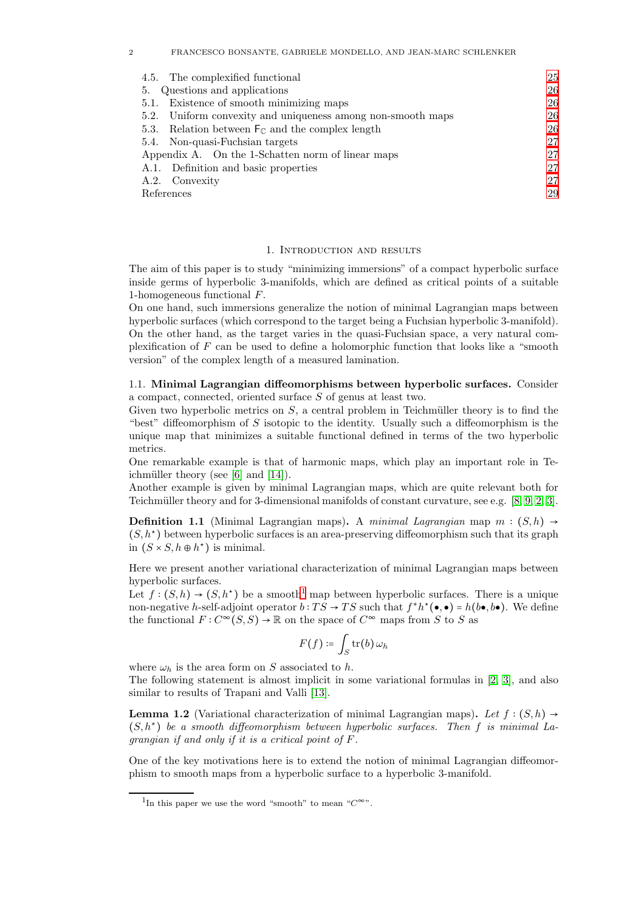## 2 FRANCESCO BONSANTE, GABRIELE MONDELLO, AND JEAN-MARC SCHLENKER

| 4.5. The complexified functional                                       | 25 |
|------------------------------------------------------------------------|----|
| 5. Questions and applications                                          | 26 |
| 5.1. Existence of smooth minimizing maps                               | 26 |
| 5.2. Uniform convexity and uniqueness among non-smooth maps            | 26 |
| 5.3. Relation between $\mathsf{F}_{\mathbb{C}}$ and the complex length | 26 |
| 5.4. Non-quasi-Fuchsian targets                                        | 27 |
| Appendix A. On the 1-Schatten norm of linear maps                      | 27 |
| A.1. Definition and basic properties                                   | 27 |
| A.2. Convexity                                                         | 27 |
| References                                                             | 29 |
|                                                                        |    |

### 1. Introduction and results

<span id="page-1-0"></span>The aim of this paper is to study "minimizing immersions" of a compact hyperbolic surface inside germs of hyperbolic 3-manifolds, which are defined as critical points of a suitable 1-homogeneous functional F.

On one hand, such immersions generalize the notion of minimal Lagrangian maps between hyperbolic surfaces (which correspond to the target being a Fuchsian hyperbolic 3-manifold). On the other hand, as the target varies in the quasi-Fuchsian space, a very natural complexification of  $F$  can be used to define a holomorphic function that looks like a "smooth" version" of the complex length of a measured lamination.

<span id="page-1-1"></span>1.1. Minimal Lagrangian diffeomorphisms between hyperbolic surfaces. Consider a compact, connected, oriented surface S of genus at least two.

Given two hyperbolic metrics on  $S$ , a central problem in Teichmüller theory is to find the "best" diffeomorphism of  $S$  isotopic to the identity. Usually such a diffeomorphism is the unique map that minimizes a suitable functional defined in terms of the two hyperbolic metrics.

One remarkable example is that of harmonic maps, which play an important role in Teichmüller theory (see  $[6]$  and  $[14]$ ).

Another example is given by minimal Lagrangian maps, which are quite relevant both for Teichmüller theory and for 3-dimensional manifolds of constant curvature, see e.g.  $[8, 9, 2, 3]$  $[8, 9, 2, 3]$  $[8, 9, 2, 3]$  $[8, 9, 2, 3]$ .

<span id="page-1-3"></span>**Definition 1.1** (Minimal Lagrangian maps). A minimal Lagrangian map  $m : (S, h) \rightarrow$  $(S, h^*)$  between hyperbolic surfaces is an area-preserving diffeomorphism such that its graph in  $(S \times S, h \oplus h^*)$  is minimal.

Here we present another variational characterization of minimal Lagrangian maps between hyperbolic surfaces.

Let  $f:(S,h) \to (S,h^*)$  be a smooth<sup>[1](#page-1-2)</sup> map between hyperbolic surfaces. There is a unique non-negative h-self-adjoint operator  $b: TS \to TS$  such that  $f^*h^*(\bullet, \bullet) = h(b\bullet, b\bullet)$ . We define the functional  $F: C^{\infty}(S, S) \to \mathbb{R}$  on the space of  $C^{\infty}$  maps from S to S as

$$
F(f) \coloneqq \int_S \operatorname{tr}(b) \, \omega_h
$$

where  $\omega_h$  is the area form on S associated to h. The following statement is almost implicit in some variational formulas in [\[2,](#page-28-5) [3\]](#page-28-6), and also similar to results of Trapani and Valli [\[13\]](#page-28-7).

<span id="page-1-4"></span>**Lemma 1.2** (Variational characterization of minimal Lagrangian maps). Let  $f : (S, h) \rightarrow$ (S, h<sup>∗</sup> ) be a smooth diffeomorphism between hyperbolic surfaces. Then f is minimal Lagrangian if and only if it is a critical point of F.

One of the key motivations here is to extend the notion of minimal Lagrangian diffeomorphism to smooth maps from a hyperbolic surface to a hyperbolic 3-manifold.

<span id="page-1-2"></span><sup>&</sup>lt;sup>1</sup>In this paper we use the word "smooth" to mean " $C^{\infty}$ ".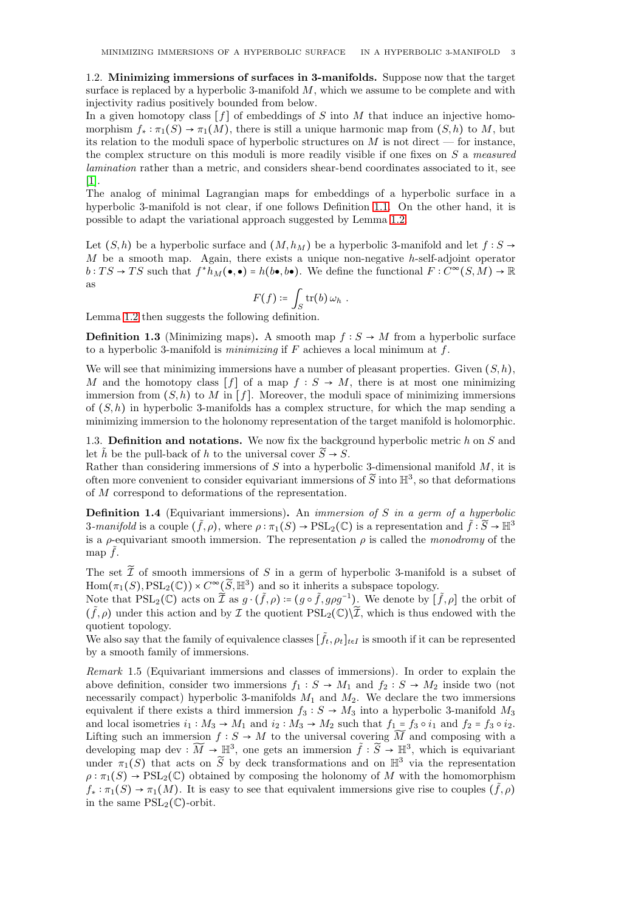<span id="page-2-0"></span>1.2. Minimizing immersions of surfaces in 3-manifolds. Suppose now that the target surface is replaced by a hyperbolic 3-manifold  $M$ , which we assume to be complete and with injectivity radius positively bounded from below.

In a given homotopy class  $[f]$  of embeddings of S into M that induce an injective homomorphism  $f_* : \pi_1(S) \to \pi_1(M)$ , there is still a unique harmonic map from  $(S, h)$  to M, but its relation to the moduli space of hyperbolic structures on  $M$  is not direct — for instance, the complex structure on this moduli is more readily visible if one fixes on  $S$  a measured lamination rather than a metric, and considers shear-bend coordinates associated to it, see [\[1\]](#page-28-8).

The analog of minimal Lagrangian maps for embeddings of a hyperbolic surface in a hyperbolic 3-manifold is not clear, if one follows Definition [1.1.](#page-1-3) On the other hand, it is possible to adapt the variational approach suggested by Lemma [1.2.](#page-1-4)

Let  $(S, h)$  be a hyperbolic surface and  $(M, h_M)$  be a hyperbolic 3-manifold and let  $f : S \rightarrow$  $M$  be a smooth map. Again, there exists a unique non-negative h-self-adjoint operator  $b: TS \to TS$  such that  $f^*h_M(\bullet, \bullet) = h(b\bullet, b\bullet)$ . We define the functional  $F: C^{\infty}(S, M) \to \mathbb{R}$ as

$$
F(f) \coloneqq \int_S \operatorname{tr}(b) \, \omega_h \, .
$$

Lemma [1.2](#page-1-4) then suggests the following definition.

**Definition 1.3** (Minimizing maps). A smooth map  $f : S \to M$  from a hyperbolic surface to a hyperbolic 3-manifold is *minimizing* if  $F$  achieves a local minimum at  $f$ .

We will see that minimizing immersions have a number of pleasant properties. Given  $(S, h)$ , M and the homotopy class  $[f]$  of a map  $f : S \to M$ , there is at most one minimizing immersion from  $(S, h)$  to M in [f]. Moreover, the moduli space of minimizing immersions of  $(S, h)$  in hyperbolic 3-manifolds has a complex structure, for which the map sending a minimizing immersion to the holonomy representation of the target manifold is holomorphic.

<span id="page-2-1"></span>1.3. **Definition and notations.** We now fix the background hyperbolic metric  $h$  on  $S$  and let  $\tilde{h}$  be the pull-back of h to the universal cover  $\tilde{S} \rightarrow S$ .

Rather than considering immersions of  $S$  into a hyperbolic 3-dimensional manifold  $M$ , it is often more convenient to consider equivariant immersions of  $\widetilde{S}$  into  $\mathbb{H}^3$ , so that deformations of M correspond to deformations of the representation.

**Definition 1.4** (Equivariant immersions). An *immersion of S in a germ of a hyperbolic* 3-manifold is a couple  $(\tilde{f}, \rho)$ , where  $\rho : \pi_1(S) \to \mathrm{PSL}_2(\mathbb{C})$  is a representation and  $\tilde{f} : \tilde{S} \to \mathbb{H}^3$ is a ρ-equivariant smooth immersion. The representation  $\rho$  is called the *monodromy* of the map  $\tilde{f}$ .

The set  $\widetilde{\mathcal{I}}$  of smooth immersions of S in a germ of hyperbolic 3-manifold is a subset of  $\text{Hom}(\pi_1(S), \text{PSL}_2(\mathbb{C})) \times C^\infty(\widetilde{S}, \mathbb{H}^3)$  and so it inherits a subspace topology.

Note that  $PSL_2(\mathbb{C})$  acts on  $\widetilde{\mathcal{I}}$  as  $g \cdot (\widetilde{f}, \rho) \coloneqq (g \circ \widetilde{f}, g \rho g^{-1})$ . We denote by  $[\widetilde{f}, \rho]$  the orbit of  $(\tilde{f}, \rho)$  under this action and by  $\mathcal I$  the quotient  $PSL_2(\mathbb{C})\setminus\widetilde{\mathcal I}$ , which is thus endowed with the quotient topology.

We also say that the family of equivalence classes  $[\tilde{f}_t, \rho_t]_{t \in I}$  is smooth if it can be represented by a smooth family of immersions.

Remark 1.5 (Equivariant immersions and classes of immersions). In order to explain the above definition, consider two immersions  $f_1 : S \to M_1$  and  $f_2 : S \to M_2$  inside two (not necessarily compact) hyperbolic 3-manifolds  $M_1$  and  $M_2$ . We declare the two immersions equivalent if there exists a third immersion  $f_3 : S \to M_3$  into a hyperbolic 3-manifold  $M_3$ and local isometries  $i_1 : M_3 \to M_1$  and  $i_2 : M_3 \to M_2$  such that  $f_1 = f_3 \circ i_1$  and  $f_2 = f_3 \circ i_2$ . Lifting such an immersion  $f : S \to M$  to the universal covering  $\widetilde{M}$  and composing with a developing map dev :  $\widetilde{M} \to \mathbb{H}^3$ , one gets an immersion  $\tilde{f} : \widetilde{S} \to \mathbb{H}^3$ , which is equivariant under  $\pi_1(S)$  that acts on  $\widetilde{S}$  by deck transformations and on  $\mathbb{H}^3$  via the representation  $\rho : \pi_1(S) \to \text{PSL}_2(\mathbb{C})$  obtained by composing the holonomy of M with the homomorphism  $f_* : \pi_1(S) \to \pi_1(M)$ . It is easy to see that equivalent immersions give rise to couples  $(\tilde{f}, \rho)$ in the same  $PSL_2(\mathbb{C})$ -orbit.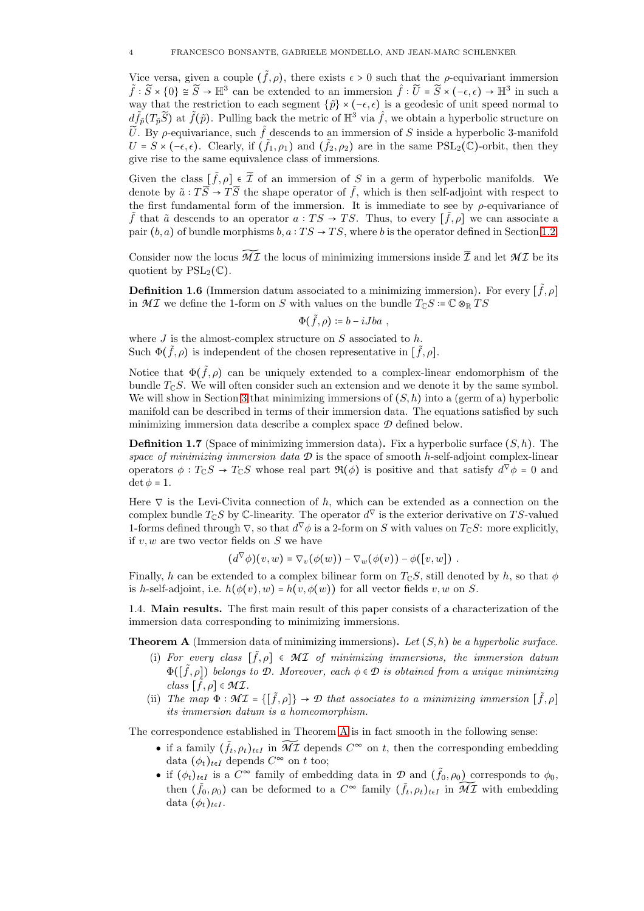Vice versa, given a couple  $(\tilde{f}, \rho)$ , there exists  $\epsilon > 0$  such that the *ρ*-equivariant immersion  $\tilde{f} : \tilde{S} \times \{0\} \cong \tilde{S} \to \mathbb{H}^3$  can be extended to an immersion  $\hat{f} : \tilde{U} = \tilde{S} \times (-\epsilon, \epsilon) \to \mathbb{H}^3$  in such a way that the restriction to each segment  $\{\tilde{p}\}\times(-\epsilon,\epsilon)$  is a geodesic of unit speed normal to  $d\tilde{f}_{\tilde{p}}(T_{\tilde{p}}\tilde{S})$  at  $\tilde{f}(\tilde{p})$ . Pulling back the metric of  $\mathbb{H}^3$  via  $\hat{f}$ , we obtain a hyperbolic structure on  $\tilde{U}$ . By  $\rho$ -equivariance, such  $\hat{f}$  descends to an immersion of S inside a hyperbolic 3-manifold  $U = S \times (-\epsilon, \epsilon)$ . Clearly, if  $(\tilde{f}_1, \rho_1)$  and  $(\tilde{f}_2, \rho_2)$  are in the same  $PSL_2(\mathbb{C})$ -orbit, then they give rise to the same equivalence class of immersions.

Given the class  $[\tilde{f}, \rho] \in \tilde{\mathcal{I}}$  of an immersion of S in a germ of hyperbolic manifolds. We denote by  $\tilde{a} : T\tilde{S} \to T\tilde{S}$  the shape operator of  $\tilde{f}$ , which is then self-adjoint with respect to the first fundamental form of the immersion. It is immediate to see by  $\rho$ -equivariance of  $\tilde{f}$  that  $\tilde{a}$  descends to an operator  $a: TS \to TS$ . Thus, to every  $[\tilde{f}, \rho]$  we can associate a pair  $(b, a)$  of bundle morphisms  $b, a : TS \rightarrow TS$ , where b is the operator defined in Section [1.2.](#page-2-0)

Consider now the locus  $\widetilde{M\mathcal{I}}$  the locus of minimizing immersions inside  $\widetilde{\mathcal{I}}$  and let  $\mathcal{M\mathcal{I}}$  be its quotient by  $PSL_2(\mathbb{C})$ .

**Definition 1.6** (Immersion datum associated to a minimizing immersion). For every  $[\tilde{f}, \rho]$ in  $M\mathcal I$  we define the 1-form on S with values on the bundle  $T_{\mathbb C}S \coloneqq \mathbb C\otimes_{\mathbb R}TS$ 

$$
\Phi(\tilde{f},\rho)\coloneqq b-iJba\ ,
$$

where  $J$  is the almost-complex structure on  $S$  associated to  $h$ . Such  $\Phi(\tilde{f}, \rho)$  is independent of the chosen representative in  $[\tilde{f}, \rho]$ .

Notice that  $\Phi(\tilde{f},\rho)$  can be uniquely extended to a complex-linear endomorphism of the bundle  $T_{\mathbb{C}}S$ . We will often consider such an extension and we denote it by the same symbol. We will show in Section [3](#page-13-0) that minimizing immersions of  $(S, h)$  into a (germ of a) hyperbolic manifold can be described in terms of their immersion data. The equations satisfied by such minimizing immersion data describe a complex space *D* defined below.

**Definition 1.7** (Space of minimizing immersion data). Fix a hyperbolic surface  $(S, h)$ . The space of minimizing immersion data  $\mathcal D$  is the space of smooth h-self-adjoint complex-linear operators  $\phi: T_{\mathbb{C}}S \to T_{\mathbb{C}}S$  whose real part  $\Re(\phi)$  is positive and that satisfy  $d^{\nabla}\phi = 0$  and  $\det \phi = 1.$ 

Here  $\nabla$  is the Levi-Civita connection of h, which can be extended as a connection on the complex bundle  $T_{\mathbb{C}}S$  by  $\mathbb{C}$ -linearity. The operator  $d^{\nabla}$  is the exterior derivative on TS-valued 1-forms defined through  $\nabla$ , so that  $d^{\nabla} \phi$  is a 2-form on S with values on  $T_{\mathbb{C}}S$ : more explicitly, if  $v, w$  are two vector fields on  $S$  we have

$$
(d^{\nabla}\phi)(v,w) = \nabla_v(\phi(w)) - \nabla_w(\phi(v)) - \phi([v,w]) .
$$

Finally, h can be extended to a complex bilinear form on  $T_{\mathbb{C}}S$ , still denoted by h, so that  $\phi$ is h-self-adjoint, i.e.  $h(\phi(v), w) = h(v, \phi(w))$  for all vector fields v, w on S.

<span id="page-3-0"></span>1.4. Main results. The first main result of this paper consists of a characterization of the immersion data corresponding to minimizing immersions.

<span id="page-3-1"></span>**Theorem A** (Immersion data of minimizing immersions). Let  $(S, h)$  be a hyperbolic surface.

- (i) For every class  $[\tilde{f}, \rho] \in \mathcal{MI}$  of minimizing immersions, the immersion datum  $\Phi([\tilde{f}, \rho])$  belongs to *D*. Moreover, each  $\phi \in \mathcal{D}$  is obtained from a unique minimizing  $class [\tilde{f}, \rho] \in \mathcal{MI}.$
- (ii) The map  $\Phi : \mathcal{MI} = \{[\tilde{f}, \rho]\} \to \mathcal{D}$  that associates to a minimizing immersion  $[\tilde{f}, \rho]$ its immersion datum is a homeomorphism.

The correspondence established in Theorem [A](#page-3-1) is in fact smooth in the following sense:

- if a family  $(\tilde{f}_t, \rho_t)_{t \in I}$  in  $\widetilde{M\mathcal{I}}$  depends  $C^{\infty}$  on t, then the corresponding embedding data  $(\phi_t)_{t \in I}$  depends  $C^{\infty}$  on t too;
- if  $(\phi_t)_{t\in I}$  is a  $C^{\infty}$  family of embedding data in  $\mathcal{D}$  and  $(\tilde{f}_0, \rho_0)$  corresponds to  $\phi_0$ , then  $(\tilde{f}_0, \rho_0)$  can be deformed to a  $C^{\infty}$  family  $(\tilde{f}_t, \rho_t)_{t \in I}$  in  $\widetilde{M\mathcal{I}}$  with embedding data  $(\phi_t)_{t\in I}$ .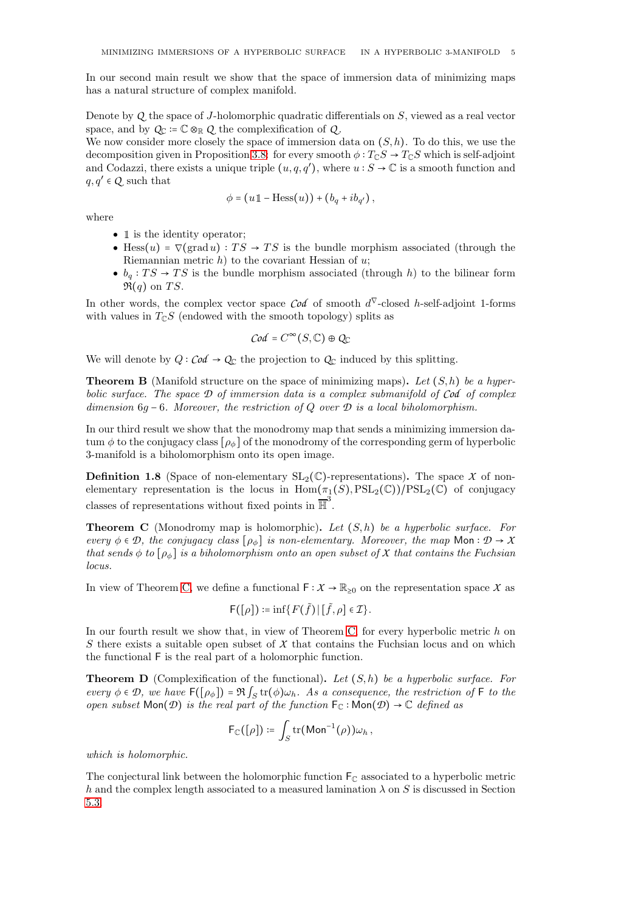In our second main result we show that the space of immersion data of minimizing maps has a natural structure of complex manifold.

Denote by *Q* the space of J-holomorphic quadratic differentials on S, viewed as a real vector space, and by  $Q_{\mathbb{C}} \coloneqq \mathbb{C} \otimes_{\mathbb{R}} Q$  the complexification of  $Q$ .

We now consider more closely the space of immersion data on  $(S, h)$ . To do this, we use the decomposition given in Proposition [3.8:](#page-16-1) for every smooth  $\phi: T_{\mathbb{C}}S \to T_{\mathbb{C}}S$  which is self-adjoint and Codazzi, there exists a unique triple  $(u, q, q')$ , where  $u : S \to \mathbb{C}$  is a smooth function and  $q, q' \in \mathcal{Q}$  such that

$$
\phi = (u \mathbb{1} - \text{Hess}(u)) + (b_q + ib_{q'})
$$

where

- 1 is the identity operator:
- Hess $(u)$  =  $\nabla(\text{grad } u) : TS \rightarrow TS$  is the bundle morphism associated (through the Riemannian metric  $h$ ) to the covariant Hessian of  $u$ ;
- $b_q: TS \to TS$  is the bundle morphism associated (through h) to the bilinear form  $\Re(q)$  on TS.

In other words, the complex vector space  $\text{Cod}$  of smooth  $d^{\nabla}$ -closed h-self-adjoint 1-forms with values in  $T_{\mathbb{C}}S$  (endowed with the smooth topology) splits as

$$
\mathcal{C}\mathit{od} = C^\infty(S, \mathbb{C}) \oplus Q_{\mathbb{C}}
$$

We will denote by  $Q: \mathcal{C} \circ d \to Q_{\mathbb{C}}$  the projection to  $Q_{\mathbb{C}}$  induced by this splitting.

**Theorem B** (Manifold structure on the space of minimizing maps). Let  $(S, h)$  be a hyperbolic surface. The space *D* of immersion data is a complex submanifold of *Cod* of complex dimension 6q − 6. Moreover, the restriction of Q over *D* is a local biholomorphism.

In our third result we show that the monodromy map that sends a minimizing immersion datum  $\phi$  to the conjugacy class  $[\rho_{\phi}]$  of the monodromy of the corresponding germ of hyperbolic 3-manifold is a biholomorphism onto its open image.

**Definition 1.8** (Space of non-elementary  $SL_2(\mathbb{C})$ -representations). The space X of nonelementary representation is the locus in  $Hom(\pi_1(S),PSL_2(\mathbb{C}))/PSL_2(\mathbb{C})$  of conjugacy classes of representations without fixed points in  $\overline{\mathbb{H}}^3$ .

<span id="page-4-0"></span>**Theorem C** (Monodromy map is holomorphic). Let  $(S, h)$  be a hyperbolic surface. For every  $\phi \in \mathcal{D}$ , the conjugacy class  $[\rho_{\phi}]$  is non-elementary. Moreover, the map Mon:  $\mathcal{D} \to X$ that sends  $\phi$  to  $[\rho_{\phi}]$  is a biholomorphism onto an open subset of *X* that contains the Fuchsian locus.

In view of Theorem [C,](#page-4-0) we define a functional  $F: X \to \mathbb{R}_{\geq 0}$  on the representation space X as

$$
\mathsf{F}([\rho]):=\inf\{F(\tilde{f})\,|\,[\tilde{f},\rho]\in\mathcal{I}\}.
$$

In our fourth result we show that, in view of Theorem [C,](#page-4-0) for every hyperbolic metric  $h$  on S there exists a suitable open subset of  $X$  that contains the Fuchsian locus and on which the functional F is the real part of a holomorphic function.

<span id="page-4-1"></span>**Theorem D** (Complexification of the functional). Let  $(S, h)$  be a hyperbolic surface. For every  $\phi \in \mathcal{D}$ , we have  $F([\rho_{\phi}]) = \Re \int_S tr(\phi) \omega_h$ . As a consequence, the restriction of F to the open subset  $\textsf{Mon}(\mathcal{D})$  is the real part of the function  $\mathsf{F}_{\mathbb{C}}$ :  $\textsf{Mon}(\mathcal{D}) \to \mathbb{C}$  defined as

$$
\mathsf{F}_{\mathbb{C}}([\rho]):=\int_{S}\mathrm{tr}(\mathsf{Mon}^{-1}(\rho))\omega_h\,,
$$

which is holomorphic.

The conjectural link between the holomorphic function  $F_{\mathbb{C}}$  associated to a hyperbolic metric h and the complex length associated to a measured lamination  $\lambda$  on S is discussed in Section [5.3.](#page-25-3)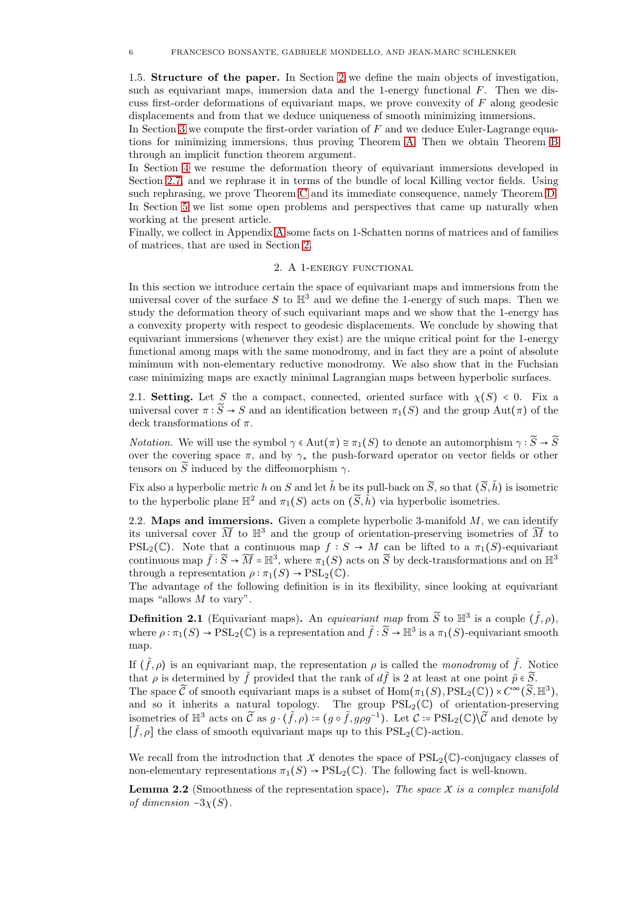1.5. Structure of the paper. In Section [2](#page-5-1) we define the main objects of investigation, such as equivariant maps, immersion data and the 1-energy functional  $F$ . Then we discuss first-order deformations of equivariant maps, we prove convexity of  $F$  along geodesic displacements and from that we deduce uniqueness of smooth minimizing immersions.

In Section [3](#page-13-0) we compute the first-order variation of  $F$  and we deduce Euler-Lagrange equations for minimizing immersions, thus proving Theorem [A.](#page-3-1) Then we obtain Theorem [B](#page-17-0) through an implicit function theorem argument.

In Section [4](#page-18-0) we resume the deformation theory of equivariant immersions developed in Section [2.7,](#page-9-0) and we rephrase it in terms of the bundle of local Killing vector fields. Using such rephrasing, we prove Theorem [C](#page-4-0) and its immediate consequence, namely Theorem [D.](#page-4-1) In Section [5](#page-25-0) we list some open problems and perspectives that came up naturally when working at the present article.

<span id="page-5-1"></span>Finally, we collect in Appendix [A](#page-26-1) some facts on 1-Schatten norms of matrices and of families of matrices, that are used in Section [2.](#page-5-1)

### 2. A 1-energy functional

In this section we introduce certain the space of equivariant maps and immersions from the universal cover of the surface S to  $\mathbb{H}^3$  and we define the 1-energy of such maps. Then we study the deformation theory of such equivariant maps and we show that the 1-energy has a convexity property with respect to geodesic displacements. We conclude by showing that equivariant immersions (whenever they exist) are the unique critical point for the 1-energy functional among maps with the same monodromy, and in fact they are a point of absolute minimum with non-elementary reductive monodromy. We also show that in the Fuchsian case minimizing maps are exactly minimal Lagrangian maps between hyperbolic surfaces.

<span id="page-5-2"></span>2.1. Setting. Let S the a compact, connected, oriented surface with  $\chi(S) < 0$ . Fix a universal cover  $\pi : \widetilde{S} \to S$  and an identification between  $\pi_1(S)$  and the group Aut( $\pi$ ) of the deck transformations of  $\pi$ .

*Notation.* We will use the symbol  $\gamma \in Aut(\pi) \cong \pi_1(S)$  to denote an automorphism  $\gamma : \widetilde{S} \to \widetilde{S}$ over the covering space  $\pi$ , and by  $\gamma_*$  the push-forward operator on vector fields or other tensors on  $\widetilde{S}$  induced by the diffeomorphism  $\gamma$ .

Fix also a hyperbolic metric h on S and let  $\tilde{h}$  be its pull-back on  $\tilde{S}$ , so that  $(\tilde{S}, \tilde{h})$  is isometric to the hyperbolic plane  $\mathbb{H}^2$  and  $\pi_1(S)$  acts on  $(\widetilde{S}, \widetilde{h})$  via hyperbolic isometries.

<span id="page-5-3"></span>2.2. Maps and immersions. Given a complete hyperbolic 3-manifold  $M$ , we can identify its universal cover  $\widetilde{M}$  to  $\mathbb{H}^3$  and the group of orientation-preserving isometries of  $\widetilde{M}$  to PSL<sub>2</sub>( $\mathbb{C}$ ). Note that a continuous map  $f : S \to M$  can be lifted to a  $\pi_1(S)$ -equivariant continuous map  $\tilde{f}: \tilde{S} \to \widetilde{M} = \mathbb{H}^3$ , where  $\pi_1(S)$  acts on  $\tilde{S}$  by deck-transformations and on  $\mathbb{H}^3$ through a representation  $\rho : \pi_1(S) \to \mathrm{PSL}_2(\mathbb{C})$ .

The advantage of the following definition is in its flexibility, since looking at equivariant maps "allows  $M$  to vary".

**Definition 2.1** (Equivariant maps). An equivariant map from  $\widetilde{S}$  to  $\mathbb{H}^3$  is a couple  $(\widetilde{f}, \rho)$ , where  $\rho : \pi_1(S) \to \text{PSL}_2(\mathbb{C})$  is a representation and  $\tilde{f} : \tilde{S} \to \mathbb{H}^3$  is a  $\pi_1(S)$ -equivariant smooth map.

If  $(\tilde{f}, \rho)$  is an equivariant map, the representation  $\rho$  is called the monodromy of  $\tilde{f}$ . Notice that  $\rho$  is determined by  $\tilde{f}$  provided that the rank of  $d\tilde{f}$  is 2 at least at one point  $\tilde{p} \in \tilde{S}$ . The space  $\widetilde{C}$  of smooth equivariant maps is a subset of  $\text{Hom}(\pi_1(S), \text{PSL}_2(\mathbb{C})) \times C^{\infty}(\widetilde{S}, \mathbb{H}^3)$ , and so it inherits a natural topology. The group  $PSL_2(\mathbb{C})$  of orientation-preserving isometries of  $\mathbb{H}^3$  acts on  $\widetilde{\mathcal{C}}$  as  $g \cdot (\widetilde{f}, \rho) \coloneqq (g \circ \widetilde{f}, g \rho g^{-1})$ . Let  $\mathcal{C} \coloneqq \mathrm{PSL}_2(\mathbb{C}) \setminus \widetilde{\mathcal{C}}$  and denote by  $[\tilde{f}, \rho]$  the class of smooth equivariant maps up to this  $\mathrm{PSL}_2(\mathbb{C})$ -action.

We recall from the introduction that *X* denotes the space of  $PSL_2(\mathbb{C})$ -conjugacy classes of non-elementary representations  $\pi_1(S) \to \text{PSL}_2(\mathbb{C})$ . The following fact is well-known.

<span id="page-5-4"></span>**Lemma 2.2** (Smoothness of the representation space). The space  $X$  is a complex manifold of dimension  $-3\chi(S)$ .

<span id="page-5-0"></span>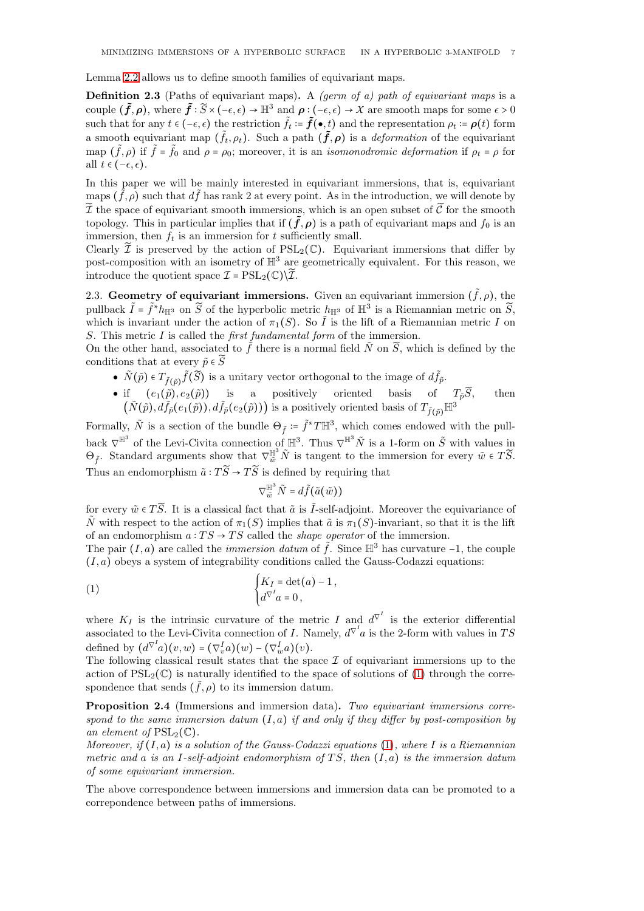Lemma [2.2](#page-5-4) allows us to define smooth families of equivariant maps.

**Definition 2.3** (Paths of equivariant maps). A *(germ of a) path of equivariant maps* is a couple  $(\tilde{f}, \rho)$ , where  $\tilde{f}: \widetilde{S} \times (-\epsilon, \epsilon) \to \mathbb{H}^3$  and  $\rho: (-\epsilon, \epsilon) \to X$  are smooth maps for some  $\epsilon > 0$ such that for any  $t \in (-\epsilon, \epsilon)$  the restriction  $\tilde{f}_t := \tilde{f}(\bullet, t)$  and the representation  $\rho_t := \rho(t)$  form a smooth equivariant map  $(\tilde{f}_t, \rho_t)$ . Such a path  $(\tilde{f}, \rho)$  is a *deformation* of the equivariant map  $(\tilde{f}, \rho)$  if  $\tilde{f} = \tilde{f}_0$  and  $\rho = \rho_0$ ; moreover, it is an *isomonodromic deformation* if  $\rho_t = \rho$  for all  $t \in (-\epsilon, \epsilon)$ .

In this paper we will be mainly interested in equivariant immersions, that is, equivariant  $\max_{\mathbf{x}} (\tilde{f}, \rho)$  such that  $d\tilde{f}$  has rank 2 at every point. As in the introduction, we will denote by  $\widetilde{\mathcal{I}}$  the space of equivariant smooth immersions, which is an open subset of  $\widetilde{\mathcal{C}}$  for the smooth topology. This in particular implies that if  $(\tilde{f}, \rho)$  is a path of equivariant maps and  $f_0$  is an immersion, then  $f_t$  is an immersion for t sufficiently small.

Clearly  $\tilde{\mathcal{I}}$  is preserved by the action of PSL<sub>2</sub>(C). Equivariant immersions that differ by post-composition with an isometry of  $\mathbb{H}^3$  are geometrically equivalent. For this reason, we introduce the quotient space  $\mathcal{I} = \mathrm{PSL}_2(\mathbb{C})\backslash\widetilde{\mathcal{I}}$ .

<span id="page-6-0"></span>2.3. Geometry of equivariant immersions. Given an equivariant immersion  $(\tilde{f}, \rho)$ , the pullback  $\tilde{I} = \tilde{f}^* h_{\mathbb{H}^3}$  on  $\tilde{S}$  of the hyperbolic metric  $h_{\mathbb{H}^3}$  of  $\mathbb{H}^3$  is a Riemannian metric on  $\tilde{S}$ , which is invariant under the action of  $\pi_1(S)$ . So  $\tilde{I}$  is the lift of a Riemannian metric I on S. This metric  $I$  is called the *first fundamental form* of the immersion.

On the other hand, associated to  $\tilde{f}$  there is a normal field  $\tilde{N}$  on  $\tilde{S}$ , which is defined by the conditions that at every  $\tilde{p} \in \tilde{S}$ 

- $\tilde{N}(\tilde{p}) \in T_{\tilde{f}(\tilde{p})} \tilde{f}(\tilde{S})$  is a unitary vector orthogonal to the image of  $d\tilde{f}_{\tilde{p}}$ .
- if  $(e_1(\tilde{p}), e_2(\tilde{p}))$  is a positively oriented basis of  $T_{\tilde{p}}\tilde{S}$ , then  $(\tilde{N}(\tilde{p}), d\tilde{f}_{\tilde{p}}(e_1(\tilde{p})), d\tilde{f}_{\tilde{p}}(e_2(\tilde{p})))$  is a positively oriented basis of  $T_{\tilde{f}(\tilde{p})} \mathbb{H}^3$

Formally,  $\tilde{N}$  is a section of the bundle  $\Theta_{\tilde{f}} \coloneqq \tilde{f}^*T\mathbb{H}^3$ , which comes endowed with the pullback  $\nabla^{\mathbb{H}^3}$  of the Levi-Civita connection of  $\mathbb{H}^3$ . Thus  $\nabla^{\mathbb{H}^3} \tilde{N}$  is a 1-form on  $\tilde{S}$  with values in  $\Theta_{\tilde{f}}$ . Standard arguments show that  $\nabla_{\tilde{w}}^{\mathbb{H}^3} \tilde{N}$  is tangent to the immersion for every  $\tilde{w} \in T\tilde{S}$ . Thus an endomorphism  $\tilde{a} : T\tilde{S} \to T\tilde{S}$  is defined by requiring that

<span id="page-6-1"></span>
$$
\nabla^{\mathbb{H}^3}_{\tilde{w}}\tilde{N}=d\tilde{f}\big(\tilde{a}\big(\tilde{w}\big)\big)
$$

for every  $\tilde{w} \in T\tilde{S}$ . It is a classical fact that  $\tilde{a}$  is  $\tilde{I}$ -self-adjoint. Moreover the equivariance of  $\tilde{N}$  with respect to the action of  $\pi_1(S)$  implies that  $\tilde{a}$  is  $\pi_1(S)$ -invariant, so that it is the lift of an endomorphism  $a: TS \rightarrow TS$  called the *shape operator* of the immersion.

The pair  $(I, a)$  are called the *immersion datum* of  $\tilde{f}$ . Since  $\mathbb{H}^3$  has curvature −1, the couple  $(I, a)$  obeys a system of integrability conditions called the Gauss-Codazzi equations:

(1) 
$$
\begin{cases} K_I = \det(a) - 1, \\ d^{\nabla^I} a = 0, \end{cases}
$$

where  $K_I$  is the intrinsic curvature of the metric I and  $d^{\nabla^I}$  is the exterior differential associated to the Levi-Civita connection of *I*. Namely,  $d^{\nabla^I}a$  is the 2-form with values in TS defined by  $(d^{\nabla^I}a)(v,w) = (\nabla^I_v a)(w) - (\nabla^I_w a)(v)$ .

The following classical result states that the space  $\mathcal I$  of equivariant immersions up to the action of  $PSL_2(\mathbb{C})$  is naturally identified to the space of solutions of [\(1\)](#page-6-1) through the correspondence that sends  $(\tilde{f}, \rho)$  to its immersion datum.

Proposition 2.4 (Immersions and immersion data). Two equivariant immersions correspond to the same immersion datum  $(I, a)$  if and only if they differ by post-composition by an element of  $PSL_2(\mathbb{C})$ .

Moreover, if  $(I, a)$  is a solution of the Gauss-Codazzi equations [\(1\)](#page-6-1), where I is a Riemannian metric and a is an I-self-adjoint endomorphism of TS, then  $(I, a)$  is the immersion datum of some equivariant immersion.

The above correspondence between immersions and immersion data can be promoted to a correpondence between paths of immersions.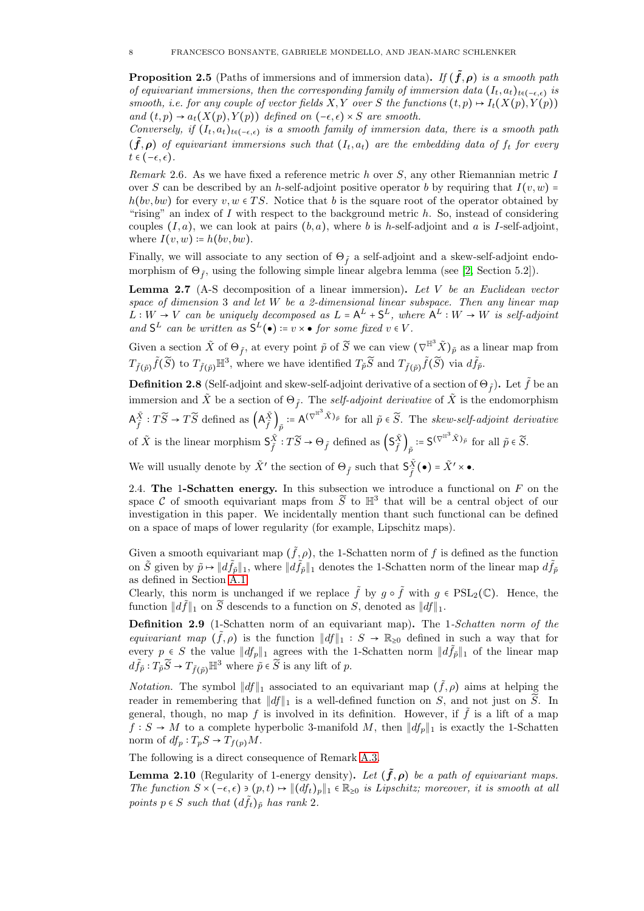**Proposition 2.5** (Paths of immersions and of immersion data). If  $(\tilde{f}, \rho)$  is a smooth path of equivariant immersions, then the corresponding family of immersion data  $(I_t, a_t)_{t \in (-\epsilon, \epsilon)}$  is smooth, i.e. for any couple of vector fields X, Y over S the functions  $(t, p) \mapsto I_t(X(p), Y(p))$ and  $(t, p) \rightarrow a_t(X(p), Y(p))$  defined on  $(-\epsilon, \epsilon) \times S$  are smooth.

Conversely, if  $(I_t, a_t)_{t \in (-\epsilon, \epsilon)}$  is a smooth family of immersion data, there is a smooth path  $(f, \rho)$  of equivariant immersions such that  $(I_t, a_t)$  are the embedding data of  $f_t$  for every  $t \in (-\epsilon, \epsilon).$ 

Remark 2.6. As we have fixed a reference metric h over  $S$ , any other Riemannian metric I over S can be described by an h-self-adjoint positive operator b by requiring that  $I(v, w)$  =  $h(bv, bw)$  for every  $v, w \in TS$ . Notice that b is the square root of the operator obtained by "rising" an index of  $I$  with respect to the background metric  $h$ . So, instead of considering couples  $(I, a)$ , we can look at pairs  $(b, a)$ , where b is h-self-adjoint and a is I-self-adjoint, where  $I(v, w) \coloneqq h(bv, bw)$ .

Finally, we will associate to any section of  $\Theta_{\tilde{f}}$  a self-adjoint and a skew-self-adjoint endomorphism of  $\Theta_{\tilde{f}}$ , using the following simple linear algebra lemma (see [\[2,](#page-28-5) Section 5.2]).

<span id="page-7-2"></span>**Lemma 2.7** (A-S decomposition of a linear immersion). Let  $V$  be an Euclidean vector space of dimension 3 and let W be a 2-dimensional linear subspace. Then any linear map  $L: W \to V$  can be uniquely decomposed as  $L = A^L + S^L$ , where  $A^L: W \to W$  is self-adjoint and  $S^L$  can be written as  $S^L(\bullet) := v \times \bullet$  for some fixed  $v \in V$ .

Given a section  $\tilde{X}$  of  $\Theta_{\tilde{f}}$ , at every point  $\tilde{p}$  of  $\tilde{S}$  we can view  $(\nabla^{\mathbb{H}^3} \tilde{X})_{\tilde{p}}$  as a linear map from  $T_{\tilde{f}(\tilde{p})}\tilde{f}(\tilde{S})$  to  $T_{\tilde{f}(\tilde{p})}\mathbb{H}^3$ , where we have identified  $T_{\tilde{p}}\tilde{S}$  and  $T_{\tilde{f}(\tilde{p})}\tilde{f}(\tilde{S})$  via  $d\tilde{f}_{\tilde{p}}$ .

<span id="page-7-1"></span>**Definition 2.8** (Self-adjoint and skew-self-adjoint derivative of a section of  $\Theta_{\tilde{f}}$ ). Let  $\tilde{f}$  be an immersion and  $\tilde{X}$  be a section of  $\Theta_{\tilde{f}}$ . The self-adjoint derivative of  $\tilde{X}$  is the endomorphism  $\mathsf{A}^{\tilde{X}}_{\tilde{\mathsf{a}}}$  $\frac{\tilde{X}}{\tilde{f}}: T\widetilde{S} \to T\widetilde{S}$  defined as  $(A_{\tilde{f}}^{\tilde{X}})$  $\left(\frac{\tilde{X}}{\tilde{f}}\right)_{\tilde{p}} := A^{(\nabla^{\mathbb{H}^3} \tilde{X})_{\tilde{p}}}$  for all  $\tilde{p} \in \tilde{S}$ . The skew-self-adjoint derivative of  $\tilde{X}$  is the linear morphism  $\mathsf{S}_{\tilde{\mathfrak{s}}}^{\tilde{X}}$  $\tilde{X}$  :  $T\widetilde{S} \to \Theta_{\tilde{f}}$  defined as  $\left(\mathsf{S}_{\tilde{f}}^{\tilde{X}}\right)$  $\big(\tilde{\tilde{X}}\big)_{\tilde{p}} \coloneqq \mathsf{S}^{(\nabla^{\mathbb{H}^3} \tilde{X})_{\tilde{p}}}$  for all  $\tilde{p} \in \widetilde{S}$ .

We will usually denote by  $\tilde{X}'$  the section of  $\Theta_{\tilde{f}}$  such that  $\mathsf{S}^{\tilde{X}}_{\tilde{f}}$  $\frac{\tilde{X}}{\tilde{f}}(\bullet) = \tilde{X}' \times \bullet.$ 

<span id="page-7-0"></span>2.4. The 1-Schatten energy. In this subsection we introduce a functional on  $F$  on the space C of smooth equivariant maps from  $\widetilde{S}$  to  $\mathbb{H}^3$  that will be a central object of our investigation in this paper. We incidentally mention thant such functional can be defined on a space of maps of lower regularity (for example, Lipschitz maps).

Given a smooth equivariant map  $(\tilde{f}, \rho)$ , the 1-Schatten norm of f is defined as the function on  $\tilde{S}$  given by  $\tilde{p} \mapsto ||d\tilde{f}_{\tilde{p}}||_1$ , where  $||d\tilde{f}_{\tilde{p}}||_1$  denotes the 1-Schatten norm of the linear map  $d\tilde{f}_{\tilde{p}}$ as defined in Section [A.1.](#page-26-2)

Clearly, this norm is unchanged if we replace  $\tilde{f}$  by  $g \circ \tilde{f}$  with  $g \in \text{PSL}_2(\mathbb{C})$ . Hence, the function  $||d\tilde{f}||_1$  on  $\tilde{S}$  descends to a function on S, denoted as  $||df||_1$ .

Definition 2.9 (1-Schatten norm of an equivariant map). The 1-Schatten norm of the equivariant map  $(\tilde{f}, \rho)$  is the function  $||df||_1 : S \to \mathbb{R}_{\geq 0}$  defined in such a way that for every  $p \in S$  the value  $||df_p||_1$  agrees with the 1-Schatten norm  $||d\tilde{f}_p||_1$  of the linear map  $d\tilde{f}_{\tilde{p}}: T_{\tilde{p}}\tilde{S} \to T_{\tilde{f}(\tilde{p})}\mathbb{H}^3$  where  $\tilde{p} \in \tilde{S}$  is any lift of p.

*Notation*. The symbol  $||df||_1$  associated to an equivariant map  $(\tilde{f}, \rho)$  aims at helping the reader in remembering that  $||df||_1$  is a well-defined function on S, and not just on  $\tilde{S}$ . In general, though, no map f is involved in its definition. However, if  $\tilde{f}$  is a lift of a map  $f : S \to M$  to a complete hyperbolic 3-manifold M, then  $||df_p||_1$  is exactly the 1-Schatten norm of  $df_p: T_pS \to T_{f(p)}M$ .

The following is a direct consequence of Remark [A.3.](#page-26-4)

**Lemma 2.10** (Regularity of 1-energy density). Let  $(\tilde{f}, \rho)$  be a path of equivariant maps. The function  $S \times (-\epsilon, \epsilon) \ni (p, t) \mapsto ||(df_t)_p||_1 \in \mathbb{R}_{\geq 0}$  is Lipschitz; moreover, it is smooth at all points  $p \in S$  such that  $(d\tilde{f}_t)_{\tilde{p}}$  has rank 2.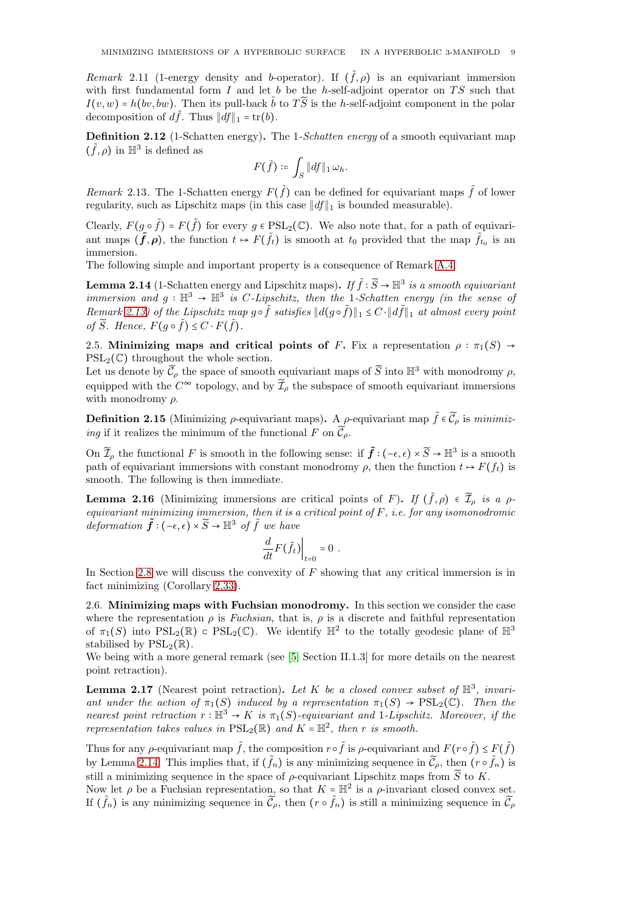Remark 2.11 (1-energy density and b-operator). If  $(\tilde{f}, \rho)$  is an equivariant immersion with first fundamental form  $I$  and let  $b$  be the h-self-adjoint operator on  $TS$  such that  $I(v, w) = h(bv, bw)$ . Then its pull-back  $\tilde{b}$  to  $T\tilde{S}$  is the h-self-adjoint component in the polar decomposition of  $d\tilde{f}$ . Thus  $||df||_1 = \text{tr}(b)$ .

Definition 2.12 (1-Schatten energy). The 1-Schatten energy of a smooth equivariant map  $(\tilde f, \rho)$  in  $\mathbb{H}^3$  is defined as

$$
F(\tilde{f})\coloneqq \int_S \|df\|_1 \, \omega_h.
$$

<span id="page-8-2"></span>Remark 2.13. The 1-Schatten energy  $F(\tilde{f})$  can be defined for equivariant maps  $\tilde{f}$  of lower regularity, such as Lipschitz maps (in this case  $||df||_1$  is bounded measurable).

Clearly,  $F(g \circ \tilde{f}) = F(\tilde{f})$  for every  $g \in \text{PSL}_2(\mathbb{C})$ . We also note that, for a path of equivariant maps  $(\tilde{f}, \rho)$ , the function  $t \mapsto F(\tilde{f}_t)$  is smooth at  $t_0$  provided that the map  $\tilde{f}_{t_0}$  is an immersion.

The following simple and important property is a consequence of Remark [A.4.](#page-26-5)

<span id="page-8-3"></span>**Lemma 2.14** (1-Schatten energy and Lipschitz maps). If  $\tilde{f}$  :  $\widetilde{S} \to \mathbb{H}^3$  is a smooth equivariant immersion and  $g: \mathbb{H}^3 \to \mathbb{H}^3$  is C-Lipschitz, then the 1-Schatten energy (in the sense of Remark [2.13\)](#page-8-2) of the Lipschitz map  $g \circ \tilde{f}$  satisfies  $||d(g \circ \tilde{f})||_1 \leq C \cdot ||d\tilde{f}||_1$  at almost every point of  $\widetilde{S}$ . Hence,  $F(g \circ \widetilde{f}) \leq C \cdot F(\widetilde{f})$ .

<span id="page-8-0"></span>2.5. Minimizing maps and critical points of F. Fix a representation  $\rho : \pi_1(S) \rightarrow$  $PSL_2(\mathbb{C})$  throughout the whole section.

Let us denote by  $\tilde{\mathcal{C}}_{\rho}$  the space of smooth equivariant maps of  $\tilde{S}$  into  $\mathbb{H}^3$  with monodromy  $\rho$ , equipped with the  $C^{\infty}$  topology, and by  $\widetilde{\mathcal{I}}_{\rho}$  the subspace of smooth equivariant immersions with monodromy  $\rho$ .

**Definition 2.15** (Minimizing  $\rho$ -equivariant maps). A  $\rho$ -equivariant map  $\tilde{f} \in \tilde{C}_\rho$  is minimizing if it realizes the minimum of the functional F on  $\tilde{\mathcal{C}}_{\rho}$ .

On  $\widetilde{\mathcal{I}}_\rho$  the functional F is smooth in the following sense: if  $\tilde{f}$  :  $(-\epsilon, \epsilon) \times \widetilde{S} \to \mathbb{H}^3$  is a smooth path of equivariant immersions with constant monodromy  $\rho$ , then the function  $t \mapsto F(f_t)$  is smooth. The following is then immediate.

**Lemma 2.16** (Minimizing immersions are critical points of F). If  $(\tilde{f}, \rho) \in \tilde{\mathcal{I}}_{\rho}$  is a  $\rho$ equivariant minimizing immersion, then it is a critical point of  $F$ , i.e. for any isomonodromic deformation  $\tilde{f}: (-\epsilon, \epsilon) \times \tilde{S} \to \mathbb{H}^3$  of  $\tilde{f}$  we have

$$
\left.\frac{d}{dt}F\big(\tilde f_t\big)\right|_{t=0}=0\ .
$$

In Section [2.8](#page-12-0) we will discuss the convexity of  $F$  showing that any critical immersion is in fact minimizing (Corollary [2.33\)](#page-13-1).

<span id="page-8-1"></span>2.6. Minimizing maps with Fuchsian monodromy. In this section we consider the case where the representation  $\rho$  is Fuchsian, that is,  $\rho$  is a discrete and faithful representation of  $\pi_1(S)$  into  $PSL_2(\mathbb{R}) \subset PSL_2(\mathbb{C})$ . We identify  $\mathbb{H}^2$  to the totally geodesic plane of  $\mathbb{H}^3$ stabilised by  $PSL_2(\mathbb{R})$ .

We being with a more general remark (see [\[5,](#page-28-9) Section II.1.3] for more details on the nearest point retraction).

**Lemma 2.17** (Nearest point retraction). Let K be a closed convex subset of  $\mathbb{H}^3$ , invariant under the action of  $\pi_1(S)$  induced by a representation  $\pi_1(S) \to \text{PSL}_2(\mathbb{C})$ . Then the nearest point retraction  $r : \mathbb{H}^3 \to K$  is  $\pi_1(S)$ -equivariant and 1-Lipschitz. Moreover, if the representation takes values in  $PSL_2(\mathbb{R})$  and  $K = \mathbb{H}^2$ , then r is smooth.

Thus for any  $\rho$ -equivariant map  $\tilde{f}$ , the composition  $r \circ \tilde{f}$  is  $\rho$ -equivariant and  $F(r \circ \tilde{f}) \leq F(\tilde{f})$ by Lemma [2.14.](#page-8-3) This implies that, if  $(\tilde{f}_n)$  is any minimizing sequence in  $\tilde{\mathcal{C}}_{\rho}$ , then  $(r \circ \tilde{f}_n)$  is still a minimizing sequence in the space of  $\rho$ -equivariant Lipschitz maps from  $\widetilde{S}$  to K.

Now let  $\rho$  be a Fuchsian representation, so that  $K = \mathbb{H}^2$  is a  $\rho$ -invariant closed convex set. If  $(\tilde{f}_n)$  is any minimizing sequence in  $\tilde{\mathcal{C}}_{\rho}$ , then  $(r \circ \tilde{f}_n)$  is still a minimizing sequence in  $\tilde{\mathcal{C}}_{\rho}$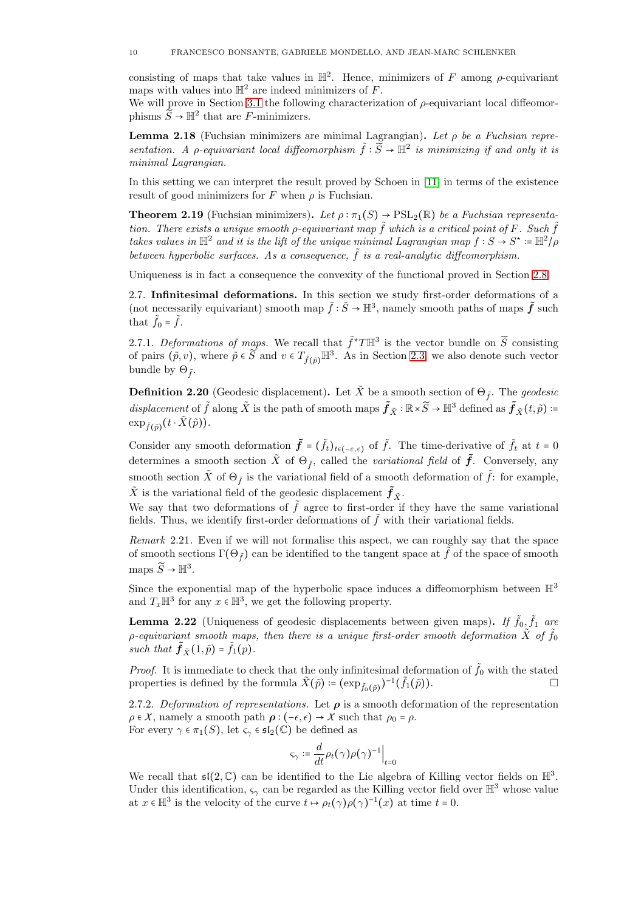consisting of maps that take values in  $\mathbb{H}^2$ . Hence, minimizers of F among  $\rho$ -equivariant maps with values into  $\mathbb{H}^2$  are indeed minimizers of F.

We will prove in Section [3.1](#page-14-0) the following characterization of  $\rho$ -equivariant local diffeomorphisms  $\widetilde{S} \to \mathbb{H}^2$  that are F-minimizers.

<span id="page-9-1"></span>**Lemma 2.18** (Fuchsian minimizers are minimal Lagrangian). Let  $\rho$  be a Fuchsian representation. A  $\rho$ -equivariant local diffeomorphism  $\tilde{f} : \tilde{S} \to \mathbb{H}^2$  is minimizing if and only it is minimal Lagrangian.

In this setting we can interpret the result proved by Schoen in [\[11\]](#page-28-10) in terms of the existence result of good minimizers for  $F$  when  $\rho$  is Fuchsian.

<span id="page-9-2"></span>**Theorem 2.19** (Fuchsian minimizers). Let  $\rho : \pi_1(S) \to \text{PSL}_2(\mathbb{R})$  be a Fuchsian representation. There exists a unique smooth  $\rho$ -equivariant map  $\tilde{f}$  which is a critical point of F. Such  $\tilde{f}$ takes values in  $\mathbb{H}^2$  and it is the lift of the unique minimal Lagrangian map  $f : S \to S^* \coloneqq \mathbb{H}^2/\rho$ between hyperbolic surfaces. As a consequence,  $\tilde{f}$  is a real-analytic diffeomorphism.

<span id="page-9-0"></span>Uniqueness is in fact a consequence the convexity of the functional proved in Section [2.8.](#page-12-0)

2.7. Infinitesimal deformations. In this section we study first-order deformations of a (not necessarily equivariant) smooth map  $\tilde{f} : \tilde{S} \to \mathbb{H}^3$ , namely smooth paths of maps  $\tilde{f}$  such that  $f_0 = f$ .

2.7.1. Deformations of maps. We recall that  $\tilde{f}^*T\mathbb{H}^3$  is the vector bundle on  $\tilde{S}$  consisting of pairs  $(\tilde{p}, v)$ , where  $\tilde{p} \in \tilde{S}$  and  $v \in T_{\tilde{f}(\tilde{p})} \mathbb{H}^3$ . As in Section [2.3,](#page-6-0) we also denote such vector bundle by  $\Theta_{\tilde{f}}$ .

**Definition 2.20** (Geodesic displacement). Let  $\tilde{X}$  be a smooth section of  $\Theta_{\tilde{f}}$ . The *geodesic*  $displacement$  of  $\tilde{f}$  along  $\tilde{X}$  is the path of smooth maps  $\tilde{f}_{\tilde{X}} : \mathbb{R} \times \widetilde{S} \to \mathbb{H}^3$  defined as  $\tilde{f}_{\tilde{X}}(t, \tilde{p})$  :=  $\exp_{\tilde{f}(\tilde{p})}(t\cdot \tilde{X}(\tilde{p})).$ 

Consider any smooth deformation  $\tilde{f} = (\tilde{f}_t)_{t \in (-\varepsilon,\varepsilon)}$  of  $\tilde{f}$ . The time-derivative of  $\tilde{f}_t$  at  $t = 0$ determines a smooth section  $\tilde{X}$  of  $\Theta_{\tilde{f}}$ , called the *variational field* of  $\tilde{f}$ . Conversely, any smooth section  $\tilde{X}$  of  $\Theta_{\tilde{f}}$  is the variational field of a smooth deformation of  $\tilde{f}$ : for example,  $\tilde{X}$  is the variational field of the geodesic displacement  $\tilde{\pmb{f}}_{\tilde{X}}.$ 

We say that two deformations of  $\tilde{f}$  agree to first-order if they have the same variational fields. Thus, we identify first-order deformations of  $\tilde{f}$  with their variational fields.

Remark 2.21. Even if we will not formalise this aspect, we can roughly say that the space of smooth sections  $\Gamma(\Theta_{\tilde{f}})$  can be identified to the tangent space at f of the space of smooth maps  $\widetilde{S} \to \mathbb{H}^3$ .

Since the exponential map of the hyperbolic space induces a diffeomorphism between  $\mathbb{H}^3$ and  $T_x \mathbb{H}^3$  for any  $x \in \mathbb{H}^3$ , we get the following property.

**Lemma 2.22** (Uniqueness of geodesic displacements between given maps). If  $\tilde{f}_0, \tilde{f}_1$  are p-equivariant smooth maps, then there is a unique first-order smooth deformation  $\tilde{X}$  of  $\tilde{f}_0$ such that  $\tilde{f}_{\tilde{X}}(1,\tilde{p}) = \tilde{f}_1(p)$ .

*Proof.* It is immediate to check that the only infinitesimal deformation of  $\tilde{f}_0$  with the stated properties is defined by the formula  $\tilde{X}(\tilde{p}) \coloneqq (\exp_{\tilde{f}_0(\tilde{p})})^{-1}(\tilde{f}_1(\tilde{p})).$ 

2.7.2. Deformation of representations. Let  $\rho$  is a smooth deformation of the representation  $\rho \in X$ , namely a smooth path  $\rho : (-\epsilon, \epsilon) \to X$  such that  $\rho_0 = \rho$ . For every  $\gamma \in \pi_1(S)$ , let  $\varsigma_{\gamma} \in \mathfrak{sl}_2(\mathbb{C})$  be defined as

$$
\varsigma_{\gamma} \coloneqq \frac{d}{dt} \rho_t(\gamma) \rho(\gamma)^{-1} \Big|_{t=0}
$$

We recall that  $\mathfrak{sl}(2,\mathbb{C})$  can be identified to the Lie algebra of Killing vector fields on  $\mathbb{H}^3$ . Under this identification,  $\varsigma_{\gamma}$  can be regarded as the Killing vector field over  $\mathbb{H}^3$  whose value at  $x \in \mathbb{H}^3$  is the velocity of the curve  $t \mapsto \rho_t(\gamma) \rho(\gamma)^{-1}(x)$  at time  $t = 0$ .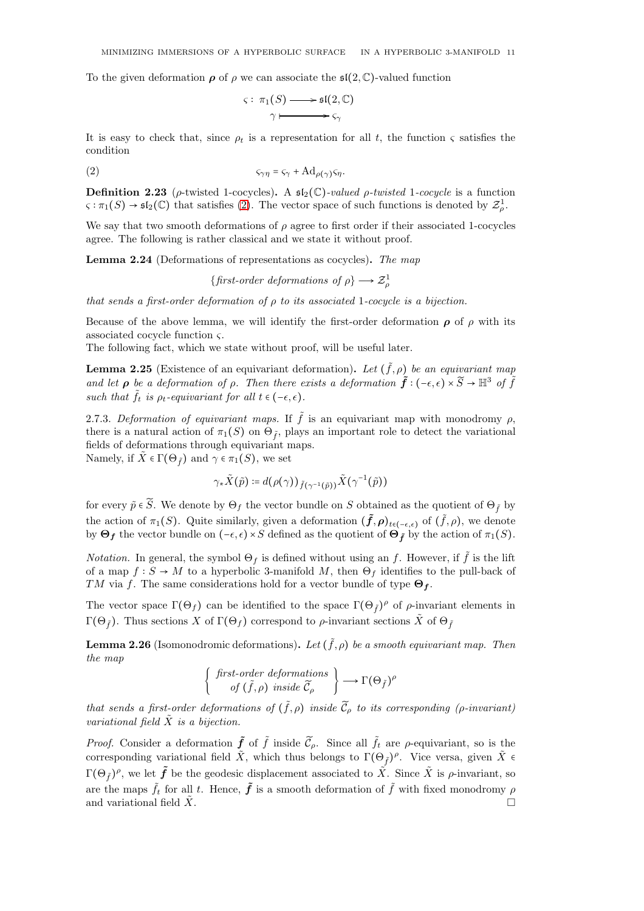To the given deformation  $\rho$  of  $\rho$  we can associate the  $\mathfrak{sl}(2,\mathbb{C})$ -valued function

<span id="page-10-0"></span>
$$
\varsigma: \pi_1(S) \longrightarrow \mathfrak{sl}(2,\mathbb{C})
$$

$$
\gamma \longmapsto \varsigma_{\gamma}
$$

It is easy to check that, since  $\rho_t$  is a representation for all t, the function  $\varsigma$  satisfies the condition

$$
\varsigma_{\gamma\eta} = \varsigma_{\gamma} + \mathrm{Ad}_{\rho(\gamma)}\varsigma_{\eta}.
$$

**Definition 2.23** ( $\rho$ -twisted 1-cocycles). A  $\mathfrak{sl}_2(\mathbb{C})$ -valued  $\rho$ -twisted 1-cocycle is a function  $\varsigma : \pi_1(S) \to \mathfrak{sl}_2(\mathbb{C})$  that satisfies [\(2\)](#page-10-0). The vector space of such functions is denoted by  $\mathcal{Z}^1_\rho$ .

We say that two smooth deformations of  $\rho$  agree to first order if their associated 1-cocycles agree. The following is rather classical and we state it without proof.

Lemma 2.24 (Deformations of representations as cocycles). The map

{first-order deformations of  $\rho$ }  $\longrightarrow \mathcal{Z}_{\rho}^1$ 

that sends a first-order deformation of  $\rho$  to its associated 1-cocycle is a bijection.

Because of the above lemma, we will identify the first-order deformation  $\rho$  of  $\rho$  with its associated cocycle function  $\varsigma$ .

The following fact, which we state without proof, will be useful later.

<span id="page-10-1"></span>**Lemma 2.25** (Existence of an equivariant deformation). Let  $(\tilde{f}, \rho)$  be an equivariant map and let  $\rho$  be a deformation of  $\rho$ . Then there exists a deformation  $\tilde{f}$  :  $(-\epsilon, \epsilon) \times \tilde{S} \to \mathbb{H}^3$  of  $\tilde{f}$ such that  $\tilde{f}_t$  is  $\rho_t$ -equivariant for all  $t \in (-\epsilon, \epsilon)$ .

2.7.3. Deformation of equivariant maps. If  $\tilde{f}$  is an equivariant map with monodromy  $\rho$ , there is a natural action of  $\pi_1(S)$  on  $\Theta_{\tilde{f}}$ , plays an important role to detect the variational fields of deformations through equivariant maps. Namely, if  $\overline{X} \in \Gamma(\Theta_{\tilde{r}})$  and  $\gamma \in \pi_1(S)$ , we set

$$
\sim
$$
 1.  $\sim$  1.  $\sim$  1.  $\sim$  1.  $\sim$  1.  $\sim$  1.  $\sim$  1.  $\sim$  1.  $\sim$  1.  $\sim$  1.  $\sim$  1.  $\sim$  1.  $\sim$  1.  $\sim$  1.  $\sim$  1.  $\sim$  1.  $\sim$  1.  $\sim$  1.  $\sim$  1.  $\sim$  1.  $\sim$  1.  $\sim$  1.  $\sim$  1.  $\sim$  1.  $\sim$  1.  $\sim$  1.  $\sim$  1.  $\sim$  1.  $\sim$  1.  $\sim$  1.  $\sim$  1.  $\sim$  1.  $\sim$  1.  $\sim$  1.  $\sim$  1.  $\sim$  1.  $\sim$  1.  $\sim$  1.  $\sim$  1.  $\sim$  1.  $\sim$  1.  $\sim$  1.  $\sim$  1.  $\sim$  1.  $\sim$  1.  $\sim$  1.  $\sim$  1.  $\sim$  1.  $\sim$  1.  $\sim$  1.  $\sim$  1.  $\sim$  1.  $\sim$  1.  $\sim$  1.  $\sim$  1.  $\sim$  1.  $\sim$  1.  $\sim$  1.  $\sim$ 

$$
\gamma_*\tilde{X}(\tilde{p}) \coloneqq d(\rho(\gamma))_{\tilde{f}(\gamma^{-1}(\tilde{p}))}\tilde{X}(\gamma^{-1}(\tilde{p}))
$$

for every  $\tilde{p} \in \tilde{S}$ . We denote by  $\Theta_f$  the vector bundle on S obtained as the quotient of  $\Theta_{\tilde{f}}$  by the action of  $\pi_1(S)$ . Quite similarly, given a deformation  $(\tilde{f}, \rho)_{t \in (-\epsilon, \epsilon)}$  of  $(\tilde{f}, \rho)$ , we denote by  $\Theta_f$  the vector bundle on  $(-\epsilon, \epsilon) \times S$  defined as the quotient of  $\Theta_f$  by the action of  $\pi_1(S)$ .

*Notation.* In general, the symbol  $\Theta_f$  is defined without using an f. However, if  $\tilde{f}$  is the lift of a map  $f : S \to M$  to a hyperbolic 3-manifold M, then  $\Theta_f$  identifies to the pull-back of TM via f. The same considerations hold for a vector bundle of type  $\Theta_f$ .

The vector space  $\Gamma(\Theta_f)$  can be identified to the space  $\Gamma(\Theta_{\tilde{f}})^\rho$  of  $\rho$ -invariant elements in Γ(Θ<sub>f</sub>). Thus sections X of Γ(Θ<sub>f</sub>) correspond to  $\rho$ -invariant sections  $\tilde{X}$  of Θ<sub>f</sub>

**Lemma 2.26** (Isomonodromic deformations). Let  $(\tilde{f}, \rho)$  be a smooth equivariant map. Then the map

$$
\begin{Bmatrix} first-order \ deformations \\ of \ (\tilde{f}, \rho) \ inside \ \tilde{C}_{\rho} \end{Bmatrix} \longrightarrow \Gamma(\Theta_{\tilde{f}})^{\rho}
$$

that sends a first-order deformations of  $(\tilde{f}, \rho)$  inside  $\widetilde{C}_{\rho}$  to its corresponding (*ρ*-invariant) variational field  $\tilde{X}$  is a bijection.

*Proof.* Consider a deformation  $\tilde{f}$  of  $\tilde{f}$  inside  $\tilde{C}_{\rho}$ . Since all  $\tilde{f}_t$  are  $\rho$ -equivariant, so is the corresponding variational field  $\tilde{X}$ , which thus belongs to  $\Gamma(\Theta_{\tilde{f}})^\rho$ . Vice versa, given  $\tilde{X}$   $\epsilon$  $\Gamma(\Theta_{\tilde{f}})^{\rho}$ , we let  $\tilde{f}$  be the geodesic displacement associated to  $\tilde{X}$ . Since  $\tilde{X}$  is  $\rho$ -invariant, so are the maps  $\tilde{f}_t$  for all t. Hence,  $\tilde{f}$  is a smooth deformation of  $\tilde{f}$  with fixed monodromy  $\rho$ and variational field  $\ddot{X}$ .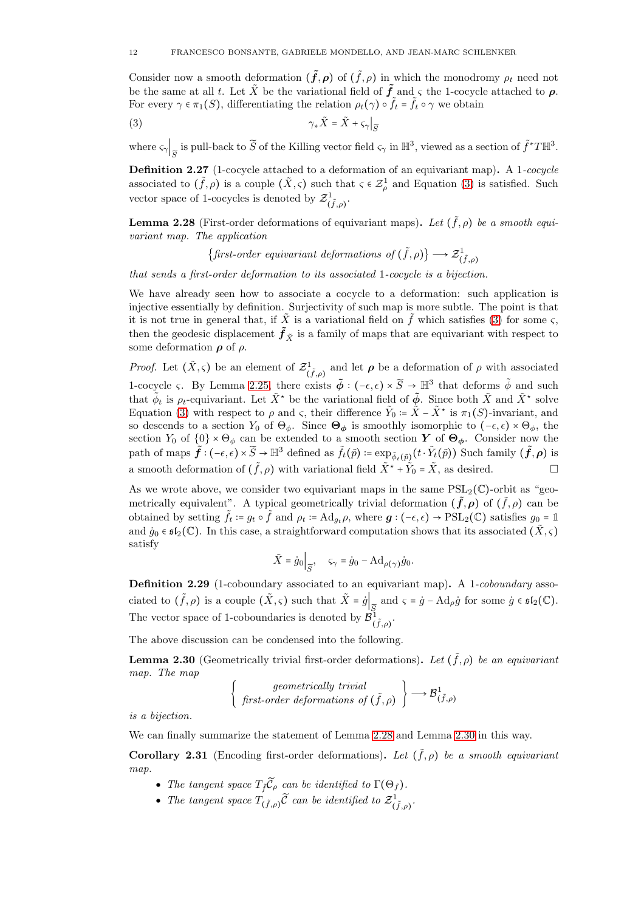Consider now a smooth deformation  $(\tilde{f}, \rho)$  of  $(\tilde{f}, \rho)$  in which the monodromy  $\rho_t$  need not be the same at all t. Let  $\tilde{X}$  be the variational field of  $\tilde{f}$  and  $\varsigma$  the 1-cocycle attached to  $\rho$ . For every  $\gamma \in \pi_1(S)$ , differentiating the relation  $\rho_t(\gamma) \circ \tilde{f}_t = \tilde{f}_t \circ \gamma$  we obtain

$$
\gamma_* \tilde{X} = \tilde{X} + \varsigma_{\gamma} \big|_{\widetilde{S}}
$$

where  $\varsigma_{\gamma}\Big|_{\widetilde{S}}$  is pull-back to  $\widetilde{S}$  of the Killing vector field  $\varsigma_{\gamma}$  in  $\mathbb{H}^3$ , viewed as a section of  $\widetilde{f}^*T\mathbb{H}^3$ .

**Definition 2.27** (1-cocycle attached to a deformation of an equivariant map). A 1-cocycle associated to  $(\tilde{f}, \rho)$  is a couple  $(\tilde{X}, \varsigma)$  such that  $\varsigma \in \mathcal{Z}_{\rho}^1$  and Equation [\(3\)](#page-11-0) is satisfied. Such vector space of 1-cocycles is denoted by  $\mathcal{Z}^1_{(\tilde{f},\rho)}$ .

<span id="page-11-1"></span>**Lemma 2.28** (First-order deformations of equivariant maps). Let  $(\tilde{f}, \rho)$  be a smooth equivariant map. The application

<span id="page-11-0"></span> $\{ \text{first-order equivariant deformations of } (\tilde{f}, \rho) \} \longrightarrow \mathcal{Z}^1_{(\tilde{f}, \rho)}$ 

that sends a first-order deformation to its associated 1-cocycle is a bijection.

We have already seen how to associate a cocycle to a deformation: such application is injective essentially by definition. Surjectivity of such map is more subtle. The point is that it is not true in general that, if  $\tilde{X}$  is a variational field on  $\tilde{f}$  which satisfies [\(3\)](#page-11-0) for some  $\varsigma$ , then the geodesic displacement  $\tilde{f}_{\tilde{X}}$  is a family of maps that are equivariant with respect to some deformation  $\rho$  of  $\rho$ .

*Proof.* Let  $(\tilde{X}, \varsigma)$  be an element of  $\mathcal{Z}^1_{(\tilde{f}, \rho)}$  and let  $\rho$  be a deformation of  $\rho$  with associated 1-cocycle  $\varsigma$ . By Lemma [2.25,](#page-10-1) there exists  $\tilde{\phi}: (-\epsilon, \epsilon) \times \tilde{S} \to \mathbb{H}^3$  that deforms  $\tilde{\phi}$  and such that  $\tilde{\phi}_t$  is  $\rho_t$ -equivariant. Let  $\tilde{X}^*$  be the variational field of  $\tilde{\phi}$ . Since both  $\tilde{X}$  and  $\tilde{X}^*$  solve Equation [\(3\)](#page-11-0) with respect to  $\rho$  and  $\varsigma$ , their difference  $\tilde{Y}_0 \coloneqq \tilde{X} - \tilde{X}^*$  is  $\pi_1(S)$ -invariant, and so descends to a section  $Y_0$  of  $\Theta_{\phi}$ . Since  $\Theta_{\phi}$  is smoothly isomorphic to  $(-\epsilon, \epsilon) \times \Theta_{\phi}$ , the section  $Y_0$  of  $\{0\} \times \Theta_{\phi}$  can be extended to a smooth section  $\boldsymbol{Y}$  of  $\Theta_{\phi}$ . Consider now the path of maps  $\tilde{f}$  :  $(-\epsilon, \epsilon) \times \tilde{S} \to \mathbb{H}^3$  defined as  $\tilde{f}_t(\tilde{p}) \coloneqq \exp_{\tilde{\phi}_t(\tilde{p})}(t \cdot \tilde{Y}_t(\tilde{p}))$  Such family  $(\tilde{f}, \rho)$  is a smooth deformation of  $(\tilde{f}, \rho)$  with variational field  $\tilde{X}^* + \tilde{Y}_0 = \tilde{X}$ , as desired.

As we wrote above, we consider two equivariant maps in the same  $PSL_2(\mathbb{C})$ -orbit as "geometrically equivalent". A typical geometrically trivial deformation  $(\tilde{f}, \rho)$  of  $(\tilde{f}, \rho)$  can be obtained by setting  $\tilde{f}_t := g_t \circ \tilde{f}$  and  $\rho_t := \text{Ad}_{g_t} \rho$ , where  $g : (-\epsilon, \epsilon) \to \text{PSL}_2(\mathbb{C})$  satisfies  $g_0 = \mathbb{1}$ and  $\dot{g}_0 \in \mathfrak{sl}_2(\mathbb{C})$ . In this case, a straightforward computation shows that its associated  $(\tilde{X}, \varsigma)$ satisfy

$$
\tilde{X} = \dot{g}_0 \Big|_{\widetilde{S}}, \quad \varsigma_\gamma = \dot{g}_0 - \mathrm{Ad}_{\rho(\gamma)} \dot{g}_0.
$$

**Definition 2.29** (1-coboundary associated to an equivariant map). A 1-coboundary associated to  $(\tilde{f}, \rho)$  is a couple  $(\tilde{X}, \varsigma)$  such that  $\tilde{X} = \dot{g} \Big|_{\widetilde{S}}$  and  $\varsigma = \dot{g} - \mathrm{Ad}_{\rho} \dot{g}$  for some  $\dot{g} \in \mathfrak{sl}_2(\mathbb{C})$ . The vector space of 1-coboundaries is denoted by  $\mathcal{B}^1_{(\tilde{f},\rho)}$ .

The above discussion can be condensed into the following.

<span id="page-11-2"></span>**Lemma 2.30** (Geometrically trivial first-order deformations). Let  $(\tilde{f}, \rho)$  be an equivariant map. The map

$$
\begin{Bmatrix} geometrically trivial \\ first-order deformations of  $(\tilde{f}, \rho)$  \end{Bmatrix} \longrightarrow \mathcal{B}^1_{(\tilde{f}, \rho)}
$$

is a bijection.

We can finally summarize the statement of Lemma [2.28](#page-11-1) and Lemma [2.30](#page-11-2) in this way.

<span id="page-11-3"></span>Corollary 2.31 (Encoding first-order deformations). Let  $(\tilde{f}, \rho)$  be a smooth equivariant map.

- The tangent space  $T_f\widetilde{C}_{\rho}$  can be identified to  $\Gamma(\Theta_f)$ .
- The tangent space  $T_{(\tilde{f}, \rho)}\tilde{\mathcal{C}}$  can be identified to  $\mathcal{Z}^1_{(\tilde{f}, \rho)}$ .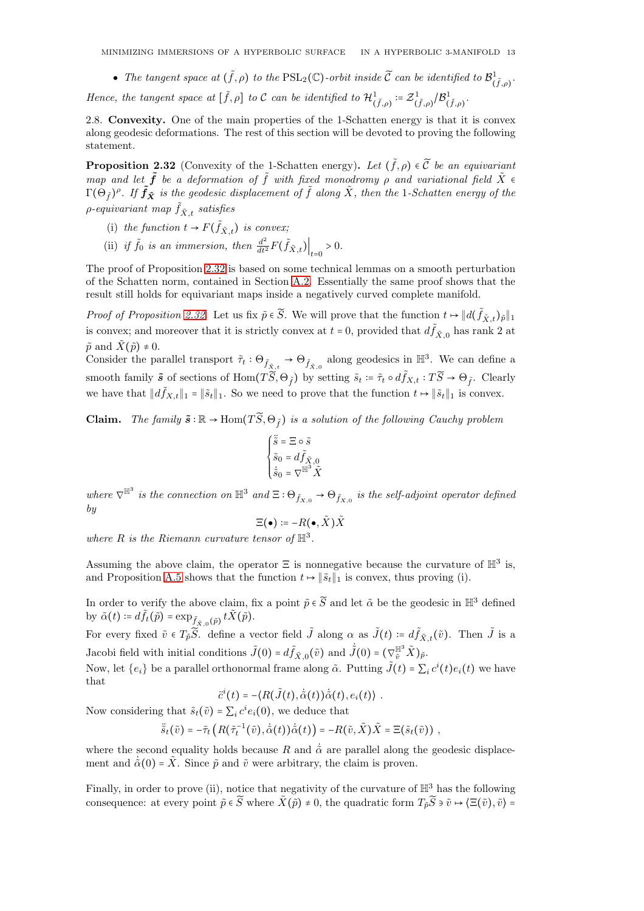• The tangent space at  $(\tilde{f}, \rho)$  to the  $\mathrm{PSL}_2(\mathbb{C})$ -orbit inside  $\widetilde{\mathcal{C}}$  can be identified to  $\mathcal{B}^1_{(\tilde{f}, \rho)}$ .

Hence, the tangent space at  $[\tilde{f}, \rho]$  to C can be identified to  $\mathcal{H}^1_{(\tilde{f}, \rho)} \coloneqq \mathcal{Z}^1_{(\tilde{f}, \rho)} / \mathcal{B}^1_{(\tilde{f}, \rho)}$ .

<span id="page-12-0"></span>2.8. Convexity. One of the main properties of the 1-Schatten energy is that it is convex along geodesic deformations. The rest of this section will be devoted to proving the following statement.

<span id="page-12-1"></span>**Proposition 2.32** (Convexity of the 1-Schatten energy). Let  $(\tilde{f}, \rho) \in \tilde{C}$  be an equivariant map and let  $\tilde{f}$  be a deformation of  $\tilde{f}$  with fixed monodromy  $\rho$  and variational field  $\tilde{X}$   $\in$  $\Gamma(\Theta_{\tilde f})^\rho.$  If  $\tilde f_{\tilde X}$  is the geodesic displacement of  $\tilde f$  along  $\tilde X,$  then the 1-Schatten energy of the  $\rho$ -equivariant map  $\tilde{f}_{\tilde{X},t}$  satisfies

- (i) the function  $t \to F(\tilde{f}_{\tilde{X},t})$  is convex;
- (ii) if  $\tilde{f}_0$  is an immersion, then  $\frac{d^2}{dt^2}F(\tilde{f}_{\tilde{X},t})\Big|_{t=0} > 0$ .

The proof of Proposition [2.32](#page-12-1) is based on some technical lemmas on a smooth perturbation of the Schatten norm, contained in Section [A.2.](#page-26-3) Essentially the same proof shows that the result still holds for equivariant maps inside a negatively curved complete manifold.

Proof of Proposition [2.32.](#page-12-1) Let us fix  $\tilde{p} \in \tilde{S}$ . We will prove that the function  $t \mapsto ||d(\tilde{f}_{\tilde{X},t})_{\tilde{p}}||_1$ is convex; and moreover that it is strictly convex at  $t = 0$ , provided that  $d\tilde{f}_{\tilde{X},0}$  has rank 2 at  $\tilde{p}$  and  $\tilde{X}(\tilde{p}) \neq 0$ .

Consider the parallel transport  $\tilde{\tau}_t : \Theta_{\tilde{f}_{\tilde{X},t}} \to \Theta_{\tilde{f}_{\tilde{X},0}}$  along geodesics in  $\mathbb{H}^3$ . We can define a smooth family  $\tilde{s}$  of sections of  $\text{Hom}(T\widetilde{S}, \Theta_{\tilde{f}})$  by setting  $\tilde{s}_t \coloneqq \tilde{\tau}_t \circ d\tilde{f}_{X,t} : T\widetilde{S} \to \Theta_{\tilde{f}}$ . Clearly we have that  $||d\tilde{f}_{X,t}||_1 = ||\tilde{s}_t||_1$ . So we need to prove that the function  $t \mapsto ||\tilde{s}_t||_1$  is convex.

**Claim.** The family  $\tilde{s} : \mathbb{R} \to \text{Hom}(T\tilde{S}, \Theta_{\tilde{f}})$  is a solution of the following Cauchy problem

$$
\begin{cases} \ddot{\tilde{s}} = \Xi \circ \tilde{s} \\ \tilde{s}_0 = d\tilde{f}_{\tilde{X},0} \\ \dot{\tilde{s}}_0 = \nabla^{\mathbb{H}^3} \tilde{X} \end{cases}
$$

where  $\nabla^{\mathbb{H}^3}$  is the connection on  $\mathbb{H}^3$  and  $\Xi: \Theta_{\tilde{f}_{X,0}} \to \Theta_{\tilde{f}_{X,0}}$  is the self-adjoint operator defined by

$$
\Xi(\bullet) \coloneqq -R(\bullet, \tilde{X})\tilde{X}
$$

where R is the Riemann curvature tensor of  $\mathbb{H}^3$ .

Assuming the above claim, the operator  $\Xi$  is nonnegative because the curvature of  $\mathbb{H}^3$  is, and Proposition [A.5](#page-26-6) shows that the function  $t \mapsto ||\tilde{s}_t||_1$  is convex, thus proving (i).

In order to verify the above claim, fix a point  $\tilde{p} \in \tilde{S}$  and let  $\tilde{\alpha}$  be the geodesic in  $\mathbb{H}^3$  defined by  $\tilde{\alpha}(t) \coloneqq d\tilde{f}_t(\tilde{p}) = \exp_{\tilde{f}_{\tilde{X},0}(\tilde{p})} t\tilde{X}(\tilde{p}).$ 

For every fixed  $\tilde{v} \in T_{\tilde{p}}\tilde{S}$ . define a vector field  $\tilde{J}$  along  $\alpha$  as  $\tilde{J}(t) \coloneqq d\tilde{f}_{\tilde{X},t}(\tilde{v})$ . Then  $\tilde{J}$  is a Jacobi field with initial conditions  $\tilde{J}(0) = d\tilde{f}_{\tilde{X},0}(\tilde{v})$  and  $\dot{\tilde{J}}(0) = (\nabla_{\tilde{v}}^{\mathbb{H}^3} \tilde{X})_{\tilde{p}}$ .

Now, let  $\{e_i\}$  be a parallel orthonormal frame along  $\tilde{\alpha}$ . Putting  $\tilde{J}(t) = \sum_i c^i(t) e_i(t)$  we have that

$$
\ddot{c}^i(t) = -\langle R(\tilde{J}(t), \dot{\tilde{\alpha}}(t))\dot{\tilde{\alpha}}(t), e_i(t)\rangle.
$$

Now considering that  $\tilde{s}_t(\tilde{v}) = \sum_i c^i e_i(0)$ , we deduce that

$$
\ddot{\tilde{s}}_t(\tilde{v}) = -\tilde{\tau}_t\left(R(\tilde{\tau}_t^{-1}(\tilde{v}), \dot{\tilde{\alpha}}(t))\dot{\tilde{\alpha}}(t)\right) = -R(\tilde{v}, \tilde{X})\tilde{X} = \Xi(\tilde{s}_t(\tilde{v})) ,
$$

where the second equality holds because R and  $\dot{\alpha}$  are parallel along the geodesic displacement and  $\dot{\tilde{\alpha}}(0) = \tilde{X}$ . Since  $\tilde{p}$  and  $\tilde{v}$  were arbitrary, the claim is proven.

Finally, in order to prove (ii), notice that negativity of the curvature of  $\mathbb{H}^3$  has the following consequence: at every point  $\tilde{p} \in \tilde{S}$  where  $\tilde{X}(\tilde{p}) \neq 0$ , the quadratic form  $T_{\tilde{p}}\tilde{S} \ni \tilde{v} \mapsto \langle \Xi(\tilde{v}), \tilde{v} \rangle =$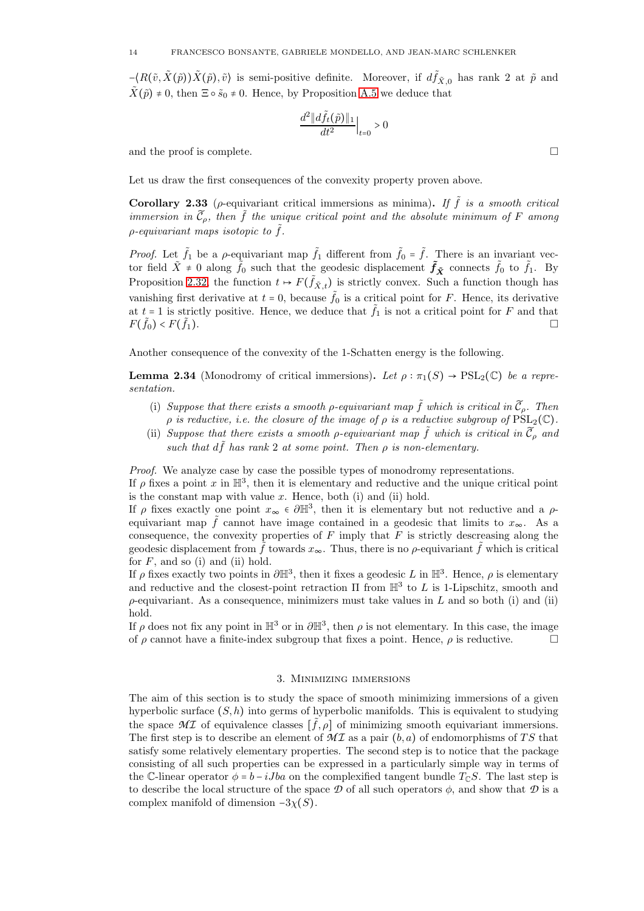$-\langle R(\tilde{v}, \tilde{X}(\tilde{p}))\tilde{X}(\tilde{p}), \tilde{v}\rangle$  is semi-positive definite. Moreover, if  $d\tilde{f}_{\tilde{X},0}$  has rank 2 at  $\tilde{p}$  and  $\tilde{X}(\tilde{p}) \neq 0$ , then  $\Xi \circ \tilde{s}_0 \neq 0$ . Hence, by Proposition [A.5](#page-26-6) we deduce that

$$
\frac{d^2 \|d\tilde{f}_t(\tilde{p})\|_1}{dt^2}\Big|_{t=0} > 0
$$

and the proof is complete.

Let us draw the first consequences of the convexity property proven above.

<span id="page-13-1"></span>Corollary 2.33 ( $\rho$ -equivariant critical immersions as minima). If  $\tilde{f}$  is a smooth critical immersion in  $\widetilde{\mathcal{C}}_{\rho}$ , then  $\widetilde{f}$  the unique critical point and the absolute minimum of F among  $\rho$ -equivariant maps isotopic to  $\tilde{f}$ .

*Proof.* Let  $\tilde{f}_1$  be a  $\rho$ -equivariant map  $\tilde{f}_1$  different from  $\tilde{f}_0 = \tilde{f}$ . There is an invariant vector field  $\tilde{X} \neq 0$  along  $\tilde{f}_0$  such that the geodesic displacement  $\tilde{f}_{\tilde{X}}$  connects  $\tilde{f}_0$  to  $\tilde{f}_1$ . By Proposition [2.32,](#page-12-1) the function  $t \mapsto F(\tilde{f}_{\tilde{X},t})$  is strictly convex. Such a function though has vanishing first derivative at  $t = 0$ , because  $\tilde{f}_0$  is a critical point for F. Hence, its derivative at  $t = 1$  is strictly positive. Hence, we deduce that  $\tilde{f}_1$  is not a critical point for F and that  $F(\tilde{f}_0) < F($  $\tilde{f}_1$ ).

Another consequence of the convexity of the 1-Schatten energy is the following.

<span id="page-13-2"></span>**Lemma 2.34** (Monodromy of critical immersions). Let  $\rho : \pi_1(S) \to \text{PSL}_2(\mathbb{C})$  be a representation.

- (i) Suppose that there exists a smooth  $\rho$ -equivariant map  $\tilde{f}$  which is critical in  $\tilde{C}_{\rho}$ . Then  $\rho$  is reductive, i.e. the closure of the image of  $\rho$  is a reductive subgroup of  $\text{PSL}_2(\mathbb{C})$ .
- (ii) Suppose that there exists a smooth  $\rho$ -equivariant map  $\tilde{f}$  which is critical in  $\tilde{C}_{\rho}$  and such that  $d\tilde{f}$  has rank 2 at some point. Then  $\rho$  is non-elementary.

Proof. We analyze case by case the possible types of monodromy representations.

If  $\rho$  fixes a point x in  $\mathbb{H}^3$ , then it is elementary and reductive and the unique critical point is the constant map with value  $x$ . Hence, both (i) and (ii) hold.

If  $\rho$  fixes exactly one point  $x_{\infty} \in \partial \mathbb{H}^3$ , then it is elementary but not reductive and a  $\rho$ equivariant map  $\tilde{f}$  cannot have image contained in a geodesic that limits to  $x_{\infty}$ . As a consequence, the convexity properties of  $F$  imply that  $F$  is strictly descreasing along the geodesic displacement from  $\tilde{f}$  towards  $x_{\infty}$ . Thus, there is no  $\rho$ -equivariant  $\tilde{f}$  which is critical for  $F$ , and so (i) and (ii) hold.

If  $\rho$  fixes exactly two points in  $\partial \mathbb{H}^3$ , then it fixes a geodesic L in  $\mathbb{H}^3$ . Hence,  $\rho$  is elementary and reductive and the closest-point retraction  $\Pi$  from  $\mathbb{H}^3$  to L is 1-Lipschitz, smooth and  $\rho$ -equivariant. As a consequence, minimizers must take values in L and so both (i) and (ii) hold.

If  $\rho$  does not fix any point in  $\mathbb{H}^3$  or in  $\partial \mathbb{H}^3$ , then  $\rho$  is not elementary. In this case, the image of  $\rho$  cannot have a finite-index subgroup that fixes a point. Hence,  $\rho$  is reductive.

### 3. Minimizing immersions

<span id="page-13-0"></span>The aim of this section is to study the space of smooth minimizing immersions of a given hyperbolic surface  $(S, h)$  into germs of hyperbolic manifolds. This is equivalent to studying the space  $\mathcal{MI}$  of equivalence classes  $[\tilde{f}, \rho]$  of minimizing smooth equivariant immersions. The first step is to describe an element of  $MT$  as a pair  $(b, a)$  of endomorphisms of TS that satisfy some relatively elementary properties. The second step is to notice that the package consisting of all such properties can be expressed in a particularly simple way in terms of the C-linear operator  $\phi = b - iJba$  on the complexified tangent bundle  $T_{\mathbb{C}}S$ . The last step is to describe the local structure of the space  $\mathcal D$  of all such operators  $\phi$ , and show that  $\mathcal D$  is a complex manifold of dimension  $-3\chi(S)$ .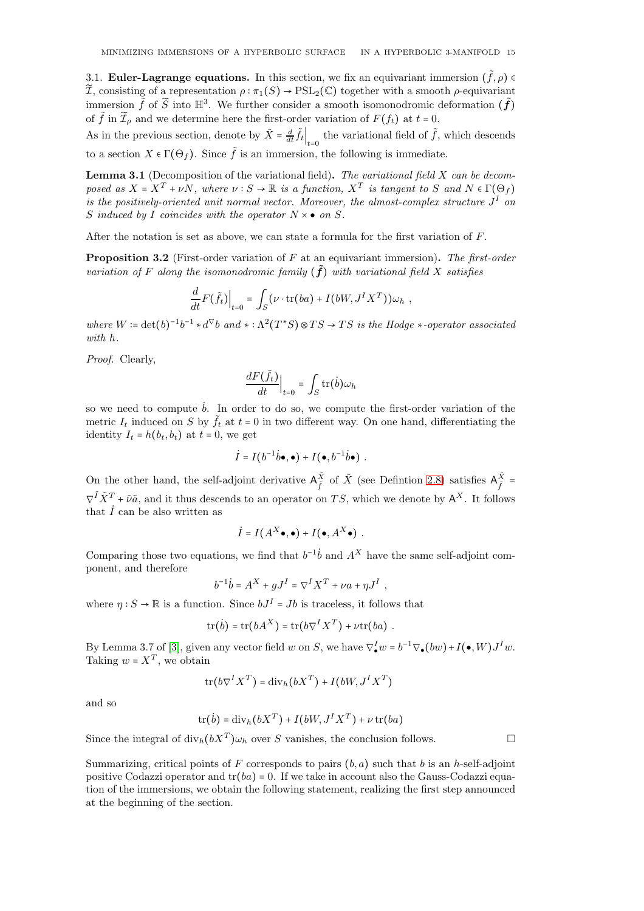<span id="page-14-0"></span>3.1. **Euler-Lagrange equations.** In this section, we fix an equivariant immersion  $(\tilde{f}, \rho)$  $\widetilde{\mathcal{I}}$ , consisting of a representation  $\rho : \pi_1(S) \to \mathrm{PSL}_2(\mathbb{C})$  together with a smooth  $\rho$ -equivariant immersion  $\tilde{f}$  of  $\tilde{S}$  into  $\mathbb{H}^3$ . We further consider a smooth isomonodromic deformation  $(\tilde{f})$ of  $\tilde{f}$  in  $\tilde{\mathcal{I}}_{\rho}$  and we determine here the first-order variation of  $F(f_t)$  at  $t = 0$ .

As in the previous section, denote by  $\tilde{X} = \frac{d}{dt} \tilde{f}_t \Big|_{t=0}$  the variational field of  $\tilde{f}$ , which descends to a section  $X \in \Gamma(\Theta_f)$ . Since  $\tilde{f}$  is an immersion, the following is immediate.

**Lemma 3.1** (Decomposition of the variational field). The variational field X can be decomposed as  $X = X^T + \nu N$ , where  $\nu : S \to \mathbb{R}$  is a function,  $X^T$  is tangent to S and  $N \in \Gamma(\Theta_f)$ is the positively-oriented unit normal vector. Moreover, the almost-complex structure  $J<sup>I</sup>$  on S induced by I coincides with the operator  $N \times \bullet$  on S.

After the notation is set as above, we can state a formula for the first variation of  $F$ .

<span id="page-14-1"></span>**Proposition 3.2** (First-order variation of F at an equivariant immersion). The first-order variation of F along the isomonodromic family  $(\tilde{f})$  with variational field X satisfies

$$
\frac{d}{dt}F(\tilde{f}_t)\Big|_{t=0} = \int_S (\nu \cdot \text{tr}(ba) + I(bW, J^IX^T))\omega_h,
$$

where  $W = \det(b)^{-1}b^{-1} * d^{\nabla}b$  and  $* : \Lambda^2(T^*S) \otimes TS \to TS$  is the Hodge  $*$ -operator associated with h.

Proof. Clearly,

$$
\frac{dF(\tilde{f}_t)}{dt}\Big|_{t=0} = \int_S \text{tr}(\dot{b}) \omega_h
$$

so we need to compute  $\dot{b}$ . In order to do so, we compute the first-order variation of the metric  $I_t$  induced on S by  $\tilde{f}_t$  at  $t = 0$  in two different way. On one hand, differentiating the identity  $I_t = h(b_t, b_t)$  at  $t = 0$ , we get

$$
\dot{I}=I(b^{-1}\dot{b}\bullet,\bullet)+I(\bullet,b^{-1}\dot{b}\bullet) .
$$

On the other hand, the self-adjoint derivative  $A_{\tilde{\varepsilon}}^{\tilde{X}}$  $\frac{\tilde{X}}{\tilde{f}}$  of  $\tilde{X}$  (see Defintion [2.8\)](#page-7-1) satisfies  $A_{\tilde{f}}^{\tilde{X}}$  =  $\nabla^{\tilde{I}} \tilde{X}^T + \tilde{\nu} \tilde{a}$ , and it thus descends to an operator on TS, which we denote by  $A^X$ . It follows that  $\dot{I}$  can be also written as

$$
\dot{I} = I(A^X \bullet, \bullet) + I(\bullet, A^X \bullet) \ .
$$

Comparing those two equations, we find that  $b^{-1}\dot{b}$  and  $A^X$  have the same self-adjoint component, and therefore

$$
b^{-1}\dot{b} = A^X + gJ^I = \nabla^I X^T + \nu a + \eta J^I,
$$

where  $\eta: S \to \mathbb{R}$  is a function. Since  $bJ^I = Jb$  is traceless, it follows that

$$
\operatorname{tr}(\dot{b}) = \operatorname{tr}(bA^X) = \operatorname{tr}(b\nabla^IX^T) + \nu \operatorname{tr}(ba) .
$$

By Lemma 3.7 of [\[3\]](#page-28-6), given any vector field w on S, we have  $\nabla_{\bullet}^{I} w = b^{-1} \nabla_{\bullet} (bw) + I(\bullet, W) J^{I} w$ . Taking  $w = X^T$ , we obtain

$$
\operatorname{tr}(b\nabla^I X^T) = \operatorname{div}_h(bX^T) + I(bW, J^IX^T)
$$

and so

$$
\operatorname{tr}(\dot{b}) = \operatorname{div}_h(bX^T) + I(bW, J^IX^T) + \nu \operatorname{tr}(ba)
$$

Since the integral of  $\text{div}_h(bX^T)\omega_h$  over S vanishes, the conclusion follows.

Summarizing, critical points of F corresponds to pairs  $(b, a)$  such that b is an h-self-adjoint positive Codazzi operator and  $tr(ba) = 0$ . If we take in account also the Gauss-Codazzi equation of the immersions, we obtain the following statement, realizing the first step announced at the beginning of the section.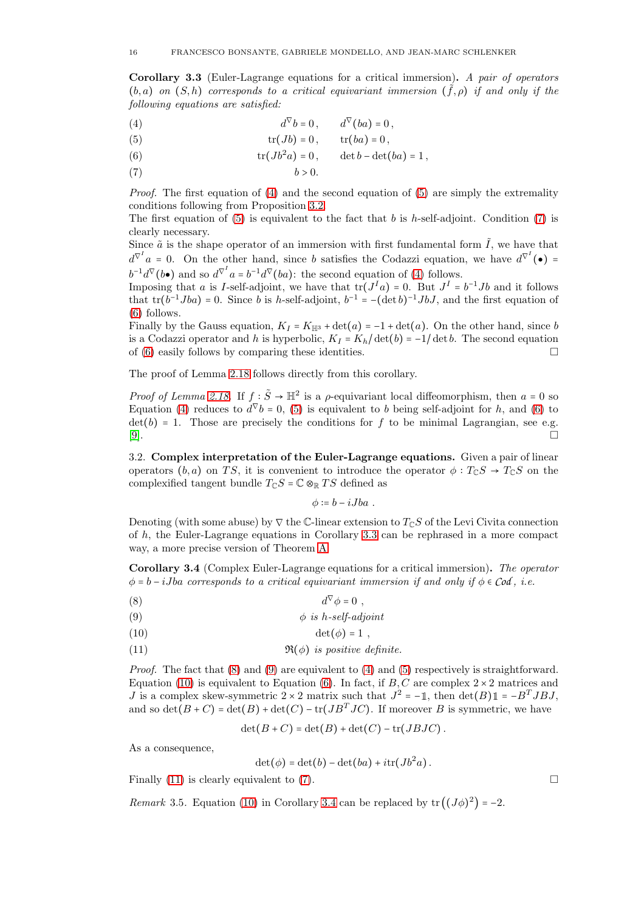<span id="page-15-2"></span>Corollary 3.3 (Euler-Lagrange equations for a critical immersion). A pair of operators  $(b, a)$  on  $(S, h)$  corresponds to a critical equivariant immersion  $(\tilde{f}, \rho)$  if and only if the following equations are satisfied:

<span id="page-15-1"></span>(4) 
$$
d^{\nabla}b = 0, \qquad d^{\nabla}(ba) = 0,
$$

(5) 
$$
\operatorname{tr}(Jb) = 0, \qquad \operatorname{tr}(ba) = 0,
$$

(6) 
$$
\operatorname{tr}(Jb^2a)=0, \qquad \det b-\det(ba)=1,
$$

(7)  $b > 0$ .

*Proof.* The first equation of  $(4)$  and the second equation of  $(5)$  are simply the extremality conditions following from Proposition [3.2.](#page-14-1)

The first equation of [\(5\)](#page-15-1) is equivalent to the fact that b is h-self-adjoint. Condition [\(7\)](#page-15-1) is clearly necessary.

Since  $\tilde{a}$  is the shape operator of an immersion with first fundamental form  $\tilde{I}$ , we have that  $d^{\nabla^I} a = 0$ . On the other hand, since b satisfies the Codazzi equation, we have  $d^{\nabla^I}(\bullet) =$  $b^{-1}d^{\nabla}(b\bullet)$  and so  $d^{\nabla^I}a = b^{-1}d^{\nabla}(ba)$ : the second equation of [\(4\)](#page-15-1) follows.

Imposing that a is I-self-adjoint, we have that  $tr(J<sup>I</sup>a) = 0$ . But  $J<sup>I</sup> = b<sup>-1</sup>Jb$  and it follows that  $tr(b^{-1}Jba) = 0$ . Since b is h-self-adjoint,  $b^{-1} = -(\det b)^{-1}JbJ$ , and the first equation of [\(6\)](#page-15-1) follows.

Finally by the Gauss equation,  $K_I = K_{\mathbb{H}^3} + \det(a) = -1 + \det(a)$ . On the other hand, since b is a Codazzi operator and h is hyperbolic,  $K_I = K_h / \det(b) = -1/\det b$ . The second equation of [\(6\)](#page-15-1) easily follows by comparing these identities.

The proof of Lemma [2.18](#page-9-1) follows directly from this corollary.

*Proof of Lemma [2.18.](#page-9-1)* If  $f : \tilde{S} \to \mathbb{H}^2$  is a  $\rho$ -equivariant local diffeomorphism, then  $a = 0$  so Equation [\(4\)](#page-15-1) reduces to  $d^{\nabla} b = 0$ , [\(5\)](#page-15-1) is equivalent to b being self-adjoint for h, and [\(6\)](#page-15-1) to det(b) = 1. Those are precisely the conditions for f to be minimal Lagrangian, see e.g.  $[9]$ . [\[9\]](#page-28-4).

<span id="page-15-0"></span>3.2. Complex interpretation of the Euler-Lagrange equations. Given a pair of linear operators  $(b, a)$  on TS, it is convenient to introduce the operator  $\phi : T_{\mathbb{C}}S \to T_{\mathbb{C}}S$  on the complexified tangent bundle  $T_{\mathbb{C}}S = \mathbb{C} \otimes_{\mathbb{R}} TS$  defined as

<span id="page-15-3"></span> $\phi \coloneqq b - iJba$ .

Denoting (with some abuse) by  $\nabla$  the C-linear extension to  $T_{\mathbb{C}}S$  of the Levi Civita connection of  $h$ , the Euler-Lagrange equations in Corollary [3.3](#page-15-2) can be rephrased in a more compact way, a more precise version of Theorem [A.](#page-3-1)

<span id="page-15-4"></span>Corollary 3.4 (Complex Euler-Lagrange equations for a critical immersion). The operator  $\phi = b - iJba$  corresponds to a critical equivariant immersion if and only if  $\phi \in \mathcal{C}od$ , i.e.

$$
(8) \t\t d^{\nabla} \phi = 0 ,
$$

$$
\phi \; is \; h\text{-}self\text{-}adjoint
$$

$$
(10) \qquad \qquad \det(\phi) = 1 \ ,
$$

(11) 
$$
\Re(\phi)
$$
 is positive definite.

*Proof.* The fact that  $(8)$  and  $(9)$  are equivalent to  $(4)$  and  $(5)$  respectively is straightforward. Equation [\(10\)](#page-15-3) is equivalent to Equation [\(6\)](#page-15-1). In fact, if  $B, C$  are complex  $2 \times 2$  matrices and J is a complex skew-symmetric  $2 \times 2$  matrix such that  $J^2 = -1$ , then  $\det(B) \mathbb{1} = -B^T J B J$ , and so  $\det(B+C) = \det(B) + \det(C) - \det(JB<sup>T</sup>JC)$ . If moreover B is symmetric, we have

$$
\det(B+C)=\det(B)+\det(C)-\operatorname{tr}(JBJC).
$$

As a consequence,

$$
\det(\phi) = \det(b) - \det(ba) + i\operatorname{tr}(Jb^2a).
$$

Finally  $(11)$  is clearly equivalent to  $(7)$ .

*Remark* 3.5. Equation [\(10\)](#page-15-3) in Corollary [3.4](#page-15-4) can be replaced by  $tr((J\phi)^2) = -2$ .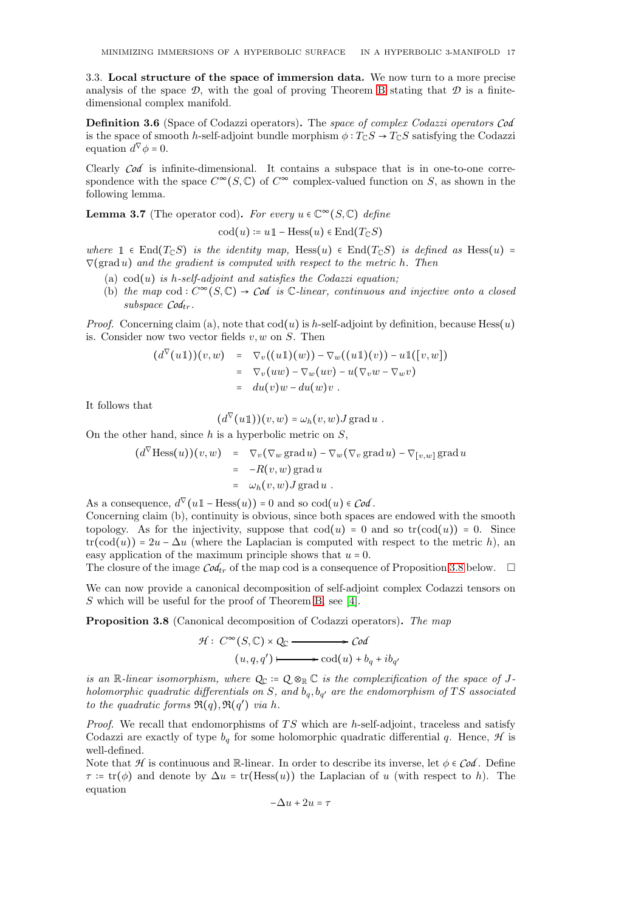<span id="page-16-0"></span>3.3. Local structure of the space of immersion data. We now turn to a more precise analysis of the space  $\mathcal{D}$ , with the goal of proving Theorem [B](#page-17-0) stating that  $\mathcal D$  is a finitedimensional complex manifold.

Definition 3.6 (Space of Codazzi operators). The space of complex Codazzi operators *Cod* is the space of smooth h-self-adjoint bundle morphism  $\phi: T_{\mathbb{C}}S \to T_{\mathbb{C}}S$  satisfying the Codazzi equation  $d^{\nabla} \phi = 0$ .

Clearly *Cod* is infinite-dimensional. It contains a subspace that is in one-to-one correspondence with the space  $C^{\infty}(S, \mathbb{C})$  of  $C^{\infty}$  complex-valued function on S, as shown in the following lemma.

**Lemma 3.7** (The operator cod). For every  $u \in \mathbb{C}^{\infty}(S, \mathbb{C})$  define

$$
\operatorname{cod}(u) \coloneqq u1 - \operatorname{Hess}(u) \in \operatorname{End}(T_{\mathbb{C}}S)
$$

where  $\mathbb{1} \in \text{End}(T_{\mathbb{C}}S)$  is the identity map, Hess $(u) \in \text{End}(T_{\mathbb{C}}S)$  is defined as Hess $(u)$  =  $\nabla(\text{grad }u)$  and the gradient is computed with respect to the metric h. Then

- (a)  $\operatorname{cod}(u)$  is h-self-adjoint and satisfies the Codazzi equation;
- (b) the map  $\text{cod}: C^{\infty}(S, \mathbb{C}) \to \text{Cod}$  is  $\mathbb{C}\text{-linear}$ , continuous and injective onto a closed  $subspace$   $Cod_{tr}$ .

*Proof.* Concerning claim (a), note that  $\text{cod}(u)$  is h-self-adjoint by definition, because Hess $(u)$ is. Consider now two vector fields  $v, w$  on  $S$ . Then

$$
(d^{\nabla}(u\mathbb{1}))(v,w) = \nabla_v((u\mathbb{1})(w)) - \nabla_w((u\mathbb{1})(v)) - u\mathbb{1}([v,w])
$$
  
\n
$$
= \nabla_v(uw) - \nabla_w(uv) - u(\nabla_vw - \nabla_wv)
$$
  
\n
$$
= du(v)w - du(w)v.
$$

It follows that

 $(d^{\nabla}(u\mathbb{1}))(v,w) = \omega_h(v,w)J \operatorname{grad} u$ .

On the other hand, since  $h$  is a hyperbolic metric on  $S$ ,

$$
(d^{\nabla} \text{Hess}(u))(v, w) = \nabla_v (\nabla_w \text{grad } u) - \nabla_w (\nabla_v \text{grad } u) - \nabla_{[v,w]} \text{grad } u
$$
  
\n
$$
= -R(v, w) \text{grad } u
$$
  
\n
$$
= \omega_h(v, w) J \text{grad } u.
$$

As a consequence,  $d^{\nabla}(u\mathbb{1}-\text{Hess}(u))=0$  and so  $\text{cod}(u) \in \text{Cod}$ .

Concerning claim (b), continuity is obvious, since both spaces are endowed with the smooth topology. As for the injectivity, suppose that  $\text{cod}(u) = 0$  and so  $\text{tr}(\text{cod}(u)) = 0$ . Since  $tr(cod(u)) = 2u - \Delta u$  (where the Laplacian is computed with respect to the metric h), an easy application of the maximum principle shows that  $u = 0$ .

The closure of the image  $\mathcal{C}od_{tr}$  of the map cod is a consequence of Proposition [3.8](#page-16-1) below.  $\Box$ 

We can now provide a canonical decomposition of self-adjoint complex Codazzi tensors on S which will be useful for the proof of Theorem [B,](#page-17-0) see [\[4\]](#page-28-11).

<span id="page-16-1"></span>Proposition 3.8 (Canonical decomposition of Codazzi operators). The map

$$
\mathcal{H}: C^{\infty}(S, \mathbb{C}) \times Q_{\mathbb{C}} \longrightarrow \mathcal{C}od
$$
  

$$
(u, q, q') \longmapsto \text{cod}(u) + b_q + ib_{q'}
$$

is an R-linear isomorphism, where  $Q_{\mathbb{C}} \coloneqq Q \otimes_{\mathbb{R}} \mathbb{C}$  is the complexification of the space of Jholomorphic quadratic differentials on S, and  $b_q, b_{q'}$  are the endomorphism of TS associated to the quadratic forms  $\Re(q), \Re(q')$  via h.

Proof. We recall that endomorphisms of  $TS$  which are h-self-adjoint, traceless and satisfy Codazzi are exactly of type  $b_q$  for some holomorphic quadratic differential q. Hence,  $\mathcal H$  is well-defined.

Note that  $H$  is continuous and  $\mathbb{R}$ -linear. In order to describe its inverse, let  $\phi \in \mathcal{C}od$ . Define  $\tau = \text{tr}(\phi)$  and denote by  $\Delta u = \text{tr}(\text{Hess}(u))$  the Laplacian of u (with respect to h). The equation

$$
-\Delta u + 2u = \tau
$$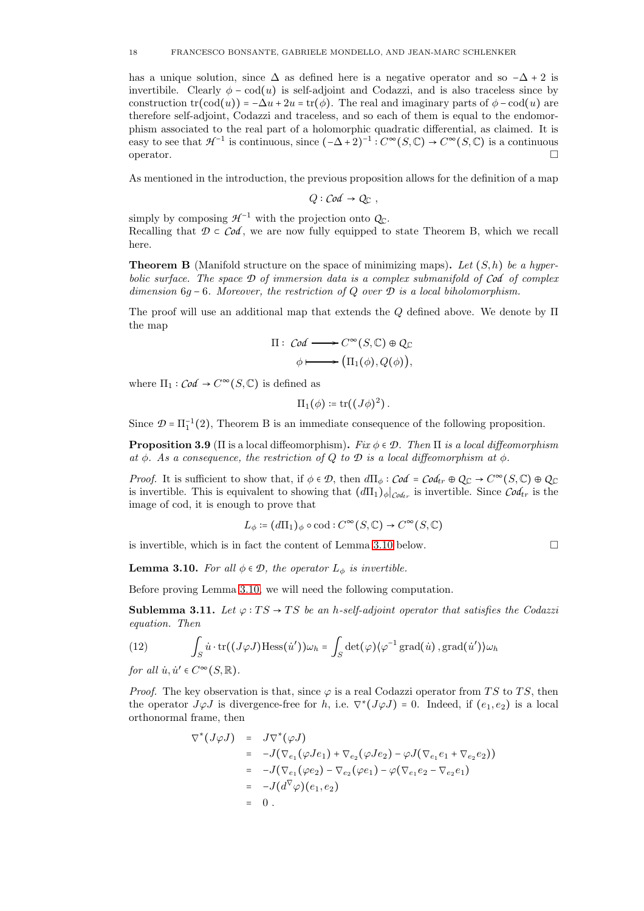has a unique solution, since  $\Delta$  as defined here is a negative operator and so  $-\Delta$  + 2 is invertibile. Clearly  $\phi$  – cod(u) is self-adjoint and Codazzi, and is also traceless since by construction  $tr(cod(u)) = -\Delta u + 2u = tr(\phi)$ . The real and imaginary parts of  $\phi - cod(u)$  are therefore self-adjoint, Codazzi and traceless, and so each of them is equal to the endomorphism associated to the real part of a holomorphic quadratic differential, as claimed. It is easy to see that  $\mathcal{H}^{-1}$  is continuous, since  $(-\Delta + 2)^{-1} : C^{\infty}(S, \mathbb{C}) \to C^{\infty}(S, \mathbb{C})$  is a continuous operator.  $\Box$ 

As mentioned in the introduction, the previous proposition allows for the definition of a map

 $Q: \mathcal{C}od \rightarrow Q_{\Gamma}$ ,

simply by composing  $\mathcal{H}^{-1}$  with the projection onto  $Q_{\mathbb{C}}$ . Recalling that  $\mathcal{D} \subset \mathcal{C}od$ , we are now fully equipped to state Theorem B, which we recall here.

<span id="page-17-0"></span>**Theorem B** (Manifold structure on the space of minimizing maps). Let  $(S, h)$  be a hyperbolic surface. The space *D* of immersion data is a complex submanifold of *Cod* of complex dimension 6g − 6. Moreover, the restriction of Q over *D* is a local biholomorphism.

The proof will use an additional map that extends the  $Q$  defined above. We denote by  $\Pi$ the map

$$
\Pi: \text{ Cod} \longrightarrow C^{\infty}(S, \mathbb{C}) \oplus Q_{\mathbb{C}}
$$

$$
\phi \longmapsto (\Pi_1(\phi), Q(\phi)),
$$

where  $\Pi_1$ :  $\mathcal{C}od \to C^{\infty}(S, \mathbb{C})$  is defined as

$$
\Pi_1(\phi) \coloneqq \operatorname{tr}((J\phi)^2)\,.
$$

Since  $\mathcal{D} = \Pi_1^{-1}(2)$ , Theorem B is an immediate consequence of the following proposition.

**Proposition 3.9** (Π is a local diffeomorphism). Fix  $\phi \in \mathcal{D}$ . Then  $\Pi$  is a local diffeomorphism at  $\phi$ . As a consequence, the restriction of Q to  $\mathcal D$  is a local diffeomorphism at  $\phi$ .

*Proof.* It is sufficient to show that, if  $\phi \in \mathcal{D}$ , then  $d\Pi_{\phi}: \mathcal{C}od = \mathcal{C}od_{tr} \oplus Q_{\mathbb{C}} \to C^{\infty}(S, \mathbb{C}) \oplus Q_{\mathbb{C}}$ is invertible. This is equivalent to showing that  $(d\Pi_1)_{\phi}|_{C\phi_{tr}}$  is invertible. Since  $C\phi_{tr}$  is the image of cod, it is enough to prove that

$$
L_{\phi} \coloneqq (d\Pi_1)_{\phi} \circ \text{cod} : C^{\infty}(S, \mathbb{C}) \to C^{\infty}(S, \mathbb{C})
$$

is invertible, which is in fact the content of Lemma [3.10](#page-17-1) below.  $\Box$ 

<span id="page-17-1"></span>**Lemma 3.10.** For all  $\phi \in \mathcal{D}$ , the operator  $L_{\phi}$  is invertible.

Before proving Lemma [3.10,](#page-17-1) we will need the following computation.

<span id="page-17-3"></span>Sublemma 3.11. Let  $\varphi: TS \to TS$  be an h-self-adjoint operator that satisfies the Codazzi equation. Then

<span id="page-17-2"></span>(12) 
$$
\int_{S} \dot{u} \cdot \text{tr}((J\varphi J) \text{Hess}(\dot{u}')) \omega_h = \int_{S} \det(\varphi) \langle \varphi^{-1} \text{grad}(\dot{u}), \text{grad}(\dot{u}') \rangle \omega_h
$$

for all  $\dot{u}, \dot{u}' \in C^{\infty}(S, \mathbb{R})$ .

*Proof.* The key observation is that, since  $\varphi$  is a real Codazzi operator from TS to TS, then the operator  $J\varphi J$  is divergence-free for h, i.e.  $\nabla^*(J\varphi J) = 0$ . Indeed, if  $(e_1, e_2)$  is a local orthonormal frame, then

$$
\nabla^*(J\varphi J) = J\nabla^*(\varphi J)
$$
  
=  $-J(\nabla_{e_1}(\varphi J e_1) + \nabla_{e_2}(\varphi J e_2) - \varphi J(\nabla_{e_1} e_1 + \nabla_{e_2} e_2))$   
=  $-J(\nabla_{e_1}(\varphi e_2) - \nabla_{e_2}(\varphi e_1) - \varphi(\nabla_{e_1} e_2 - \nabla_{e_2} e_1))$   
=  $-J(d^{\nabla}\varphi)(e_1, e_2)$   
= 0.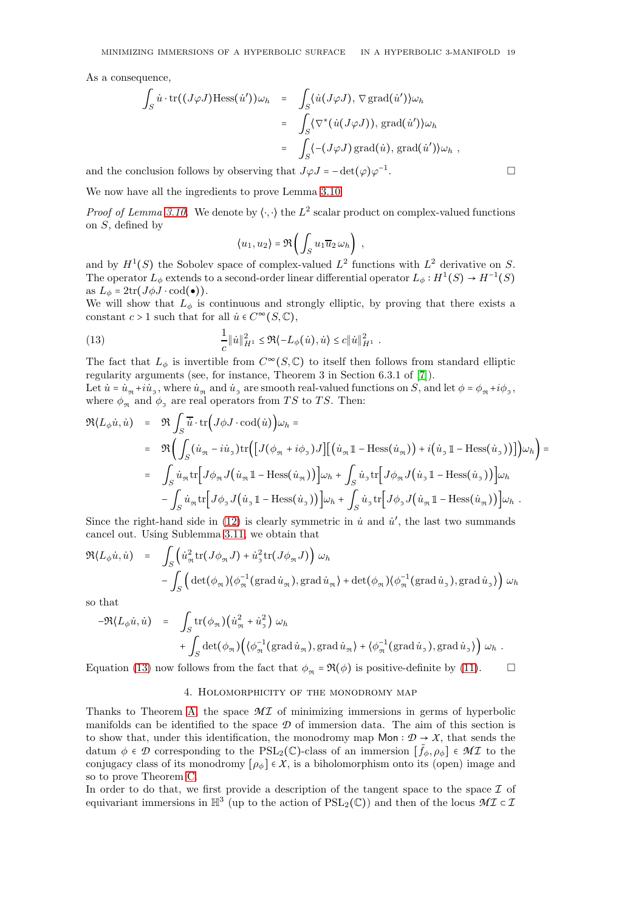As a consequence,

$$
\int_{S} \dot{u} \cdot \text{tr}((J\varphi J) \text{Hess}(\dot{u}'))\omega_h = \int_{S} \langle \dot{u}(J\varphi J), \nabla \text{grad}(\dot{u}') \rangle \omega_h
$$
  
\n
$$
= \int_{S} \langle \nabla^* (\dot{u}(J\varphi J)), \text{grad}(\dot{u}') \rangle \omega_h
$$
  
\n
$$
= \int_{S} \langle -(J\varphi J) \text{grad}(\dot{u}), \text{grad}(\dot{u}') \rangle \omega_h,
$$
  
\nnclusion follows by observing that  $J\varphi J = -\det(\varphi) \varphi^{-1}$ .

and the conclusion follows by observing that  $J\varphi J = -\det(\varphi)\varphi^{-1}$ 

We now have all the ingredients to prove Lemma [3.10.](#page-17-1)

*Proof of Lemma [3.10.](#page-17-1)* We denote by  $\langle \cdot, \cdot \rangle$  the  $L^2$  scalar product on complex-valued functions on S, defined by

<span id="page-18-1"></span>
$$
\langle u_1, u_2 \rangle = \Re \left( \int_S u_1 \overline{u}_2 \, \omega_h \right) ,
$$

and by  $H^1(S)$  the Sobolev space of complex-valued  $L^2$  functions with  $L^2$  derivative on S. The operator  $L_{\phi}$  extends to a second-order linear differential operator  $L_{\phi}: H^1(S) \to H^{-1}(S)$ as  $L_{\phi} = 2 \text{tr}(J \phi J \cdot \text{cod}(\bullet)).$ 

We will show that  $L_{\phi}$  is continuous and strongly elliptic, by proving that there exists a constant  $c > 1$  such that for all  $\dot{u} \in C^{\infty}(S, \mathbb{C}),$ 

(13) 
$$
\frac{1}{c} \|\dot{u}\|_{H^1}^2 \leq \Re \langle -L_{\phi}(\dot{u}), \dot{u} \rangle \leq c \|\dot{u}\|_{H^1}^2.
$$

The fact that  $L_{\phi}$  is invertible from  $C^{\infty}(S, \mathbb{C})$  to itself then follows from standard elliptic regularity arguments (see, for instance, Theorem 3 in Section 6.3.1 of [\[7\]](#page-28-12)).

Let  $\dot{u} = \dot{u}_{\text{st}} + i\dot{u}_{\text{st}}$ , where  $\dot{u}_{\text{st}}$  and  $\dot{u}_{\text{st}}$  are smooth real-valued functions on S, and let  $\phi = \phi_{\text{st}} + i\phi_{\text{st}}$ , where  $\phi_{\mathfrak{R}}$  and  $\phi_{\mathfrak{I}}$  are real operators from TS to TS. Then:

$$
\mathfrak{R}(L_{\phi}\dot{u},\dot{u}) = \mathfrak{R}\int_{S} \overline{\dot{u}} \cdot \text{tr}\Big(J\phi J \cdot \text{cod}(\dot{u})\Big)\omega_{h} =
$$
\n
$$
= \mathfrak{R}\Big(\int_{S} (\dot{u}_{\mathfrak{R}} - i\dot{u}_{\mathfrak{I}}) \text{tr}\Big(\Big[J(\phi_{\mathfrak{R}} + i\phi_{\mathfrak{I}})J\Big]\Big[(\dot{u}_{\mathfrak{R}}\mathbb{1} - \text{Hess}(\dot{u}_{\mathfrak{R}})\Big) + i(\dot{u}_{\mathfrak{I}}\mathbb{1} - \text{Hess}(\dot{u}_{\mathfrak{I}}))\Big]\Big)\omega_{h}\Big) =
$$
\n
$$
= \int_{S} \dot{u}_{\mathfrak{R}} \text{tr}\Big[J\phi_{\mathfrak{R}} J(\dot{u}_{\mathfrak{R}}\mathbb{1} - \text{Hess}(\dot{u}_{\mathfrak{R}}))\Big]\omega_{h} + \int_{S} \dot{u}_{\mathfrak{I}} \text{tr}\Big[J\phi_{\mathfrak{R}} J(\dot{u}_{\mathfrak{I}}\mathbb{1} - \text{Hess}(\dot{u}_{\mathfrak{I}}))\Big]\omega_{h}
$$
\n
$$
- \int_{S} \dot{u}_{\mathfrak{R}} \text{tr}\Big[J\phi_{\mathfrak{I}} J(\dot{u}_{\mathfrak{I}}\mathbb{1} - \text{Hess}(\dot{u}_{\mathfrak{I}}))\Big]\omega_{h} + \int_{S} \dot{u}_{\mathfrak{I}} \text{tr}\Big[J\phi_{\mathfrak{I}} J(\dot{u}_{\mathfrak{R}}\mathbb{1} - \text{Hess}(\dot{u}_{\mathfrak{R}}))\Big]\omega_{h}.
$$

Since the right-hand side in  $(12)$  is clearly symmetric in  $\dot{u}$  and  $\dot{u}'$ , the last two summands cancel out. Using Sublemma [3.11,](#page-17-3) we obtain that

$$
\mathfrak{R}(L_{\phi}\dot{u},\dot{u}) = \int_{S} \left( \dot{u}_{\mathfrak{R}}^{2} \text{tr}(J\phi_{\mathfrak{R}}J) + \dot{u}_{\mathfrak{I}}^{2} \text{tr}(J\phi_{\mathfrak{R}}J) \right) \omega_{h}
$$
  
- 
$$
\int_{S} \left( \det(\phi_{\mathfrak{R}}) \langle \phi_{\mathfrak{R}}^{-1} (\text{grad}\,\dot{u}_{\mathfrak{R}}), \text{grad}\,\dot{u}_{\mathfrak{R}} \rangle + \det(\phi_{\mathfrak{R}}) \langle \phi_{\mathfrak{R}}^{-1} (\text{grad}\,\dot{u}_{\mathfrak{I}}), \text{grad}\,\dot{u}_{\mathfrak{I}} \rangle \right) \omega_{h}
$$

so that

$$
-\Re\langle L_{\phi}\dot{u},\dot{u}\rangle = \int_{S} tr(\phi_{\Re})\left(\dot{u}_{\Re}^{2} + \dot{u}_{\Im}^{2}\right) \omega_{h} + \int_{S} det(\phi_{\Re})\left(\langle \phi_{\Re}^{-1}(\text{grad}\,\dot{u}_{\Re}), \text{grad}\,\dot{u}_{\Re}\rangle + \langle \phi_{\Re}^{-1}(\text{grad}\,\dot{u}_{\Im}), \text{grad}\,\dot{u}_{\Im}\rangle\right) \omega_{h} .
$$

<span id="page-18-0"></span>Equation [\(13\)](#page-18-1) now follows from the fact that  $\phi_{\mathfrak{m}} = \Re(\phi)$  is positive-definite by [\(11\)](#page-15-3).

## 4. Holomorphicity of the monodromy map

Thanks to Theorem [A,](#page-3-1) the space  $\mathcal{M}$  is minimizing immersions in germs of hyperbolic manifolds can be identified to the space *D* of immersion data. The aim of this section is to show that, under this identification, the monodromy map  $Mon: \mathcal{D} \rightarrow \mathcal{X}$ , that sends the datum  $\phi \in \mathcal{D}$  corresponding to the PSL<sub>2</sub>(C)-class of an immersion  $[\tilde{f}_{\phi}, \rho_{\phi}] \in \mathcal{MI}$  to the conjugacy class of its monodromy  $[\rho_{\phi}] \in X$ , is a biholomorphism onto its (open) image and so to prove Theorem [C.](#page-4-0)

In order to do that, we first provide a description of the tangent space to the space  $\mathcal I$  of equivariant immersions in  $\mathbb{H}^3$  (up to the action of PSL<sub>2</sub>( $\mathbb{C}$ )) and then of the locus  $\mathcal{MI} \subset \mathcal{I}$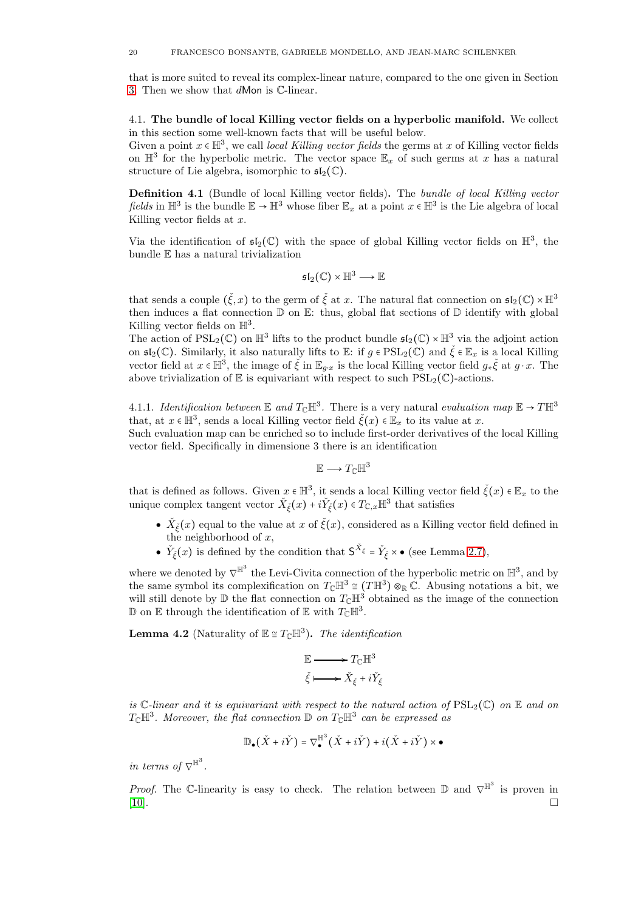that is more suited to reveal its complex-linear nature, compared to the one given in Section [3.](#page-13-0) Then we show that dMon is C-linear.

<span id="page-19-0"></span>4.1. The bundle of local Killing vector fields on a hyperbolic manifold. We collect in this section some well-known facts that will be useful below.

Given a point  $x \in \mathbb{H}^3$ , we call local Killing vector fields the germs at x of Killing vector fields on  $\mathbb{H}^3$  for the hyperbolic metric. The vector space  $\mathbb{E}_x$  of such germs at x has a natural structure of Lie algebra, isomorphic to  $\mathfrak{sl}_2(\mathbb{C})$ .

**Definition 4.1** (Bundle of local Killing vector fields). The bundle of local Killing vector fields in  $\mathbb{H}^3$  is the bundle  $\mathbb{E} \to \mathbb{H}^3$  whose fiber  $\mathbb{E}_x$  at a point  $x \in \mathbb{H}^3$  is the Lie algebra of local Killing vector fields at  $x$ .

Via the identification of  $\mathfrak{sl}_2(\mathbb{C})$  with the space of global Killing vector fields on  $\mathbb{H}^3$ , the bundle E has a natural trivialization

$$
\mathfrak{sl}_2(\mathbb{C})\times \mathbb{H}^3 \longrightarrow \mathbb{E}
$$

that sends a couple  $(\check{\xi}, x)$  to the germ of  $\check{\xi}$  at x. The natural flat connection on  $\mathfrak{sl}_2(\mathbb{C}) \times \mathbb{H}^3$ then induces a flat connection  $\mathbb D$  on  $\mathbb E$ : thus, global flat sections of  $\mathbb D$  identify with global Killing vector fields on  $\mathbb{H}^3$ .

The action of  $PSL_2(\mathbb{C})$  on  $\mathbb{H}^3$  lifts to the product bundle  $\mathfrak{sl}_2(\mathbb{C}) \times \mathbb{H}^3$  via the adjoint action on  $\mathfrak{sl}_2(\mathbb{C})$ . Similarly, it also naturally lifts to  $\mathbb{E}$ : if  $g \in \text{PSL}_2(\mathbb{C})$  and  $\check{\xi} \in \mathbb{E}_x$  is a local Killing vector field at  $x \in \mathbb{H}^3$ , the image of  $\check{\xi}$  in  $\mathbb{E}_{g \cdot x}$  is the local Killing vector field  $g_*\check{\xi}$  at  $g \cdot x$ . The above trivialization of  $E$  is equivariant with respect to such  $PSL_2(\mathbb{C})$ -actions.

4.1.1. Identification between  $\mathbb E$  and  $T_{\mathbb C}\mathbb H^3$ . There is a very natural evaluation map  $\mathbb E\to T\mathbb H^3$ that, at  $x \in \mathbb{H}^3$ , sends a local Killing vector field  $\check{\xi}(x) \in \mathbb{E}_x$  to its value at  $x$ .

Such evaluation map can be enriched so to include first-order derivatives of the local Killing vector field. Specifically in dimensione 3 there is an identification

$$
\mathbb{E}\longrightarrow T_{\mathbb{C}}\mathbb{H}^3
$$

that is defined as follows. Given  $x \in \mathbb{H}^3$ , it sends a local Killing vector field  $\check{\xi}(x) \in \mathbb{E}_x$  to the unique complex tangent vector  $\check{X}_{\check{\xi}}(x) + i\check{Y}_{\check{\xi}}(x) \in T_{\mathbb{C},x} \mathbb{H}^3$  that satisfies

- $\check{X}_{\check{\xi}}(x)$  equal to the value at x of  $\check{\xi}(x)$ , considered as a Killing vector field defined in the neighborhood of  $x$ ,
- $\check{Y}_{\xi}(x)$  is defined by the condition that  $S^{\check{X}_{\xi}} = \check{Y}_{\xi} \times \bullet$  (see Lemma [2.7\)](#page-7-2),

where we denoted by  $\nabla^{\mathbb{H}^3}$  the Levi-Civita connection of the hyperbolic metric on  $\mathbb{H}^3$ , and by the same symbol its complexification on  $T_{\mathbb{C}}\mathbb{H}^3 \cong (T\mathbb{H}^3) \otimes_{\mathbb{R}} \mathbb{C}$ . Abusing notations a bit, we will still denote by  $\mathbb D$  the flat connection on  $T_{\mathbb C}\mathbb H^3$  obtained as the image of the connection D on E through the identification of E with  $T_{\mathbb{C}}\mathbb{H}^3$ .

<span id="page-19-1"></span>**Lemma 4.2** (Naturality of  $\mathbb{E} \cong T_{\mathbb{C}} \mathbb{H}^3$ ). The identification

$$
\mathbb{E} \longrightarrow T_{\mathbb{C}} \mathbb{H}^3
$$

$$
\check{\xi} \longmapsto \check{X}_{\check{\xi}} + i\check{Y}_{\check{\xi}}
$$

is  $\mathbb{C}\text{-}linear$  and it is equivariant with respect to the natural action of  $PSL_2(\mathbb{C})$  on  $\mathbb{E}$  and on  $T_{\mathbb{C}}\mathbb{H}^3$ . Moreover, the flat connection  $\mathbb{D}$  on  $T_{\mathbb{C}}\mathbb{H}^3$  can be expressed as

$$
\mathbb{D}_\bullet\big(\check{X}+i\check{Y}\big)=\nabla_\bullet^{\mathbb{H}^3}\big(\check{X}+i\check{Y}\big)+i\big(\check{X}+i\check{Y}\big)\times\bullet
$$

in terms of  $\nabla^{\mathbb{H}^3}$ .

*Proof.* The C-linearity is easy to check. The relation between  $\mathbb{D}$  and  $\nabla^{\mathbb{H}^3}$  is proven in [\[10\]](#page-28-13).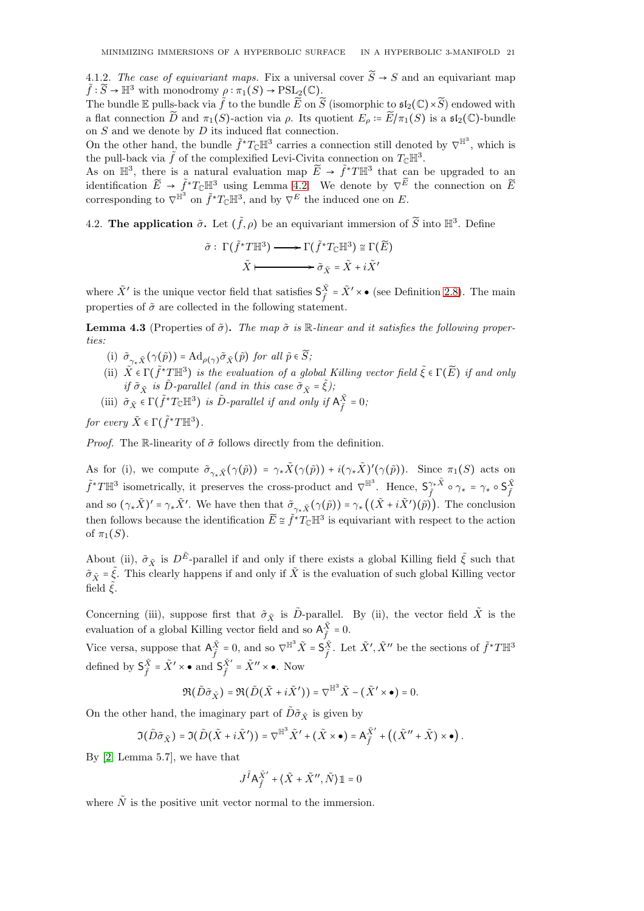4.1.2. The case of equivariant maps. Fix a universal cover  $\widetilde{S} \rightarrow S$  and an equivariant map  $\tilde{f}: \widetilde{S} \to \mathbb{H}^3$  with monodromy  $\rho: \pi_1(S) \to \mathrm{PSL}_2(\mathbb{C})$ .

The bundle E pulls-back via  $\tilde{f}$  to the bundle  $\tilde{E}$  on  $\tilde{S}$  (isomorphic to  $\mathfrak{sl}_2(\mathbb{C}) \times \tilde{S}$ ) endowed with a flat connection  $\widetilde{D}$  and  $\pi_1(S)$ -action via  $\rho$ . Its quotient  $E_\rho \coloneqq \widetilde{E}/\pi_1(S)$  is a  $\mathfrak{sl}_2(\mathbb{C})$ -bundle on  $S$  and we denote by  $D$  its induced flat connection.

On the other hand, the bundle  $\tilde{f}^*T_{\mathbb{C}}\mathbb{H}^3$  carries a connection still denoted by  $\nabla^{\mathbb{H}^3}$ , which is the pull-back via  $\tilde{f}$  of the complexified Levi-Civita connection on  $T_{\mathbb{C}}\mathbb{H}^3$ .

As on  $\mathbb{H}^3$ , there is a natural evaluation map  $\widetilde{E} \to \widetilde{f}^*T\mathbb{H}^3$  that can be upgraded to an identification  $\widetilde{E} \to \widetilde{f}^*T_{\mathbb{C}}\mathbb{H}^3$  using Lemma [4.2.](#page-19-1) We denote by  $\nabla^{\widetilde{E}}$  the connection on  $\widetilde{E}$ corresponding to  $\nabla^{\mathbb{H}^3}$  on  $\tilde{f}^*T_{\mathbb{C}}\mathbb{H}^3$ , and by  $\nabla^E$  the induced one on E.

<span id="page-20-0"></span>4.2. The application  $\tilde{\sigma}$ . Let  $(\tilde{f}, \rho)$  be an equivariant immersion of  $\tilde{S}$  into  $\mathbb{H}^3$ . Define

$$
\tilde{\sigma} : \Gamma(\tilde{f}^*T\mathbb{H}^3) \longrightarrow \Gamma(\tilde{f}^*T_{\mathbb{C}}\mathbb{H}^3) \cong \Gamma(\widetilde{E})
$$

$$
\tilde{X} \longmapsto \tilde{\sigma}_{\tilde{X}} = \tilde{X} + i\tilde{X}'
$$

where  $\tilde{X}'$  is the unique vector field that satisfies  $\mathsf{S}_{\tilde{\epsilon}}^{\tilde{X}}$  $\tilde{\tilde{X}} = \tilde{X}' \times \bullet$  (see Definition [2.8\)](#page-7-1). The main properties of  $\tilde{\sigma}$  are collected in the following statement.

<span id="page-20-1"></span>**Lemma 4.3** (Properties of  $\tilde{\sigma}$ ). The map  $\tilde{\sigma}$  is R-linear and it satisfies the following properties:

- (i)  $\tilde{\sigma}_{\gamma * \tilde{X}}(\gamma(\tilde{p})) = \mathrm{Ad}_{\rho(\gamma)}\tilde{\sigma}_{\tilde{X}}(\tilde{p})$  for all  $\tilde{p} \in \widetilde{S};$
- (ii)  $\tilde{X} \in \Gamma(\tilde{f}^* \mathcal{I} \mathbb{H}^3)$  is the evaluation of a global Killing vector field  $\tilde{\xi} \in \Gamma(\tilde{E})$  if and only if  $\tilde{\sigma}_{\tilde{X}}$  is D-parallel (and in this case  $\tilde{\sigma}_{\tilde{X}} = \tilde{\xi}$ );
- (iii)  $\tilde{\sigma}_{\tilde{X}} \in \Gamma(\tilde{f}^*T_{\mathbb{C}}\mathbb{H}^3)$  is  $\tilde{D}$ -parallel if and only if  $A_{\tilde{f}}^{\tilde{X}} = 0$ ;

for every  $\tilde{X} \in \Gamma(\tilde{f}^*T\mathbb{H}^3)$ .

*Proof.* The R-linearity of  $\tilde{\sigma}$  follows directly from the definition.

As for (i), we compute  $\tilde{\sigma}_{\gamma_*\tilde{X}}(\gamma(\tilde{p})) = \gamma_*\tilde{X}(\gamma(\tilde{p})) + i(\gamma_*\tilde{X})'(\gamma(\tilde{p}))$ . Since  $\pi_1(S)$  acts on  $\tilde{f}^*T\mathbb{H}^3$  isometrically, it preserves the cross-product and  $\nabla^{\mathbb{H}^3}$ . Hence,  $S_{\tilde{\tau}}^{\gamma_*\tilde{X}}$  $\begin{array}{c} \gamma_*\tilde{X} \ \circ \ \gamma_* \ = \ \gamma_* \ \circ \ \mathsf{S}^{\tilde{X}}_{\tilde{f}} \end{array}$  $\tilde{f}$ and so  $(\gamma_*\tilde{X})' = \gamma_*\tilde{X}'$ . We have then that  $\tilde{\sigma}_{\gamma_*\tilde{X}}(\gamma(\tilde{p})) = \gamma_*((\tilde{X} + i\tilde{X}')(\tilde{p}))$ . The conclusion then follows because the identification  $\widetilde{E} \cong \widetilde{f}^* T_{\mathbb{C}} \mathbb{H}^3$  is equivariant with respect to the action of  $\pi_1(S)$ .

About (ii),  $\tilde{\sigma}_{\tilde{X}}$  is  $D^{\tilde{E}}$ -parallel if and only if there exists a global Killing field  $\tilde{\xi}$  such that  $\tilde{\sigma}_{\tilde{Y}} = \tilde{\xi}$ . This clearly happens if and only if  $\tilde{X}$  is the evaluation of such global Killing vector field  $\tilde{\xi}$ .

Concerning (iii), suppose first that  $\tilde{\sigma}_{\tilde{X}}$  is  $\tilde{D}$ -parallel. By (ii), the vector field  $\tilde{X}$  is the evaluation of a global Killing vector field and so  $A_{\tilde{f}}^{\tilde{X}} = 0$ .

Vice versa, suppose that  $A_{\tilde{r}}^{\tilde{X}}$  $\tilde{X} = 0$ , and so  $\nabla^{\mathbb{H}^3} \tilde{X} = \mathsf{S}_{\tilde{f}}^{\tilde{X}}$  $\tilde{\tilde{f}}$ . Let  $\tilde{X}', \tilde{X}''$  be the sections of  $\tilde{f}^*T\mathbb{H}^3$ defined by  $\mathsf{S}^{\tilde{X}}_{\tilde{r}}$  $\tilde{\tilde{X}} = \tilde{X}' \times \bullet \text{ and } \tilde{S}_{\tilde{f}}^{\tilde{X}'}$  $\tilde{\tilde{X}}' = \tilde{X}'' \times \bullet$ . Now

$$
\Re(\tilde D\tilde\sigma_{\tilde X})=\Re(\tilde D\big(\tilde X+i\tilde X'\big))=\nabla^{\mathbb H^3}\tilde X-(\tilde X'\times\bullet)=0.
$$

On the other hand, the imaginary part of  $\tilde{D}\tilde{\sigma}_{\tilde{X}}$  is given by

$$
\Im\big(\tilde D\tilde\sigma_{\tilde X}\big)=\Im\big(\tilde D\big(\tilde X+i\tilde X'\big)\big)=\nabla^{\mathbb{H}^3}\tilde X'+\big(\tilde X\times\bullet\big)=\mathsf{A}_{\tilde f}^{\tilde X'}+\left(\big(\tilde X''+\tilde X\big)\times\bullet\right).
$$

By [\[2,](#page-28-5) Lemma 5.7], we have that

$$
J^{\tilde{I}} {\mathsf A}^{\tilde{X}'}_{\tilde{f}} + \big< \tilde{X} + \tilde{X}'', \tilde{N} \big> \mathbbm{1} = 0
$$

where  $\tilde{N}$  is the positive unit vector normal to the immersion.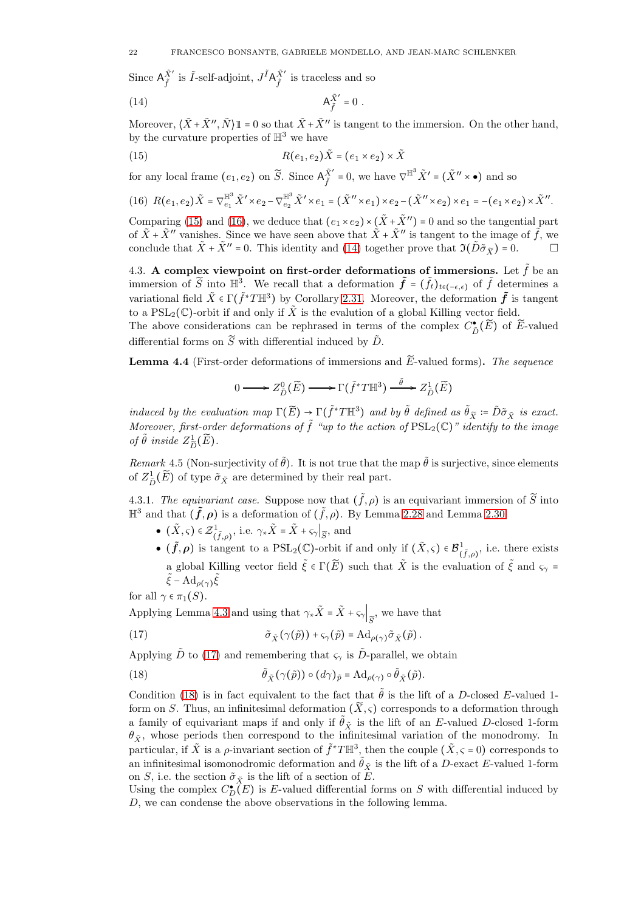Since  $A_{\tilde{z}}^{\tilde{X}'}$  $\tilde{X}'$  is  $\tilde{I}\text{-self-adjoint}, J^{\tilde{I}}A_{\tilde{f}}^{\tilde{X}'}$  $\frac{X}{\tilde{f}}$  is traceless and so

<span id="page-21-3"></span>
$$
\mathsf{A}_{\tilde{f}}^{\tilde{X}'} = 0 \ .
$$

Moreover,  $\langle \tilde{X} + \tilde{X}^{\prime\prime}, \tilde{N} \rangle \mathbb{1} = 0$  so that  $\tilde{X} + \tilde{X}^{\prime\prime}$  is tangent to the immersion. On the other hand, by the curvature properties of  $\mathbb{H}^3$  we have

<span id="page-21-1"></span>(15) 
$$
R(e_1, e_2) \tilde{X} = (e_1 \times e_2) \times \tilde{X}
$$

for any local frame  $(e_1, e_2)$  on  $\widetilde{S}$ . Since  $\mathsf{A}_{\tilde{f}}^{\tilde{X}'}$  $\tilde{X}' = 0$ , we have  $\nabla^{\mathbb{H}^3} \tilde{X}' = (\tilde{X}'' \times \bullet)$  and so

<span id="page-21-2"></span>
$$
(16)\ \ R(e_1,e_2)\tilde{X}=\nabla^{\mathbb{H}^3}_{e_1}\tilde{X}'\times e_2-\nabla^{\mathbb{H}^3}_{e_2}\tilde{X}'\times e_1=\left(\tilde{X}''\times e_1\right)\times e_2-\left(\tilde{X}''\times e_2\right)\times e_1=-\left(e_1\times e_2\right)\times \tilde{X}''.
$$

Comparing [\(15\)](#page-21-1) and [\(16\)](#page-21-2), we deduce that  $(e_1 \times e_2) \times (\tilde{X} + \tilde{X}^{\prime\prime}) = 0$  and so the tangential part of  $\tilde{X} + \tilde{X}''$  vanishes. Since we have seen above that  $\tilde{X} + \tilde{X}''$  is tangent to the image of  $\tilde{f}$ , we conclude that  $\tilde{X} + \tilde{X}'' = 0$ . This identity and [\(14\)](#page-21-3) together prove that  $\mathfrak{I}(\tilde{D}\tilde{\sigma}_{\tilde{X}}) = 0$ .

<span id="page-21-0"></span>4.3. A complex viewpoint on first-order deformations of immersions. Let  $\tilde{f}$  be an immersion of  $\widetilde{S}$  into  $\mathbb{H}^3$ . We recall that a deformation  $\tilde{f} = (\tilde{f}_t)_{t \in (-\epsilon,\epsilon)}$  of  $\tilde{f}$  determines a variational field  $\tilde{X} \in \Gamma(\tilde{f}^*T\mathbb{H}^3)$  by Corollary [2.31.](#page-11-3) Moreover, the deformation  $\tilde{f}$  is tangent to a PSL<sub>2</sub>( $\mathbb{C}$ )-orbit if and only if  $\tilde{X}$  is the evalution of a global Killing vector field. The above considerations can be rephrased in terms of the complex  $C_{\tilde{D}}^{\bullet}(\tilde{E})$  of  $\tilde{E}$ -valued

differential forms on  $\widetilde{S}$  with differential induced by  $\widetilde{D}$ .

**Lemma 4.4** (First-order deformations of immersions and  $\widetilde{E}$ -valued forms). The sequence

$$
0 \longrightarrow Z_{\tilde{D}}^{0}(\widetilde{E}) \longrightarrow \Gamma(\tilde{f}^{*}T\mathbb{H}^{3}) \stackrel{\tilde{\theta}}{\longrightarrow} Z_{\tilde{D}}^{1}(\widetilde{E})
$$

induced by the evaluation map  $\Gamma(\widetilde{E}) \to \Gamma(\widetilde{f}^*T\mathbb{H}^3)$  and by  $\widetilde{\theta}$  defined as  $\widetilde{\theta}_{\widetilde{X}} \coloneqq \widetilde{D}\widetilde{\sigma}_{\widetilde{X}}$  is exact. Moreover, first-order deformations of  $\tilde{f}$  "up to the action of  $PSL_2(\mathbb{C})$ " identify to the image of  $\tilde{\theta}$  inside  $Z_{\tilde{D}}^1(\widetilde{E})$ .

Remark 4.5 (Non-surjectivity of  $\tilde{\theta}$ ). It is not true that the map  $\tilde{\theta}$  is surjective, since elements of  $Z_{\tilde{D}}^1(\widetilde{E})$  of type  $\tilde{\sigma}_{\tilde{X}}$  are determined by their real part.

4.3.1. The equivariant case. Suppose now that  $(\tilde{f}, \rho)$  is an equivariant immersion of  $\tilde{S}$  into  $\mathbb{H}^3$  and that  $(\tilde{f}, \rho)$  is a deformation of  $(\tilde{f}, \rho)$ . By Lemma [2.28](#page-11-1) and Lemma [2.30](#page-11-2)

- $(\tilde{X}, \varsigma) \in \mathcal{Z}^1_{(\tilde{f}, \rho)},$  i.e.  $\gamma_* \tilde{X} = \tilde{X} + \varsigma_{\gamma} \big|_{\widetilde{S}},$  and
- $(\tilde{f}, \rho)$  is tangent to a  $PSL_2(\mathbb{C})$ -orbit if and only if  $(\tilde{X}, \varsigma) \in \mathcal{B}^1_{(\tilde{f}, \rho)},$  i.e. there exists a global Killing vector field  $\tilde{\xi} \in \Gamma(\tilde{E})$  such that  $\tilde{X}$  is the evaluation of  $\tilde{\xi}$  and  $\varsigma_{\gamma}$  =  $\tilde{\xi} - \mathrm{Ad}_{\rho(\gamma)} \tilde{\xi}$

for all  $\gamma \in \pi_1(S)$ .

Applying Lemma [4.3](#page-20-1) and using that  $\gamma_*\tilde{X} = \tilde{X} + \varsigma_{\gamma} \Big|_{\widetilde{S}}$ , we have that

<span id="page-21-4"></span>(17) 
$$
\tilde{\sigma}_{\tilde{X}}(\gamma(\tilde{p})) + \varsigma_{\gamma}(\tilde{p}) = \mathrm{Ad}_{\rho(\gamma)}\tilde{\sigma}_{\tilde{X}}(\tilde{p}).
$$

Applying  $\tilde{D}$  to [\(17\)](#page-21-4) and remembering that  $\varsigma_{\gamma}$  is  $\tilde{D}$ -parallel, we obtain

<span id="page-21-5"></span>(18) 
$$
\tilde{\theta}_{\tilde{X}}(\gamma(\tilde{p})) \circ (d\gamma)_{\tilde{p}} = \mathrm{Ad}_{\rho(\gamma)} \circ \tilde{\theta}_{\tilde{X}}(\tilde{p}).
$$

Condition [\(18\)](#page-21-5) is in fact equivalent to the fact that  $\tilde{\theta}$  is the lift of a D-closed E-valued 1form on S. Thus, an infinitesimal deformation  $(\widetilde{X}, \varsigma)$  corresponds to a deformation through a family of equivariant maps if and only if  $\tilde{\theta}_{\tilde{X}}$  is the lift of an E-valued D-closed 1-form  $\theta_{\tilde{X}}$ , whose periods then correspond to the infinitesimal variation of the monodromy. In particular, if  $\tilde{X}$  is a  $\rho$ -invariant section of  $\tilde{f}^*T\mathbb{H}^3$ , then the couple  $(\tilde{X}, \varsigma = 0)$  corresponds to an infinitesimal isomonodromic deformation and  $\tilde{\theta}_{\tilde{X}}$  is the lift of a D-exact E-valued 1-form on S, i.e. the section  $\tilde{\sigma}_{\tilde{X}}$  is the lift of a section of E.

Using the complex  $C_D^{\bullet}(\mathcal{E})$  is E-valued differential forms on S with differential induced by D, we can condense the above observations in the following lemma.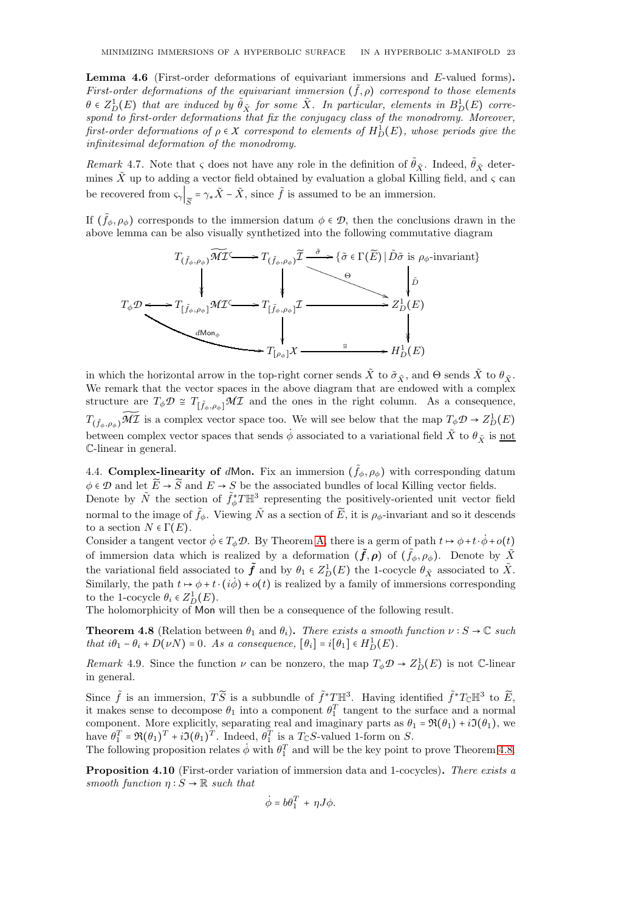Lemma 4.6 (First-order deformations of equivariant immersions and E-valued forms). First-order deformations of the equivariant immersion  $(\tilde{f}, \rho)$  correspond to those elements  $\theta \in Z_D^1(E)$  that are induced by  $\tilde{\theta}_{\tilde{X}}$  for some  $\tilde{X}$ . In particular, elements in  $B_D^1(E)$  correspond to first-order deformations that fix the conjugacy class of the monodromy. Moreover, first-order deformations of  $\rho \in X$  correspond to elements of  $H_D^1(E)$ , whose periods give the infinitesimal deformation of the monodromy.

Remark 4.7. Note that  $\zeta$  does not have any role in the definition of  $\hat{\theta}_{\tilde{X}}$ . Indeed,  $\hat{\theta}_{\tilde{X}}$  determines  $\tilde{X}$  up to adding a vector field obtained by evaluation a global Killing field, and  $\varsigma$  can be recovered from  $\varsigma_{\gamma}$   $\left|_{\widetilde{S}} = \gamma_* \widetilde{X} - \widetilde{X}$ , since  $\widetilde{f}$  is assumed to be an immersion.

If  $(\tilde{f}_{\phi}, \rho_{\phi})$  corresponds to the immersion datum  $\phi \in \mathcal{D}$ , then the conclusions drawn in the above lemma can be also visually synthetized into the following commutative diagram



in which the horizontal arrow in the top-right corner sends  $\tilde{X}$  to  $\tilde{\sigma}_{\tilde{Y}}$ , and  $\Theta$  sends  $\tilde{X}$  to  $\theta_{\tilde{Y}}$ . We remark that the vector spaces in the above diagram that are endowed with a complex structure are  $T_{\phi} \mathcal{D} \cong T_{\left[\tilde{f}_{\phi}, \rho_{\phi}\right]} \mathcal{M} \mathcal{I}$  and the ones in the right column. As a consequence,  $T_{(\tilde{f}_{\phi},\rho_{\phi})}\tilde{M}\mathcal{I}$  is a complex vector space too. We will see below that the map  $T_{\phi}\mathcal{D} \to Z_D^1(E)$ between complex vector spaces that sends  $\dot{\phi}$  associated to a variational field  $\tilde{X}$  to  $\theta_{\tilde{X}}$  is not C-linear in general.

<span id="page-22-0"></span>4.4. Complex-linearity of dMon. Fix an immersion  $(\tilde{f}_{\phi}, \rho_{\phi})$  with corresponding datum  $\phi \in \mathcal{D}$  and let  $\widetilde{E} \to \widetilde{S}$  and  $E \to S$  be the associated bundles of local Killing vector fields.

Denote by  $\tilde{N}$  the section of  $\tilde{f}_{\phi}^*T\mathbb{H}^3$  representing the positively-oriented unit vector field normal to the image of  $\tilde{f}_{\phi}$ . Viewing  $\tilde{N}$  as a section of  $\tilde{E}$ , it is  $\rho_{\phi}$ -invariant and so it descends to a section  $N \in \Gamma(E)$ .

Consider a tangent vector  $\dot{\phi} \in T_{\phi} \mathcal{D}$ . By Theorem [A,](#page-3-1) there is a germ of path  $t \mapsto \phi + t \cdot \dot{\phi} + o(t)$ of immersion data which is realized by a deformation  $(\tilde{f}, \rho)$  of  $(\tilde{f}_{\phi}, \rho_{\phi})$ . Denote by  $\tilde{X}$ the variational field associated to  $\tilde{f}$  and by  $\theta_1 \in Z_D^1(E)$  the 1-cocycle  $\theta_{\tilde{X}}$  associated to  $\tilde{X}$ . Similarly, the path  $t \mapsto \phi + t \cdot (i\phi) + o(t)$  is realized by a family of immersions corresponding to the 1-cocycle  $\theta_i \in Z_D^1(E)$ .

The holomorphicity of Mon will then be a consequence of the following result.

<span id="page-22-1"></span>**Theorem 4.8** (Relation between  $\theta_1$  and  $\theta_i$ ). There exists a smooth function  $\nu : S \to \mathbb{C}$  such that  $i\theta_1 - \theta_i + D(\nu N) = 0$ . As a consequence,  $[\theta_i] = i[\theta_1] \in H_D^1(E)$ .

*Remark* 4.9. Since the function  $\nu$  can be nonzero, the map  $T_{\phi} \mathcal{D} \to Z_D^1(E)$  is not C-linear in general.

Since  $\tilde{f}$  is an immersion,  $T\tilde{S}$  is a subbundle of  $\tilde{f}^*T\mathbb{H}^3$ . Having identified  $\tilde{f}^*T_{\mathbb{C}}\mathbb{H}^3$  to  $\tilde{E}$ , it makes sense to decompose  $\theta_1$  into a component  $\theta_1^T$  tangent to the surface and a normal component. More explicitly, separating real and imaginary parts as  $\theta_1 = \Re(\theta_1) + i\Im(\theta_1)$ , we have  $\theta_1^T = \Re(\theta_1)^T + i \Im(\theta_1)^T$ . Indeed,  $\theta_1^T$  is a  $T_{\mathbb{C}} S$ -valued 1-form on S.

The following proposition relates  $\dot{\phi}$  with  $\theta_1^T$  and will be the key point to prove Theorem [4.8.](#page-22-1)

<span id="page-22-2"></span>Proposition 4.10 (First-order variation of immersion data and 1-cocycles). There exists a smooth function  $\eta: S \to \mathbb{R}$  such that

$$
\dot{\phi} = b\theta_1^T + \eta J\phi.
$$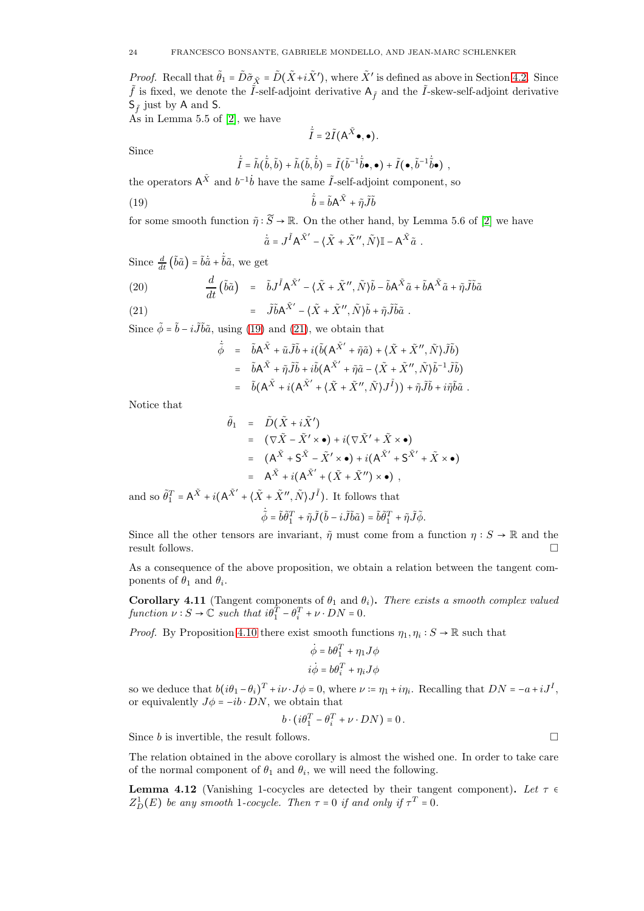*Proof.* Recall that  $\tilde{\theta}_1 = \tilde{D}\tilde{\sigma}_{\tilde{X}} = \tilde{D}(\tilde{X} + i\tilde{X}')$ , where  $\tilde{X}'$  is defined as above in Section [4.2.](#page-20-0) Since  $\tilde{f}$  is fixed, we denote the  $\tilde{I}$ -self-adjoint derivative  $A_{\tilde{f}}$  and the  $\tilde{I}$ -skew-self-adjoint derivative  $S_{\tilde{f}}$  just by A and S.

As in Lemma 5.5 of [\[2\]](#page-28-5), we have

<span id="page-23-0"></span>
$$
\dot{\tilde{I}} = 2\tilde{I}(\mathsf{A}^{\tilde{X}}\bullet,\bullet).
$$

Since

$$
\tilde{\tilde{I}} = \tilde{h}(\tilde{\tilde{b}}, \tilde{b}) + \tilde{h}(\tilde{b}, \dot{\tilde{b}}) = \tilde{I}(\tilde{b}^{-1} \dot{\tilde{b}} \bullet, \bullet) + \tilde{I}(\bullet, \tilde{b}^{-1} \dot{\tilde{b}} \bullet) ,
$$

the operators  $A^{\tilde{X}}$  and  $b^{-1}\dot{b}$  have the same  $\tilde{I}$ -self-adjoint component, so

(19) 
$$
\dot{\tilde{b}} = \tilde{b}A^{\tilde{X}} + \tilde{\eta}\tilde{J}\tilde{b}
$$

for some smooth function  $\tilde{\eta}: \tilde{S} \to \mathbb{R}$ . On the other hand, by Lemma 5.6 of [\[2\]](#page-28-5) we have  $\dot{\tilde{a}} = J^{\tilde{I}} A^{\tilde{X}'} - \langle \tilde{X} + \tilde{X}'' , \tilde{N} \rangle \mathbb{I} - A^{\tilde{X}} \tilde{a}$ .

Since  $\frac{d}{dt}(\tilde{b}\tilde{a}) = \tilde{b}\dot{\tilde{a}} + \dot{\tilde{b}}\tilde{a}$ , we get

(20) 
$$
\frac{d}{dt}(\tilde{b}\tilde{a}) = \tilde{b}J^{\tilde{I}}A^{\tilde{X}'} - \langle \tilde{X} + \tilde{X}'', \tilde{N} \rangle \tilde{b} - \tilde{b}A^{\tilde{X}}\tilde{a} + \tilde{b}A^{\tilde{X}}\tilde{a} + \tilde{\eta}\tilde{J}\tilde{b}\tilde{a}
$$
  
(21) 
$$
= \tilde{J}\tilde{b}A^{\tilde{X}'} - \langle \tilde{X} + \tilde{X}'', \tilde{N} \rangle \tilde{b} + \tilde{\eta}\tilde{J}\tilde{b}\tilde{a}.
$$

$$
= 30A - \sqrt{A + A}, \sqrt{B + B}
$$

Since  $\phi = \tilde{b} - i\tilde{J}\tilde{b}\tilde{a}$ , using [\(19\)](#page-23-0) and [\(21\)](#page-23-1), we obtain that

<span id="page-23-1"></span>
$$
\dot{\tilde{\phi}} = \tilde{b}A^{\tilde{X}} + \tilde{u}\tilde{J}\tilde{b} + i(\tilde{b}(A^{\tilde{X}'} + \tilde{\eta}\tilde{a}) + \langle \tilde{X} + \tilde{X}'', \tilde{N} \rangle \tilde{J}\tilde{b})
$$
\n
$$
= \tilde{b}A^{\tilde{X}} + \tilde{\eta}\tilde{J}\tilde{b} + i\tilde{b}(A^{\tilde{X}'} + \tilde{\eta}\tilde{a} - \langle \tilde{X} + \tilde{X}'', \tilde{N} \rangle \tilde{b}^{-1} \tilde{J}\tilde{b})
$$
\n
$$
= \tilde{b}(A^{\tilde{X}} + i(A^{\tilde{X}'} + \langle \tilde{X} + \tilde{X}'', \tilde{N} \rangle J^{\tilde{I}})) + \tilde{\eta}\tilde{J}\tilde{b} + i\tilde{\eta}\tilde{b}\tilde{a}.
$$

Notice that

$$
\tilde{\theta}_{1} = \tilde{D}(\tilde{X} + i\tilde{X}')
$$
\n
$$
= (\nabla \tilde{X} - \tilde{X}' \times \bullet) + i(\nabla \tilde{X}' + \tilde{X} \times \bullet)
$$
\n
$$
= (A^{\tilde{X}} + S^{\tilde{X}} - \tilde{X}' \times \bullet) + i(A^{\tilde{X}'} + S^{\tilde{X}'} + \tilde{X} \times \bullet)
$$
\n
$$
= A^{\tilde{X}} + i(A^{\tilde{X}'} + (\tilde{X} + \tilde{X}'') \times \bullet),
$$

and so  $\tilde{\theta}_1^T = A^{\tilde{X}} + i(A^{\tilde{X}'} + \langle \tilde{X} + \tilde{X}'', \tilde{N} \rangle J^{\tilde{I}})$ . It follows that

$$
\dot{\tilde{\phi}}=\tilde{b}\tilde{\theta}_1^T+\tilde{\eta} \tilde{J}\big(\tilde{b}-i\tilde{J}\tilde{b}\tilde{a}\big)=\tilde{b}\tilde{\theta}_1^T+\tilde{\eta} \tilde{J}\tilde{\phi}.
$$

Since all the other tensors are invariant,  $\tilde{\eta}$  must come from a function  $\eta : S \to \mathbb{R}$  and the result follows.

As a consequence of the above proposition, we obtain a relation between the tangent components of  $\theta_1$  and  $\theta_i$ .

<span id="page-23-2"></span>Corollary 4.11 (Tangent components of  $\theta_1$  and  $\theta_i$ ). There exists a smooth complex valued function  $\nu : S \to \mathbb{C}$  such that  $i\theta_1^T - \theta_i^T + \nu \cdot DN = 0$ .

*Proof.* By Proposition [4.10](#page-22-2) there exist smooth functions  $\eta_1, \eta_i : S \to \mathbb{R}$  such that

$$
\dot{\phi} = b\theta_1^T + \eta_1 J\phi
$$
  

$$
i\dot{\phi} = b\theta_i^T + \eta_i J\phi
$$

so we deduce that  $b(i\theta_1 - \theta_i)^T + i\nu \cdot J\phi = 0$ , where  $\nu = \eta_1 + i\eta_i$ . Recalling that  $DN = -a + iJ^I$ , or equivalently  $J\phi = -ib \cdot DN$ , we obtain that

$$
b \cdot \left(i\theta_1^T - \theta_i^T + \nu \cdot DN\right) = 0.
$$

Since b is invertible, the result follows.

The relation obtained in the above corollary is almost the wished one. In order to take care of the normal component of  $\theta_1$  and  $\theta_i$ , we will need the following.

<span id="page-23-3"></span>**Lemma 4.12** (Vanishing 1-cocycles are detected by their tangent component). Let  $\tau \in$  $Z_D^1(E)$  be any smooth 1-cocycle. Then  $\tau = 0$  if and only if  $\tau^T = 0$ .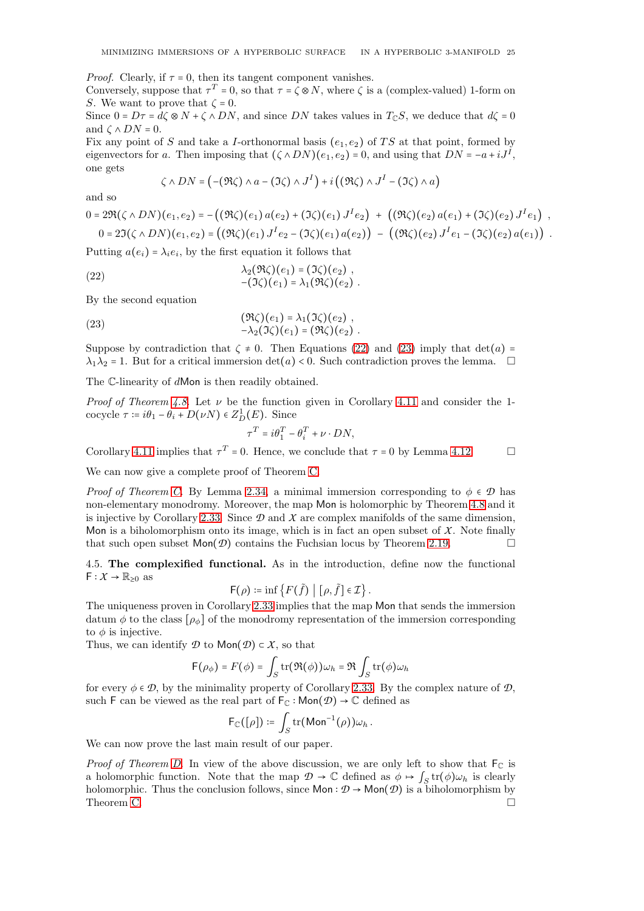*Proof.* Clearly, if  $\tau = 0$ , then its tangent component vanishes.

Conversely, suppose that  $\tau^T = 0$ , so that  $\tau = \zeta \otimes N$ , where  $\zeta$  is a (complex-valued) 1-form on S. We want to prove that  $\zeta = 0$ .

Since  $0 = D\tau = d\zeta \otimes N + \zeta \wedge DN$ , and since DN takes values in  $T_{\mathbb{C}}S$ , we deduce that  $d\zeta = 0$ and  $\zeta \wedge DN = 0$ .

Fix any point of S and take a I-orthonormal basis  $(e_1, e_2)$  of TS at that point, formed by eigenvectors for a. Then imposing that  $(\zeta \wedge DN)(e_1, e_2) = 0$ , and using that  $DN = -a + iJ^I$ , one gets

<span id="page-24-1"></span>
$$
\zeta \wedge DN = \left( -(\Re \zeta) \wedge a - (\Im \zeta) \wedge J^I \right) + i \left( (\Re \zeta) \wedge J^I - (\Im \zeta) \wedge a \right)
$$

and so

$$
0 = 2\Re(\zeta \wedge DN)(e_1, e_2) = -((\Re \zeta)(e_1) a(e_2) + (\Im \zeta)(e_1) J^I e_2) + ((\Re \zeta)(e_2) a(e_1) + (\Im \zeta)(e_2) J^I e_1),
$$
  

$$
0 = 2\Im(\zeta \wedge DN)(e_1, e_2) = ((\Re \zeta)(e_1) J^I e_2 - (\Im \zeta)(e_1) a(e_2)) - ((\Re \zeta)(e_2) J^I e_1 - (\Im \zeta)(e_2) a(e_1)).
$$

Putting  $a(e_i) = \lambda_i e_i$ , by the first equation it follows that

(22) 
$$
\lambda_2(\Re \zeta)(e_1) = (\Im \zeta)(e_2), -(\Im \zeta)(e_1) = \lambda_1(\Re \zeta)(e_2).
$$

By the second equation

(23) 
$$
(\mathfrak{R}\zeta)(e_1) = \lambda_1(\mathfrak{I}\zeta)(e_2), -\lambda_2(\mathfrak{I}\zeta)(e_1) = (\mathfrak{R}\zeta)(e_2).
$$

Suppose by contradiction that  $\zeta \neq 0$ . Then Equations [\(22\)](#page-24-1) and [\(23\)](#page-24-2) imply that det(a) =  $\lambda_1 \lambda_2 = 1$ . But for a critical immersion det(a) < 0. Such contradiction proves the lemma.  $\square$ 

The C-linearity of dMon is then readily obtained.

*Proof of Theorem [4.8.](#page-22-1)* Let  $\nu$  be the function given in Corollary [4.11](#page-23-2) and consider the 1cocycle  $\tau \coloneqq i\theta_1 - \theta_i + D(\nu N) \in Z_D^1(E)$ . Since

<span id="page-24-2"></span>
$$
\tau^T = i\theta_1^T - \theta_i^T + \nu \cdot DN,
$$

Corollary [4.11](#page-23-2) implies that  $\tau^T = 0$ . Hence, we conclude that  $\tau = 0$  by Lemma [4.12.](#page-23-3)

We can now give a complete proof of Theorem [C.](#page-4-0)

*Proof of Theorem [C.](#page-4-0)* By Lemma [2.34,](#page-13-2) a minimal immersion corresponding to  $\phi \in \mathcal{D}$  has non-elementary monodromy. Moreover, the map Mon is holomorphic by Theorem [4.8](#page-22-1) and it is injective by Corollary [2.33.](#page-13-1) Since  $\mathcal D$  and  $\mathcal X$  are complex manifolds of the same dimension, Mon is a biholomorphism onto its image, which is in fact an open subset of  $X$ . Note finally that such open subset  $\textsf{Mon}(\mathcal{D})$  contains the Fuchsian locus by Theorem [2.19.](#page-9-2)

<span id="page-24-0"></span>4.5. The complexified functional. As in the introduction, define now the functional  $F: X \to \mathbb{R}_{\geq 0}$  as

$$
\mathsf{F}(\rho) \coloneqq \inf \left\{ F(\tilde{f}) \mid [\rho, \tilde{f}] \in \mathcal{I} \right\}.
$$

The uniqueness proven in Corollary [2.33](#page-13-1) implies that the map Mon that sends the immersion datum  $\phi$  to the class  $[\rho_{\phi}]$  of the monodromy representation of the immersion corresponding to  $\phi$  is injective.

Thus, we can identify  $\mathcal D$  to Mon $(\mathcal D) \subset \mathcal X$ , so that

$$
\mathsf{F}(\rho_{\phi}) = F(\phi) = \int_{S} \mathrm{tr}(\Re(\phi)) \omega_h = \Re \int_{S} \mathrm{tr}(\phi) \omega_h
$$

for every  $\phi \in \mathcal{D}$ , by the minimality property of Corollary [2.33.](#page-13-1) By the complex nature of  $\mathcal{D}$ , such F can be viewed as the real part of  $F_{\mathbb{C}}$  : Mon $(\mathcal{D}) \rightarrow \mathbb{C}$  defined as

$$
\mathsf{F}_{\mathbb{C}}([\rho]) \coloneqq \int_S \mathrm{tr}(\mathsf{Mon}^{-1}(\rho)) \omega_h.
$$

We can now prove the last main result of our paper.

*Proof of Theorem [D.](#page-4-1)* In view of the above discussion, we are only left to show that  $F_C$  is a holomorphic function. Note that the map  $\mathcal{D} \to \mathbb{C}$  defined as  $\phi \mapsto \int_S \text{tr}(\phi) \omega_h$  is clearly holomorphic. Thus the conclusion follows, since  $\mathsf{Mon} : \mathcal{D} \to \mathsf{Mon}(\mathcal{D})$  is a biholomorphism by Theorem C. Theorem [C.](#page-4-0)  $\Box$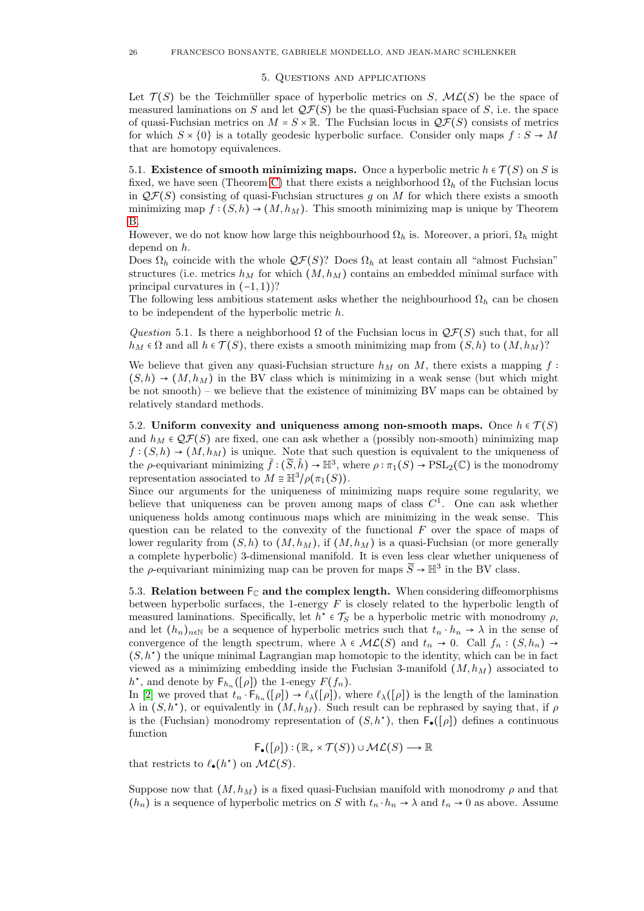#### 5. Questions and applications

<span id="page-25-0"></span>Let  $\mathcal{T}(S)$  be the Teichmüller space of hyperbolic metrics on S,  $\mathcal{ML}(S)$  be the space of measured laminations on S and let  $\mathcal{QF}(S)$  be the quasi-Fuchsian space of S, i.e. the space of quasi-Fuchsian metrics on  $M = S \times \mathbb{R}$ . The Fuchsian locus in  $\mathcal{QF}(S)$  consists of metrics for which  $S \times \{0\}$  is a totally geodesic hyperbolic surface. Consider only maps  $f : S \to M$ that are homotopy equivalences.

<span id="page-25-1"></span>5.1. Existence of smooth minimizing maps. Once a hyperbolic metric  $h \in \mathcal{T}(S)$  on S is fixed, we have seen (Theorem [C\)](#page-4-0) that there exists a neighborhood  $\Omega_h$  of the Fuchsian locus in  $\mathcal{QF}(S)$  consisting of quasi-Fuchsian structures g on M for which there exists a smooth minimizing map  $f : (S, h) \to (M, h<sub>M</sub>)$ . This smooth minimizing map is unique by Theorem [B.](#page-17-0)

However, we do not know how large this neighbourhood  $\Omega_h$  is. Moreover, a priori,  $\Omega_h$  might depend on h.

Does  $\Omega_h$  coincide with the whole  $\mathcal{QF}(S)$ ? Does  $\Omega_h$  at least contain all "almost Fuchsian" structures (i.e. metrics  $h_M$  for which  $(M, h_M)$  contains an embedded minimal surface with principal curvatures in  $(-1, 1)$ ?

The following less ambitious statement asks whether the neighbourhood  $\Omega_h$  can be chosen to be independent of the hyperbolic metric h.

<span id="page-25-4"></span>Question 5.1. Is there a neighborhood  $\Omega$  of the Fuchsian locus in  $\mathcal{QF}(S)$  such that, for all  $h_M \in \Omega$  and all  $h \in \mathcal{T}(S)$ , there exists a smooth minimizing map from  $(S, h)$  to  $(M, h_M)$ ?

We believe that given any quasi-Fuchsian structure  $h_M$  on M, there exists a mapping f:  $(S, h) \rightarrow (M, h_M)$  in the BV class which is minimizing in a weak sense (but which might be not smooth) – we believe that the existence of minimizing BV maps can be obtained by relatively standard methods.

<span id="page-25-2"></span>5.2. Uniform convexity and uniqueness among non-smooth maps. Once  $h \in \mathcal{T}(S)$ and  $h_M \in \mathcal{QF}(S)$  are fixed, one can ask whether a (possibly non-smooth) minimizing map  $f: (S, h) \to (M, h_M)$  is unique. Note that such question is equivalent to the uniqueness of the  $\rho$ -equivariant minimizing  $\tilde{f} : (\tilde{S}, \tilde{h}) \to \mathbb{H}^3$ , where  $\rho : \pi_1(S) \to \text{PSL}_2(\mathbb{C})$  is the monodromy representation associated to  $M \cong \mathbb{H}^3/\rho(\pi_1(S)).$ 

Since our arguments for the uniqueness of minimizing maps require some regularity, we believe that uniqueness can be proven among maps of class  $C^1$ . One can ask whether uniqueness holds among continuous maps which are minimizing in the weak sense. This question can be related to the convexity of the functional  $F$  over the space of maps of lower regularity from  $(S, h)$  to  $(M, h_M)$ , if  $(M, h_M)$  is a quasi-Fuchsian (or more generally a complete hyperbolic) 3-dimensional manifold. It is even less clear whether uniqueness of the  $\rho$ -equivariant minimizing map can be proven for maps  $\widetilde{S} \to \mathbb{H}^3$  in the BV class.

<span id="page-25-3"></span>5.3. Relation between  $\mathsf{F}_{\mathbb{C}}$  and the complex length. When considering diffeomorphisms between hyperbolic surfaces, the 1-energy  $F$  is closely related to the hyperbolic length of measured laminations. Specifically, let  $h^* \in \mathcal{T}_S$  be a hyperbolic metric with monodromy  $\rho$ , and let  $(h_n)_{n\in\mathbb{N}}$  be a sequence of hyperbolic metrics such that  $t_n \cdot h_n \to \lambda$  in the sense of convergence of the length spectrum, where  $\lambda \in \mathcal{ML}(S)$  and  $t_n \to 0$ . Call  $f_n : (S, h_n) \to$  $(S, h^*)$  the unique minimal Lagrangian map homotopic to the identity, which can be in fact viewed as a minimizing embedding inside the Fuchsian 3-manifold  $(M, h_M)$  associated to  $h^*$ , and denote by  $\mathsf{F}_{h_n}([\rho])$  the 1-enegy  $F(f_n)$ .

In [\[2\]](#page-28-5) we proved that  $t_n \cdot F_{h_n}([\rho]) \to \ell_\lambda([\rho])$ , where  $\ell_\lambda([\rho])$  is the length of the lamination  $\lambda$  in  $(S, h^*)$ , or equivalently in  $(M, h_M)$ . Such result can be rephrased by saying that, if  $\rho$ is the (Fuchsian) monodromy representation of  $(S,h^*)$ , then  $\overline{\mathsf{F}}_{\bullet}([\rho])$  defines a continuous function

$$
\mathsf{F}_{\bullet}([\rho]) : (\mathbb{R}_{+} \times \mathcal{T}(S)) \cup \mathcal{ML}(S) \longrightarrow \mathbb{R}
$$

that restricts to  $\ell_{\bullet}(h^*)$  on  $\mathcal{ML}(S)$ .

Suppose now that  $(M, h_M)$  is a fixed quasi-Fuchsian manifold with monodromy  $\rho$  and that  $(h_n)$  is a sequence of hyperbolic metrics on S with  $t_n \cdot h_n \to \lambda$  and  $t_n \to 0$  as above. Assume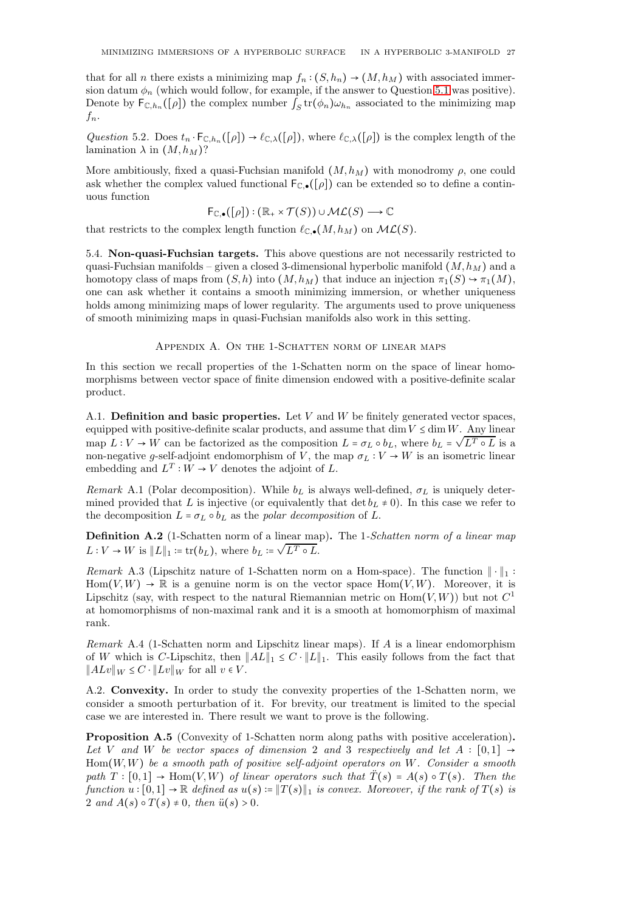that for all n there exists a minimizing map  $f_n$  :  $(S, h_n) \to (M, h_M)$  with associated immersion datum  $\phi_n$  (which would follow, for example, if the answer to Question [5.1](#page-25-4) was positive). Denote by  $\mathsf{F}_{\mathbb{C},h_n}([\rho])$  the complex number  $\int_S \text{tr}(\phi_n) \omega_{h_n}$  associated to the minimizing map  $f_n$ .

Question 5.2. Does  $t_n \cdot \mathsf{F}_{\mathbb{C},h_n}([\rho]) \to \ell_{\mathbb{C},\lambda}([\rho])$ , where  $\ell_{\mathbb{C},\lambda}([\rho])$  is the complex length of the lamination  $\lambda$  in  $(M, h_M)$ ?

More ambitiously, fixed a quasi-Fuchsian manifold  $(M, h_M)$  with monodromy  $\rho$ , one could ask whether the complex valued functional  $F_{\mathbb{C},\bullet}([\rho])$  can be extended so to define a continuous function

$$
\mathsf{F}_{\mathbb{C},\bullet}([\rho]) : (\mathbb{R}_+ \times \mathcal{T}(S)) \cup \mathcal{ML}(S) \longrightarrow \mathbb{C}
$$

that restricts to the complex length function  $\ell_{\mathbb{C},\bullet}(M, h_M)$  on  $\mathcal{ML}(S)$ .

<span id="page-26-0"></span>5.4. Non-quasi-Fuchsian targets. This above questions are not necessarily restricted to quasi-Fuchsian manifolds – given a closed 3-dimensional hyperbolic manifold  $(M, h_M)$  and a homotopy class of maps from  $(S, h)$  into  $(M, h_M)$  that induce an injection  $\pi_1(S) \to \pi_1(M)$ , one can ask whether it contains a smooth minimizing immersion, or whether uniqueness holds among minimizing maps of lower regularity. The arguments used to prove uniqueness of smooth minimizing maps in quasi-Fuchsian manifolds also work in this setting.

## APPENDIX A. ON THE 1-SCHATTEN NORM OF LINEAR MAPS

<span id="page-26-1"></span>In this section we recall properties of the 1-Schatten norm on the space of linear homomorphisms between vector space of finite dimension endowed with a positive-definite scalar product.

<span id="page-26-2"></span>A.1. Definition and basic properties. Let  $V$  and  $W$  be finitely generated vector spaces, equipped with positive-definite scalar products, and assume that dim  $V \leq \dim W$ . Any linear map  $L: V \to W$  can be factorized as the composition  $L = \sigma_L \circ b_L$ , where  $b_L = \sqrt{L^T \circ L}$  is a non-negative g-self-adjoint endomorphism of V, the map  $\sigma_L : V \to W$  is an isometric linear embedding and  $L^T: W \to V$  denotes the adjoint of L.

Remark A.1 (Polar decomposition). While  $b<sub>L</sub>$  is always well-defined,  $\sigma<sub>L</sub>$  is uniquely determined provided that L is injective (or equivalently that  $\det b_L \neq 0$ ). In this case we refer to the decomposition  $L = \sigma_L \circ b_L$  as the polar decomposition of L.

Definition A.2 (1-Schatten norm of a linear map). The 1-Schatten norm of a linear map  $L: V \to W$  is  $||L||_1 := \text{tr}(b_L)$ , where  $b_L := \sqrt{L^T \circ L}$ .

<span id="page-26-4"></span>Remark A.3 (Lipschitz nature of 1-Schatten norm on a Hom-space). The function  $\|\cdot\|_1$ :  $Hom(V, W) \to \mathbb{R}$  is a genuine norm is on the vector space  $Hom(V, W)$ . Moreover, it is Lipschitz (say, with respect to the natural Riemannian metric on  $\text{Hom}(V, W)$ ) but not  $C^1$ at homomorphisms of non-maximal rank and it is a smooth at homomorphism of maximal rank.

<span id="page-26-5"></span>Remark A.4 (1-Schatten norm and Lipschitz linear maps). If A is a linear endomorphism of W which is C-Lipschitz, then  $||AL||_1 \leq C \cdot ||L||_1$ . This easily follows from the fact that  $||ALv||_W \leq C \cdot ||Lv||_W$  for all  $v \in V$ .

<span id="page-26-3"></span>A.2. Convexity. In order to study the convexity properties of the 1-Schatten norm, we consider a smooth perturbation of it. For brevity, our treatment is limited to the special case we are interested in. There result we want to prove is the following.

<span id="page-26-6"></span>Proposition A.5 (Convexity of 1-Schatten norm along paths with positive acceleration). Let V and W be vector spaces of dimension 2 and 3 respectively and let  $A : [0,1] \rightarrow$  $Hom(W, W)$  be a smooth path of positive self-adjoint operators on W. Consider a smooth path  $T : [0,1] \rightarrow Hom(V,W)$  of linear operators such that  $\ddot{T}(s) = A(s) \circ T(s)$ . Then the function  $u : [0,1] \to \mathbb{R}$  defined as  $u(s) := ||T(s)||_1$  is convex. Moreover, if the rank of  $T(s)$  is 2 and  $A(s) \circ T(s) \neq 0$ , then  $\ddot{u}(s) > 0$ .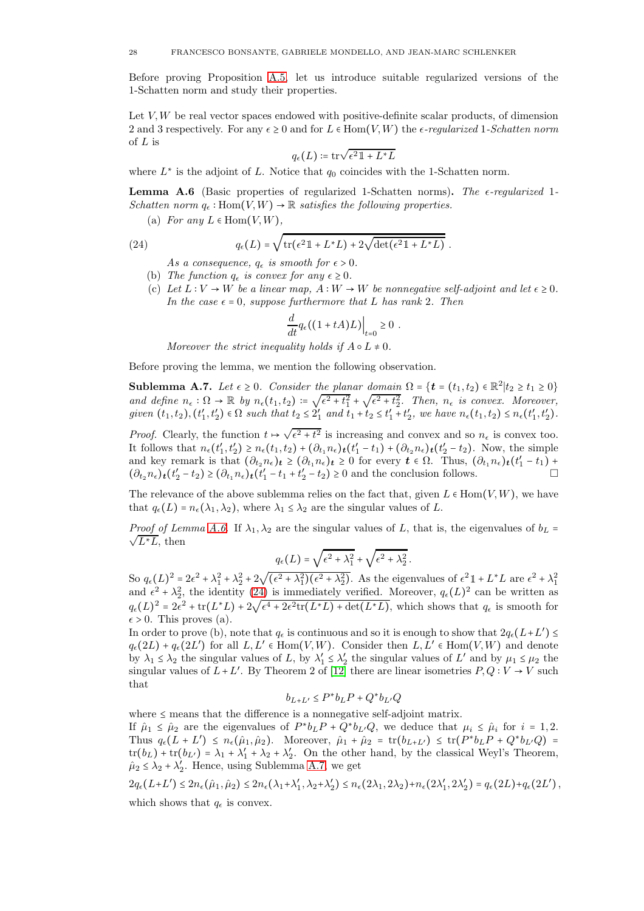Before proving Proposition [A.5,](#page-26-6) let us introduce suitable regularized versions of the 1-Schatten norm and study their properties.

Let  $V, W$  be real vector spaces endowed with positive-definite scalar products, of dimension 2 and 3 respectively. For any  $\epsilon \geq 0$  and for  $L \in \text{Hom}(V, W)$  the  $\epsilon$ -regularized 1-Schatten norm of  $L$  is

$$
q_{\epsilon}(L) \coloneqq \mathrm{tr}\sqrt{\epsilon^2 \mathbb{1} + L^*L}
$$

where  $L^*$  is the adjoint of L. Notice that  $q_0$  coincides with the 1-Schatten norm.

<span id="page-27-0"></span>**Lemma A.6** (Basic properties of regularized 1-Schatten norms). The  $\epsilon$ -regularized 1-Schatten norm  $q_{\epsilon} : \text{Hom}(V, W) \to \mathbb{R}$  satisfies the following properties.

(a) For any  $L \in \text{Hom}(V, W)$ ,

(24) 
$$
q_{\epsilon}(L) = \sqrt{\text{tr}(\epsilon^2 \mathbb{1} + L^*L) + 2\sqrt{\text{det}(\epsilon^2 \mathbb{1} + L^*L)}}.
$$

<span id="page-27-1"></span>As a consequence,  $q_{\epsilon}$  is smooth for  $\epsilon > 0$ .

- (b) The function  $q_{\epsilon}$  is convex for any  $\epsilon \geq 0$ .
- (c) Let  $L: V \to W$  be a linear map,  $A: W \to W$  be nonnegative self-adjoint and let  $\epsilon \geq 0$ . In the case  $\epsilon = 0$ , suppose furthermore that L has rank 2. Then

$$
\frac{d}{dt}q_{\epsilon}((1+tA)L)\Big|_{t=0}\geq 0.
$$

Moreover the strict inequality holds if  $A \circ L \neq 0$ .

Before proving the lemma, we mention the following observation.

<span id="page-27-2"></span>**Sublemma A.7.** Let  $\epsilon \ge 0$ . Consider the planar domain  $\Omega = \{t = (t_1, t_2) \in \mathbb{R}^2 | t_2 \ge t_1 \ge 0 \}$ and define  $n_{\epsilon} : \Omega \to \mathbb{R}$  by  $n_{\epsilon}(t_1, t_2) := \sqrt{\epsilon^2 + t_1^2} + \sqrt{\epsilon^2 + t_2^2}$ . Then,  $n_{\epsilon}$  is convex. Moreover, given  $(t_1, t_2)$ ,  $(t'_1, t'_2) \in \Omega$  such that  $t_2 \leq 2'_1$  and  $t_1 + t_2 \leq t'_1 + t'_2$ , we have  $n_{\epsilon}(t_1, t_2) \leq n_{\epsilon}(t'_1, t'_2)$ .

*Proof.* Clearly, the function  $t \mapsto \sqrt{\epsilon^2 + t^2}$  is increasing and convex and so  $n_{\epsilon}$  is convex too. It follows that  $n_{\epsilon}(t'_1,t'_2) \geq n_{\epsilon}(t_1,t_2) + (\partial_{t_1} n_{\epsilon})_t(t'_1 - t_1) + (\partial_{t_2} n_{\epsilon})_t(t'_2 - t_2)$ . Now, the simple and key remark is that  $(\partial_{t_2} n_{\epsilon})_t \geq (\partial_{t_1} n_{\epsilon})_t \geq 0$  for every  $t \in \Omega$ . Thus,  $(\partial_{t_1} n_{\epsilon})_t (t_1' - t_1)$  +  $(\partial_{t_2} n_{\epsilon})_t (t'_2 - t_2) \geq (\partial_{t_1} n_{\epsilon})_t (t'_1 - t_1 + t'_2 - t_2) \geq 0$  and the conclusion follows.

The relevance of the above sublemma relies on the fact that, given  $L \in \text{Hom}(V, W)$ , we have that  $q_{\epsilon}(L) = n_{\epsilon}(\lambda_1, \lambda_2)$ , where  $\lambda_1 \leq \lambda_2$  are the singular values of L.

*Proof of Lemma [A.6.](#page-27-0)* If  $\lambda_1, \lambda_2$  are the singular values of L, that is, the eigenvalues of  $b_L$  =  $\sqrt{L^*L}$ , then

$$
q_{\epsilon}(L) = \sqrt{\epsilon^2 + \lambda_1^2} + \sqrt{\epsilon^2 + \lambda_2^2}.
$$

So  $q_{\epsilon}(L)^2 = 2\epsilon^2 + \lambda_1^2 + \lambda_2^2 + 2\sqrt{(\epsilon^2 + \lambda_1^2)(\epsilon^2 + \lambda_2^2)}$ . As the eigenvalues of  $\epsilon^2 \mathbb{1} + L^*L$  are  $\epsilon^2 + \lambda_1^2$ and  $\epsilon^2 + \lambda_2^2$ , the identity [\(24\)](#page-27-1) is immediately verified. Moreover,  $q_{\epsilon}(L)^2$  can be written as  $q_{\epsilon}(L)^2 = 2\epsilon^2 + \text{tr}(L^*L) + 2\sqrt{\epsilon^4 + 2\epsilon^2\text{tr}(L^*L) + \text{det}(L^*L)}$ , which shows that  $q_{\epsilon}$  is smooth for  $\epsilon > 0$ . This proves (a).

In order to prove (b), note that  $q_{\epsilon}$  is continuous and so it is enough to show that  $2q_{\epsilon}(L+L') \leq$  $q_{\epsilon}(2L) + q_{\epsilon}(2L')$  for all  $L, L' \in \text{Hom}(V, W)$ . Consider then  $L, L' \in \text{Hom}(V, W)$  and denote by  $\lambda_1 \leq \lambda_2$  the singular values of L, by  $\lambda'_1 \leq \lambda'_2$  the singular values of L' and by  $\mu_1 \leq \mu_2$  the singular values of  $\overline{L} + L'$ . By Theorem 2 of  $[12]$  there are linear isometries  $P, Q: V \to V$  such that

$$
b_{L+L'} \le P^* b_L P + Q^* b_{L'} Q
$$

where  $\leq$  means that the difference is a nonnegative self-adjoint matrix.

If  $\hat{\mu}_1 \leq \hat{\mu}_2$  are the eigenvalues of  $P^*b_LP + Q^*b_{L'}Q$ , we deduce that  $\mu_i \leq \hat{\mu}_i$  for  $i = 1, 2$ . Thus  $q_{\epsilon}(L+L') \leq n_{\epsilon}(\hat{\mu}_1, \hat{\mu}_2)$ . Moreover,  $\hat{\mu}_1 + \hat{\mu}_2 = \text{tr}(b_{L+L'}) \leq \text{tr}(P^*b_LP + Q^*b_{L'}Q)$  $tr(b_L) + tr(b_{L'}) = \lambda_1 + \lambda_1' + \lambda_2 + \lambda_2'$ . On the other hand, by the classical Weyl's Theorem,  $\hat{\mu}_2 \leq \lambda_2 + \lambda_2'$ . Hence, using Sublemma [A.7,](#page-27-2) we get

$$
2q_{\epsilon}(L+L') \leq 2n_{\epsilon}(\hat{\mu}_1, \hat{\mu}_2) \leq 2n_{\epsilon}(\lambda_1 + \lambda'_1, \lambda_2 + \lambda'_2) \leq n_{\epsilon}(2\lambda_1, 2\lambda_2) + n_{\epsilon}(2\lambda'_1, 2\lambda'_2) = q_{\epsilon}(2L) + q_{\epsilon}(2L'),
$$
 which shows that  $q_{\epsilon}$  is convex.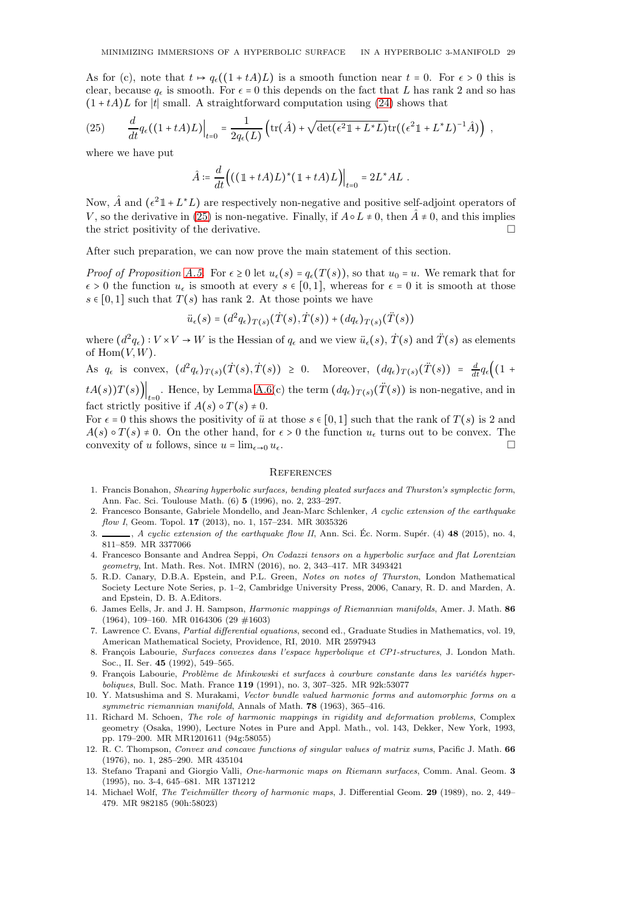As for (c), note that  $t \mapsto q_{\epsilon}((1+tA)L)$  is a smooth function near  $t = 0$ . For  $\epsilon > 0$  this is clear, because  $q_{\epsilon}$  is smooth. For  $\epsilon = 0$  this depends on the fact that L has rank 2 and so has  $(1 + tA)L$  for |t| small. A straightforward computation using [\(24\)](#page-27-1) shows that

<span id="page-28-15"></span>(25) 
$$
\frac{d}{dt}q_{\epsilon}((1+tA)L)\Big|_{t=0} = \frac{1}{2q_{\epsilon}(L)}\left(\text{tr}(\hat{A}) + \sqrt{\text{det}(\epsilon^2 \mathbb{1} + L^*L)}\text{tr}((\epsilon^2 \mathbb{1} + L^*L)^{-1}\hat{A})\right) ,
$$

where we have put

$$
\hat{A} \coloneqq \frac{d}{dt} \Big( \big( (\mathbb{1} + tA) L \big)^* \big( \mathbb{1} + tA \big) L \Big) \Big|_{t=0} = 2 L^* A L \ .
$$

Now,  $\hat{A}$  and  $(\epsilon^2 \mathbb{1} + L^*L)$  are respectively non-negative and positive self-adjoint operators of V, so the derivative in [\(25\)](#page-28-15) is non-negative. Finally, if  $A \circ L \neq 0$ , then  $\hat{A} \neq 0$ , and this implies the strict positivity of the derivative.

After such preparation, we can now prove the main statement of this section.

*Proof of Proposition [A.5.](#page-26-6)* For  $\epsilon \geq 0$  let  $u_{\epsilon}(s) = q_{\epsilon}(T(s))$ , so that  $u_0 = u$ . We remark that for  $\epsilon > 0$  the function  $u_{\epsilon}$  is smooth at every  $s \in [0,1]$ , whereas for  $\epsilon = 0$  it is smooth at those  $s \in [0,1]$  such that  $T(s)$  has rank 2. At those points we have

$$
\ddot{u}_{\epsilon}(s) = (d^2 q_{\epsilon})_{T(s)}(\dot{T}(s), \dot{T}(s)) + (dq_{\epsilon})_{T(s)}(\ddot{T}(s))
$$

where  $(d^2q_{\epsilon}): V \times V \to W$  is the Hessian of  $q_{\epsilon}$  and we view  $\ddot{u}_{\epsilon}(s), T(s)$  and  $\ddot{T}(s)$  as elements of  $\text{Hom}(V,W)$ .

As  $q_{\epsilon}$  is convex,  $(d^2q_{\epsilon})_{T(s)}(\dot{T}(s),\dot{T}(s)) \geq 0$ . Moreover,  $(dq_{\epsilon})_{T(s)}(\ddot{T}(s)) = \frac{d}{dt}q_{\epsilon}\left((1 +$  $\left. tA(s)$ ) $T(s)$  $\right|_{t=0}$ . Hence, by Lemma [A.6\(](#page-27-0)c) the term  $(dq_{\epsilon})_{T(s)}(\ddot{T}(s))$  is non-negative, and in fact strictly positive if  $A(s) \circ T(s) \neq 0$ .

For  $\epsilon = 0$  this shows the positivity of  $\ddot{u}$  at those  $s \in [0,1]$  such that the rank of  $T(s)$  is 2 and  $A(s) \circ T(s) \neq 0$ . On the other hand, for  $\epsilon > 0$  the function  $u_{\epsilon}$  turns out to be convex. The convexity of u follows since  $u = \lim_{\epsilon \to 0} u_{\epsilon}$ convexity of u follows, since  $u = \lim_{\epsilon \to 0} u_{\epsilon}$ .

#### <span id="page-28-0"></span>**REFERENCES**

- <span id="page-28-8"></span>1. Francis Bonahon, Shearing hyperbolic surfaces, bending pleated surfaces and Thurston's symplectic form, Ann. Fac. Sci. Toulouse Math. (6) 5 (1996), no. 2, 233–297.
- <span id="page-28-5"></span>2. Francesco Bonsante, Gabriele Mondello, and Jean-Marc Schlenker, A cyclic extension of the earthquake flow I, Geom. Topol. **17** (2013), no. 1, 157-234. MR 3035326
- <span id="page-28-6"></span>3.  $\ldots$ , A cyclic extension of the earthquake flow II, Ann. Sci. Éc. Norm. Supér. (4) 48 (2015), no. 4, 811–859. MR 3377066
- <span id="page-28-11"></span>4. Francesco Bonsante and Andrea Seppi, On Codazzi tensors on a hyperbolic surface and flat Lorentzian geometry, Int. Math. Res. Not. IMRN (2016), no. 2, 343–417. MR 3493421
- <span id="page-28-9"></span>5. R.D. Canary, D.B.A. Epstein, and P.L. Green, Notes on notes of Thurston, London Mathematical Society Lecture Note Series, p. 1–2, Cambridge University Press, 2006, Canary, R. D. and Marden, A. and Epstein, D. B. A.Editors.
- <span id="page-28-1"></span>6. James Eells, Jr. and J. H. Sampson, Harmonic mappings of Riemannian manifolds, Amer. J. Math. 86 (1964), 109–160. MR 0164306 (29 #1603)
- <span id="page-28-12"></span>7. Lawrence C. Evans, Partial differential equations, second ed., Graduate Studies in Mathematics, vol. 19, American Mathematical Society, Providence, RI, 2010. MR 2597943
- <span id="page-28-3"></span>8. François Labourie, Surfaces convexes dans l'espace hyperbolique et CP1-structures, J. London Math. Soc., II. Ser. 45 (1992), 549–565.
- <span id="page-28-4"></span>9. François Labourie, Problème de Minkowski et surfaces à courbure constante dans les variétés hyperboliques, Bull. Soc. Math. France 119 (1991), no. 3, 307–325. MR 92k:53077
- <span id="page-28-13"></span>10. Y. Matsushima and S. Murakami, Vector bundle valued harmonic forms and automorphic forms on a symmetric riemannian manifold, Annals of Math. 78 (1963), 365-416.
- <span id="page-28-10"></span>11. Richard M. Schoen, The role of harmonic mappings in rigidity and deformation problems, Complex geometry (Osaka, 1990), Lecture Notes in Pure and Appl. Math., vol. 143, Dekker, New York, 1993, pp. 179–200. MR MR1201611 (94g:58055)
- <span id="page-28-14"></span>12. R. C. Thompson, Convex and concave functions of singular values of matrix sums, Pacific J. Math. 66 (1976), no. 1, 285–290. MR 435104
- <span id="page-28-7"></span>13. Stefano Trapani and Giorgio Valli, One-harmonic maps on Riemann surfaces, Comm. Anal. Geom. 3 (1995), no. 3-4, 645–681. MR 1371212
- <span id="page-28-2"></span>14. Michael Wolf, The Teichmüller theory of harmonic maps, J. Differential Geom. 29 (1989), no. 2, 449– 479. MR 982185 (90h:58023)